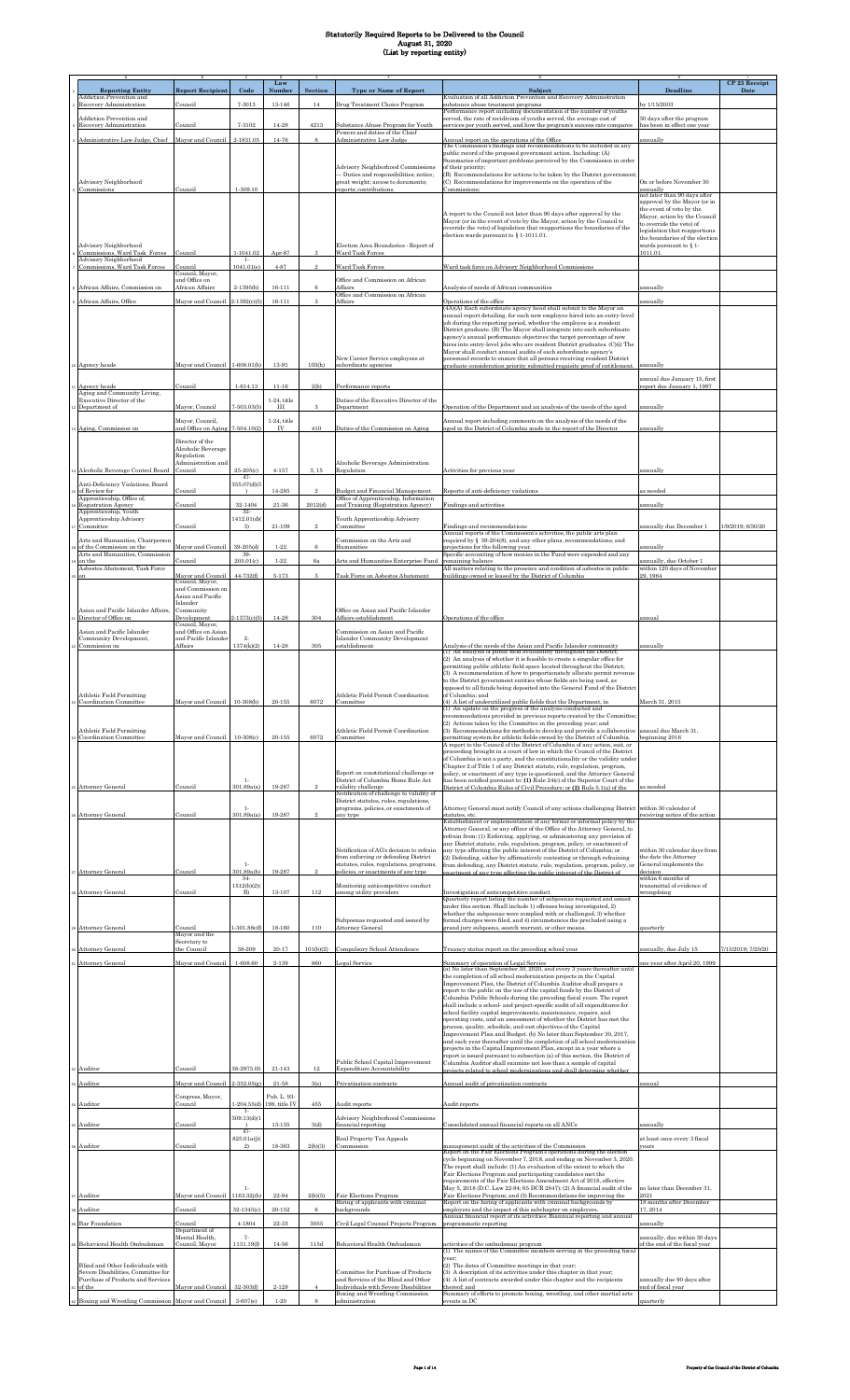|                                                                         |                                             |                     | Law                          |                |                                                                                    |                                                                                                                                                                         |                                                          | CP 23 Receipt      |
|-------------------------------------------------------------------------|---------------------------------------------|---------------------|------------------------------|----------------|------------------------------------------------------------------------------------|-------------------------------------------------------------------------------------------------------------------------------------------------------------------------|----------------------------------------------------------|--------------------|
| <b>Reporting Entity</b><br>Addiction Prevention and                     | <b>Report Recipient</b>                     | Code                | Numbe                        | Section        | <b>Type or Name of Report</b>                                                      | Subject<br>Evaluation of all Addiction Prevention and Recovery Administration                                                                                           | Deadline                                                 | Date               |
| Recovery Administration                                                 | Council                                     | 7-3013              | 13-146                       | 14             | Drug Treatment Choice Program                                                      | ubstance abuse treatment programs                                                                                                                                       | y 1/15/2003                                              |                    |
| <b>Addiction Prevention and</b>                                         |                                             |                     |                              |                |                                                                                    | Performance report including documentation of the number of youths<br>served, the rate of recidivism of youths served, the average cost of                              | 30 days after the program                                |                    |
| Recovery Administration                                                 | Council                                     | 7-3102              | 14-28                        | 4213           | Substance Abuse Program for Youth<br>Powers and duties of the Chief                | services per youth served, and how the program's success rate compares                                                                                                  | has been in effect one year                              |                    |
| Administrative Law Judge, Chief                                         | Mayor and Council                           | 2-1831.05           | 14-76                        |                | Administrative Law Judge                                                           | Annual report on the operations of the Office<br>The Commission's findings and recommendations to be included in any                                                    | innually                                                 |                    |
|                                                                         |                                             |                     |                              |                |                                                                                    | public record of the proposed government action. Including: (A)<br>Summaries of important problems perceived by the Commission in order                                 |                                                          |                    |
|                                                                         |                                             |                     |                              |                | Advisory Neighborhood Commissions                                                  | of their priority:                                                                                                                                                      |                                                          |                    |
| Advisory Neighborhood                                                   |                                             |                     |                              |                | - Duties and responsibilities; notice;<br>great weight; access to documents;       | (B) Recommendations for actions to be taken by the District government;<br>(C) Recommendations for improvements on the operation of the                                 | On or before November 30                                 |                    |
| Commissions                                                             | Council                                     | 1-309.10            |                              |                | reports; contributions.                                                            | Commissions:                                                                                                                                                            | annually<br>not later than 90 days after                 |                    |
|                                                                         |                                             |                     |                              |                |                                                                                    |                                                                                                                                                                         | approval by the Mayor (or in<br>the event of veto by the |                    |
|                                                                         |                                             |                     |                              |                |                                                                                    | A report to the Council not later than 90 days after approval by the<br>Mayor (or in the event of veto by the Mayor, action by the Council to                           | Mayor, action by the Council<br>to override the veto) of |                    |
|                                                                         |                                             |                     |                              |                |                                                                                    | override the veto) of legislation that reapportions the boundaries of the<br>election wards pursuant to $\S 1-1011.01$ .                                                | egislation that reapportions                             |                    |
| Advisory Neighborhood                                                   |                                             |                     |                              |                | Election Area Boundaries - Report of                                               |                                                                                                                                                                         | the boundaries of the election<br>wards pursuant to §1-  |                    |
| Commissions, Ward Task Forces<br>Advisory Neighborhood                  | Council                                     | 1-1041.02<br>$1-$   | Apr-87                       |                | Ward Task Force                                                                    |                                                                                                                                                                         | 011.01                                                   |                    |
| Commissions, Ward Task Forces                                           | Council<br>Council, Mayor,                  | 1041.01(e)          | 4-87                         |                | Ward Task Forces                                                                   | Ward task force on Advisory Neighborhood Commissions                                                                                                                    |                                                          |                    |
| African Affairs, Commission on                                          | and Office on<br>African Affairs            | 2-1395(b)           | 16-111                       | 6              | Office and Commission on African<br>Affairs                                        | Analysis of needs of African communities                                                                                                                                | innually                                                 |                    |
|                                                                         |                                             |                     | $16 - 111$                   | $\mathbf{a}$   | Office and Commission on African<br>Affairs                                        |                                                                                                                                                                         |                                                          |                    |
| African Affairs, Office                                                 | Mayor and Council 2-1392(c)(5)              |                     |                              |                |                                                                                    | Operations of the office<br>(4A)(A) Each subordinate agency head shall submit to the Mayor an                                                                           | ınnually                                                 |                    |
|                                                                         |                                             |                     |                              |                |                                                                                    | annual report detailing, for each new employee hired into an entry-level<br>job during the reporting period, whether the employee is a resident                         |                                                          |                    |
|                                                                         |                                             |                     |                              |                |                                                                                    | District graduate. (B) The Mayor shall integrate into each subordinate<br>agency's annual performance objectives the target percentage of new                           |                                                          |                    |
|                                                                         |                                             |                     |                              |                |                                                                                    | hires into entry-level jobs who are resident District graduates. (C)(i) The<br>Mayor shall conduct annual audits of each subordinate agency's                           |                                                          |                    |
| o Agency heads                                                          | Mayor and Council 1-608.01(b)               |                     | 13-91                        | 103(h)         | New Career Service employees at<br>subordinate agencies                            | personnel records to ensure that all persons receiving resident District<br>graduate consideration priority submitted requisite proof of entitlement                    | annually                                                 |                    |
|                                                                         |                                             |                     |                              |                |                                                                                    |                                                                                                                                                                         | annual due January 15, first                             |                    |
| Agency heads<br>Aging and Community Living,                             | Council                                     | 1-614.13            | $11 - 16$                    | 2(b)           | Performance reports                                                                |                                                                                                                                                                         | eport due January 1, 1997                                |                    |
| Executive Director of the                                               |                                             |                     | $1-24$ , title               |                | Duties of the Executive Director of the                                            |                                                                                                                                                                         |                                                          |                    |
| Department of                                                           | Mayor, Council                              | $7 - 503.03(5)$     | Ш                            | 3              | Department                                                                         | Operation of the Department and an analysis of the needs of the aged                                                                                                    | annually                                                 |                    |
| 3 Aging, Commission on                                                  | Mayor, Council,<br>and Office on Aging      | $7-504.10(2)$       | $1-24$ , title<br>IV         | 410            | Duties of the Commission on Aging                                                  | Annual report including comments on the analysis of the needs of the<br>aged in the District of Columbia made in the report of the Director                             | annually                                                 |                    |
|                                                                         | Director of the                             |                     |                              |                |                                                                                    |                                                                                                                                                                         |                                                          |                    |
|                                                                         | Alcoholic Beverage<br>Regulation            |                     |                              |                |                                                                                    |                                                                                                                                                                         |                                                          |                    |
|                                                                         | Administration and                          |                     |                              | 3 15           | Alcoholic Beverage Administration                                                  |                                                                                                                                                                         |                                                          |                    |
| Alcoholic Beverage Control Board                                        | Council                                     | 25-205(c)<br>$-47-$ | $4 - 157$                    |                | Regulation                                                                         | Activities for previous year                                                                                                                                            | annually                                                 |                    |
| Anti-Deficiency Violations, Board<br>of Review for                      | Council                                     | 355.07(d)(3         | $14 - 285$                   | $\mathfrak{D}$ | <b>Budget and Financial Management</b>                                             | Reports of anti-deficiency violations                                                                                                                                   | as needed                                                |                    |
| Apprenticeship, Office of,<br>Registration Agency                       | Council                                     | 32-1404             | 21-36                        | 2012(d)        | Office of Apprenticeship, Information<br>and Training (Registration Agency)        | Findings and activities                                                                                                                                                 | ınnually                                                 |                    |
| Apprenticeship, Youth<br>Apprenticeship Advisory                        |                                             | 32-<br>1412.01(d)   |                              |                | Youth Apprenticeship Advisory                                                      |                                                                                                                                                                         |                                                          |                    |
| Committee                                                               | Council                                     | $\mathcal{R}$       | $21 - 109$                   | $\mathfrak{D}$ | Committee                                                                          | Findings and recommendations<br>Annual reports of the Commission's activities, the public arts plan                                                                     | annually due December 1                                  | 1/9/2019; 6/30/20  |
| Arts and Humanities, Chairperson<br>of the Commission on the            | Mayor and Council                           | 39-205(d)           | $1 - 22$                     | 6              | Commission on the Arts and<br>Humanities                                           | required by § 39-204(8), and any other plans, recommendations, and<br>projections for the following year.                                                               | mnually                                                  |                    |
| Arts and Humanities, Commission<br>on the                               |                                             | $39-$<br>205.01(c)  | $1 - 22$                     | 6a             |                                                                                    | Specific accounting of how monies in the Fund were expended and any                                                                                                     | unnually, due October 1                                  |                    |
| Asbestos Abatement, Task Force                                          | Council                                     |                     |                              |                | Arts and Humanities Enterprise Fund                                                | remaining balance<br>All matters relating to the presence and condition of asbestos in public                                                                           | within 120 days of November                              |                    |
| on                                                                      | Mayor and Council<br>Council, Mayor,        | $44 - 732(f)$       | 5-173                        | 3              | Task Force on Asbestos Abatement                                                   | buildings owned or leased by the District of Columbia                                                                                                                   | 29, 1984                                                 |                    |
|                                                                         | and Commission on<br>Asian and Pacific      |                     |                              |                |                                                                                    |                                                                                                                                                                         |                                                          |                    |
| Asian and Pacific Islander Affairs.                                     | Islander<br>Community                       |                     |                              |                | Office on Asian and Pacific Islander                                               |                                                                                                                                                                         |                                                          |                    |
| Director of Office on                                                   | Development<br>Council. Mavor.              | $2-1373(c)(5)$      | 14-28                        | 304            | Affairs establishment                                                              | Operations of the office                                                                                                                                                | annual                                                   |                    |
| Asian and Pacific Islander<br>Community Development,                    | and Office on Asian<br>and Pacific Islander | $2\cdot$            |                              |                | Commission on Asian and Pacific<br>Islander Community Development                  |                                                                                                                                                                         |                                                          |                    |
| Commission on                                                           | Affairs                                     | 1374(k)(2)          | 14-28                        | 305            | establishment                                                                      | Analysis of the needs of the Asian and Pacific Islander community                                                                                                       | annually                                                 |                    |
|                                                                         |                                             |                     |                              |                |                                                                                    | (1) An analysis of public field availability throughout the District;<br>(2) An analysis of whether it is feasible to create a singular office for                      |                                                          |                    |
|                                                                         |                                             |                     |                              |                |                                                                                    | permitting public athletic field space located throughout the District;<br>(3) A recommendation of how to proportionately allocate permit revenue                       |                                                          |                    |
|                                                                         |                                             |                     |                              |                |                                                                                    | to the District government entities whose fields are being used, as<br>opposed to all funds being deposited into the General Fund of the District                       |                                                          |                    |
| Athletic Field Permitting<br><b>Coordination Committee</b>              | Mayor and Council                           | $10-308(b)$         | $20 - 155$                   | 6072           | Athletic Field Permit Coordination<br>Committee                                    | of Columbia: and<br>(4) A list of underutilized public fields that the Department, in                                                                                   | March 31, 2015                                           |                    |
|                                                                         |                                             |                     |                              |                |                                                                                    | (1) An update on the progress of the analysis conducted and                                                                                                             |                                                          |                    |
|                                                                         |                                             |                     |                              |                |                                                                                    | recommendations provided in previous reports created by the Committee;<br>(2) Actions taken by the Committee in the preceding year; and                                 |                                                          |                    |
| <b>Athletic Field Permitting</b><br>Coordination Committee              | Mayor and Council                           | $10-308(c)$         | $20 - 155$                   | 6072           | Athletic Field Permit Coordination<br>Committee                                    | (3) Recommendations for methods to develop and provide a collaborative annual due March 31,<br>permitting system for athletic fields owned by the District of Columbia. | beginning 2016                                           |                    |
|                                                                         |                                             |                     |                              |                |                                                                                    | A report to the Council of the District of Columbia of any action, suit, or<br>proceeding brought in a court of law in which the Council of the District                |                                                          |                    |
|                                                                         |                                             |                     |                              |                |                                                                                    | of Columbia is not a party, and the constitutionality or the validity under<br>Chapter 2 of Title 1 of any District statute, rule, regulation, program,                 |                                                          |                    |
|                                                                         |                                             | $1-$                |                              |                | Report on constitutional challenge or<br>District of Columbia Home Rule Act        | policy, or enactment of any type is questioned, and the Attorney General<br>has been notified pursuant to: (1) Rule 24(c) of the Superior Court of the                  |                                                          |                    |
| 25 Attorney General                                                     | Council                                     | 301.89a(a)          | 19-287                       |                | validity challenge                                                                 | District of Columbia Rules of Civil Procedure; or (2) Rule 5.1(a) of the                                                                                                | as needed                                                |                    |
|                                                                         |                                             |                     |                              |                | Notification of challenge to validity of<br>District statutes, rules, regulations, |                                                                                                                                                                         |                                                          |                    |
| Attorney General                                                        | Council                                     | $1-$<br>301.89a(a)  | 19-287                       |                | programs, policies, or enactments of<br>any type                                   | Attorney General must notify Council of any actions challenging District<br>statutes, etc.                                                                              | within 30 calendar of<br>eceiving notice of the action   |                    |
|                                                                         |                                             |                     |                              |                |                                                                                    | Establishment or implementation of any formal or informal policy by the<br>Attorney General, or any officer of the Office of the Attorney General, to                   |                                                          |                    |
|                                                                         |                                             |                     |                              |                |                                                                                    | refrain from: (1) Enforcing, applying, or administering any provision of<br>any District statute, rule, regulation, program, policy, or enactment of                    |                                                          |                    |
|                                                                         |                                             |                     |                              |                | Notification of AG's decision to refrain<br>from enforcing or defending District   | any type affecting the public interest of the District of Columbia; or<br>(2) Defending, either by affirmatively contesting or through refraining                       | within 30 calendar days from<br>the date the Attorney    |                    |
| 27 Attorney General                                                     | Council                                     | $1-$<br>301.89a(b)  | 19-287                       |                | statutes, rules, regulations, programs,<br>policies, or enactments of any type     | from defending, any District statute, rule, regulation, program, policy, or                                                                                             | General implements the<br>decision                       |                    |
|                                                                         |                                             | $34-$               |                              |                |                                                                                    | enactment of any type affecting the public interest of the District of                                                                                                  | within 6 months of                                       |                    |
| 28 Attorney General                                                     | Council                                     | 1512(b)(2)<br>B)    | $13 - 107$                   | 112            | Monitoring anticompetitive conduct<br>among utility providers                      | Investigation of anticompetitive conduct                                                                                                                                | transmittal of evidence of<br>wrongdoing                 |                    |
|                                                                         |                                             |                     |                              |                |                                                                                    | Quarterly report listing the number of subpoenas requested and issued<br>under this section. Shall include 1) offenses being investigated, 2)                           |                                                          |                    |
|                                                                         |                                             |                     |                              |                | Subpoenas requested and issued by                                                  | whether the subpoenas were complied with or challenged, 3) whether<br>formal charges were filed, and 4) circumstances the precluded using a                             |                                                          |                    |
| 29 Attorney General                                                     | Council<br>Mayor and the                    | $-301.88c(f)$       | 18-160                       | 110            | Attorney General                                                                   | grand jury subpoena, search warrant, or other means.                                                                                                                    | quarterly                                                |                    |
| Attorney General                                                        | Secretary to<br>the Council                 | 38-209              | $20 - 17$                    | 101(b)(2)      | Compulsory School Attendance                                                       | Truancy status report on the preceding school year                                                                                                                      | annually, due July 15                                    | 7/15/2019; 7/20/20 |
| Attorney General                                                        | Mayor and Council                           | 1-608.60            | 2-139                        | 860            | Legal Service                                                                      | Summary of operation of Legal Service                                                                                                                                   | ne year after April 20, 1999                             |                    |
|                                                                         |                                             |                     |                              |                |                                                                                    | (a) No later than September 30, 2020, and every 3 years thereafter until<br>the completion of all school modernization projects in the Capital                          |                                                          |                    |
|                                                                         |                                             |                     |                              |                |                                                                                    | Improvement Plan, the District of Columbia Auditor shall prepare a                                                                                                      |                                                          |                    |
|                                                                         |                                             |                     |                              |                |                                                                                    | report to the public on the use of the capital funds by the District of<br>Columbia Public Schools during the preceding fiscal years. The report                        |                                                          |                    |
|                                                                         |                                             |                     |                              |                |                                                                                    | shall include a school- and project-specific audit of all expenditures for<br>school facility capital improvements, maintenance, repairs, and                           |                                                          |                    |
|                                                                         |                                             |                     |                              |                |                                                                                    | operating costs, and an assessment of whether the District has met the<br>process, quality, schedule, and cost objectives of the Capital                                |                                                          |                    |
|                                                                         |                                             |                     |                              |                |                                                                                    | Improvement Plan and Budget. (b) No later than September 30, 2017,<br>and each year thereafter until the completion of all school modernization                         |                                                          |                    |
|                                                                         |                                             |                     |                              |                |                                                                                    | projects in the Capital Improvement Plan, except in a year where a<br>report is issued pursuant to subsection (a) of this section, the District of                      |                                                          |                    |
| 32 Auditor                                                              | Council                                     | 38-2973.05          | $21 - 143$                   | $12\,$         | Public School Capital Improvement<br><b>Expenditure Accountability</b>             | Columbia Auditor shall examine not less than a sample of capital                                                                                                        |                                                          |                    |
|                                                                         | Mayor and Council 2-352.05(g)               |                     | $21 - 58$                    |                |                                                                                    | projects related to school modernizations and shall determine whether<br>Annual audit of privatization contracts                                                        |                                                          |                    |
| 33 Auditor                                                              |                                             |                     |                              | 3(e)           | Privatization contracts                                                            |                                                                                                                                                                         | annual                                                   |                    |
| 34 Auditor                                                              | Congress, Mayor,<br>Council                 | $1 - 204.55(d)$     | Pub. L. 93-<br>198, title IV | $455\,$        | Audit reports                                                                      | Audit reports                                                                                                                                                           |                                                          |                    |
|                                                                         |                                             | $1-$<br>309.13(d)(1 |                              |                | Advisory Neighborhood Commissions                                                  |                                                                                                                                                                         |                                                          |                    |
| 5 Auditor                                                               | Council                                     | $47-$               | $13 - 135$                   | 3(d)           | financial reporting                                                                | Consolidated annual financial reports on all ANCs                                                                                                                       | annually                                                 |                    |
| 6 Auditor                                                               | Council                                     | 825.01a(j)(<br>2)   | 18-363                       | 2(b)(3)        | Real Property Tax Appeals<br>Commission                                            | nanagement audit of the activities of the Commission                                                                                                                    | at least once every 3 fiscal<br>ears                     |                    |
|                                                                         |                                             |                     |                              |                |                                                                                    | Report on the Fair Elections Program's operations during the election<br>cycle beginning on November 7, 2018, and ending on November 3, 2020.                           |                                                          |                    |
|                                                                         |                                             |                     |                              |                |                                                                                    | The report shall include: (1) An evaluation of the extent to which the<br>Fair Elections Program and participating candidates met the                                   |                                                          |                    |
|                                                                         |                                             |                     |                              |                |                                                                                    | requirements of the Fair Elections Amendment Act of 2018, effective                                                                                                     |                                                          |                    |
| 37 Auditor                                                              | Mayor and Council 1163.32j(b)               | $1-$                | 22-94                        | 2(b)(5)        | Fair Elections Program                                                             | May 5, 2018 (D.C. Law 22-94; 65 DCR 2847); (2) A financial audit of the<br>Fair Elections Program; and (3) Recommendations for improving the                            | no later than December 31,<br>2021                       |                    |
| 38 Auditor                                                              | Council                                     | 32-1345(c)          | $20 - 152$                   | 6              | Hiring of applicants with criminal<br>backgrounds                                  | Report on the hiring of applicants with criminal backgrounds by<br>employers and the impact of this subchapter on employers.                                            | 18 months after December<br>17, 2014                     |                    |
| <sup>9</sup> Bar Foundation                                             | Council                                     | 4-1804              | 22-33                        | 3055           | Civil Legal Counsel Projects Program                                               | Annual financial report of its activities; Biannual reporting and annual<br>programmatic reporting                                                                      | annually                                                 |                    |
|                                                                         | Department of<br>Mental Health,             | $7-$                |                              |                |                                                                                    |                                                                                                                                                                         | annually, due within 30 days                             |                    |
| Behavioral Health Ombudsman                                             | Council, Mayor                              | 1131.19(f)          | 14-56                        | 115d           | Behavioral Health Ombudsman                                                        | activities of the ombudsman program<br>(1) The names of the Committee members serving in the preceding fiscal                                                           | of the end of the fiscal year                            |                    |
| Blind and Other Individuals with                                        |                                             |                     |                              |                |                                                                                    | vear:<br>(2) The dates of Committee meetings in that year;                                                                                                              |                                                          |                    |
| Severe Disabilities, Committee for<br>Purchase of Products and Services |                                             |                     |                              |                | Committee for Purchase of Products<br>and Services of the Blind and Other          | (3) A description of its activities under this chapter in that year;<br>(4) A list of contracts awarded under this chapter and the recipients                           | annually due 90 days after                               |                    |
| of the                                                                  | Mayor and Council                           | $32-303(f)$         | 2-128                        |                | Individuals with Severe Disabilities<br>Boxing and Wrestling Commission            | thereof: and<br>Summary of efforts to promote boxing, wrestling, and other martial arts                                                                                 | nd of fiscal year                                        |                    |
| 42 Boxing and Wrestling Commission Mayor and Council                    |                                             | $3-607(e)$          | $1 - 20$                     |                | administration                                                                     | events in DC                                                                                                                                                            | quarterly                                                |                    |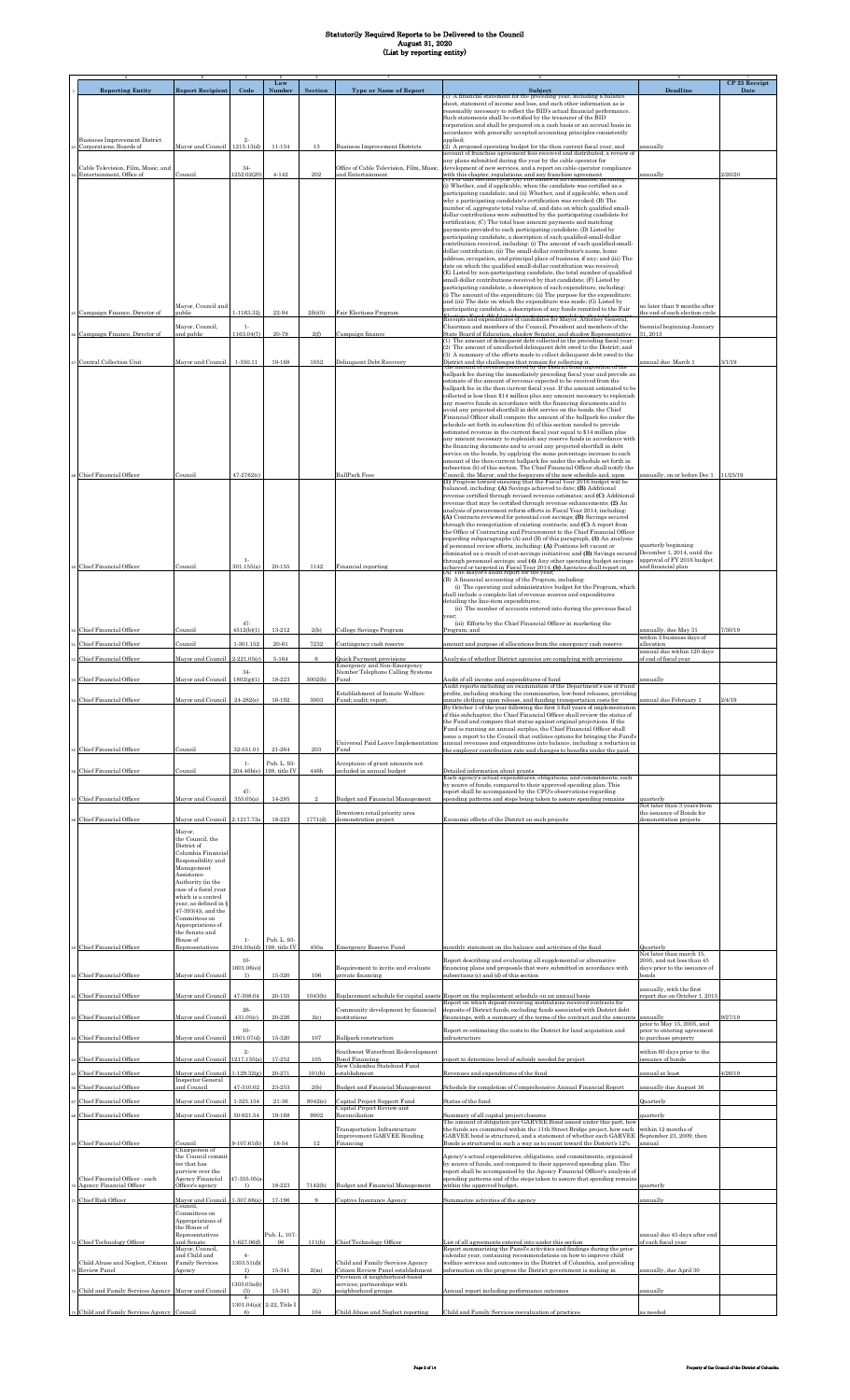| <b>Reporting Entity</b>                                         | <b>Report Recipient</b>                                            | Code                    | Law<br>Number                           | Section      | <b>Type or Name of Report</b>                                           | Subject                                                                                                                                                                                                                         | <b>Deadline</b>                                                       | CP 23 Receipt<br>Date |
|-----------------------------------------------------------------|--------------------------------------------------------------------|-------------------------|-----------------------------------------|--------------|-------------------------------------------------------------------------|---------------------------------------------------------------------------------------------------------------------------------------------------------------------------------------------------------------------------------|-----------------------------------------------------------------------|-----------------------|
|                                                                 |                                                                    |                         |                                         |              |                                                                         | (1) A financial statement for the preceding year, including a balance<br>sheet, statement of income and loss, and such other information as is                                                                                  |                                                                       |                       |
|                                                                 |                                                                    |                         |                                         |              |                                                                         | reasonably necessary to reflect the BID's actual financial performance.<br>Such statements shall be certified by the treasurer of the BID<br>corporation and shall be prepared on a cash basis or an accrual basis in           |                                                                       |                       |
| <b>Business Improvement District</b>                            |                                                                    | $^{2}$                  |                                         |              |                                                                         | accordance with generally accepted accounting principles consistently<br>applied;                                                                                                                                               |                                                                       |                       |
| Corporations, Boards of                                         | Mayor and Council 1215.13(d)                                       |                         | 11-134                                  | 13           | <b>Business Improvement Districts</b>                                   | (2) A proposed operating budget for the then current fiscal year; and<br>account of franchise agreement fees received and distributed, a review of<br>any plans submitted during the year by the cable operator for             | annually                                                              |                       |
| Cable Television, Film, Music, and<br>Entertainment, Office of  | Council                                                            | $34-$<br>252.02(20)     | $4 - 142$                               | 202          | Office of Cable Television, Film, Music,<br>and Entertainment           | development of new services, and a report on cable operator compliance<br>with this chapter, regulations, and any franchise agreement<br>(1) For that election cycle: (A) The names of all candidates, including                | innually                                                              | 2/20/20               |
|                                                                 |                                                                    |                         |                                         |              |                                                                         | (i) Whether, and if applicable, when the candidate was certified as a<br>participating candidate; and (ii) Whether, and if applicable, when and                                                                                 |                                                                       |                       |
|                                                                 |                                                                    |                         |                                         |              |                                                                         | why a participating candidate's certification was revoked; (B) The<br>number of, aggregate total value of, and date on which qualified small-                                                                                   |                                                                       |                       |
|                                                                 |                                                                    |                         |                                         |              |                                                                         | dollar contributions were submitted by the participating candidate for<br>certification; (C) The total base amount payments and matching<br>payments provided to each participating candidate; (D) Listed by                    |                                                                       |                       |
|                                                                 |                                                                    |                         |                                         |              |                                                                         | participating candidate, a description of each qualified-small-dollar<br>contribution received, including: (i) The amount of each qualified-small-                                                                              |                                                                       |                       |
|                                                                 |                                                                    |                         |                                         |              |                                                                         | dollar contribution; (ii) The small-dollar contributor's name, home<br>address, occupation, and principal place of business, if any; and (iii) The                                                                              |                                                                       |                       |
|                                                                 |                                                                    |                         |                                         |              |                                                                         | date on which the qualified small-dollar contribution was received;<br>(E) Listed by non-participating candidate, the total number of qualified                                                                                 |                                                                       |                       |
|                                                                 |                                                                    |                         |                                         |              |                                                                         | small-dollar contributions received by that candidate; (F) Listed by<br>participating candidate, a description of each expenditure, including:<br>(i) The amount of the expenditure; (ii) The purpose for the expenditure;      |                                                                       |                       |
|                                                                 | Mayor, Council and                                                 |                         |                                         |              |                                                                         | and (iii) The date on which the expenditure was made; (G) Listed by<br>participating candidate, a description of any funds remitted to the Fair                                                                                 | no later than 9 months after                                          |                       |
| Campaign Finance, Director of                                   | public<br>Mayor, Council,                                          | $1 - 1163.32j$<br>$1 -$ | 22-94                                   | 2(b)(5)      | Fair Elections Program                                                  | Receipts and expenditures of candidates for Mayor, Attorney General,<br>Chairman and members of the Council, President and members of the                                                                                       | the end of each election cycle<br>piennial beginning January          |                       |
| 6 Campaign Finance, Director of                                 | and public                                                         | 1163.04(7)              | 20-79                                   | 2(f)         | Campaign finance                                                        | State Board of Education, shadow Senator, and shadow Representative<br>(1) The amount of delinquent debt collected in the preceding fiscal year;                                                                                | 31, 2013                                                              |                       |
| 7 Central Collection Unit                                       | Mayor and Council                                                  | 1-350.11                | 19-168                                  | 1052         | Delinquent Debt Recovery                                                | (2) The amount of uncollected delinquent debt owed to the District; and<br>(3) A summary of the efforts made to collect delinquent debt owed to the                                                                             | <u>innual due March 1</u>                                             | 3/1/19                |
|                                                                 |                                                                    |                         |                                         |              |                                                                         | District and the challenges that remain for collecting it.<br>the amount of revenue received by the District from imposition of the<br>ballpark fee during the immediately preceding fiscal year and provide an                 |                                                                       |                       |
|                                                                 |                                                                    |                         |                                         |              |                                                                         | estimate of the amount of revenue expected to be received from the<br>ballpark fee in the then current fiscal year. If the amount estimated to be<br>collected is less than \$14 million plus any amount necessary to replenish |                                                                       |                       |
|                                                                 |                                                                    |                         |                                         |              |                                                                         | any reserve funds in accordance with the financing documents and to<br>avoid any projected shortfall in debt service on the bonds, the Chief                                                                                    |                                                                       |                       |
|                                                                 |                                                                    |                         |                                         |              |                                                                         | Financial Officer shall compute the amount of the ballpark fee under the<br>schedule set forth in subsection (b) of this section needed to provide                                                                              |                                                                       |                       |
|                                                                 |                                                                    |                         |                                         |              |                                                                         | estimated revenue in the current fiscal year equal to \$14 million plus<br>any amount necessary to replenish any reserve funds in accordance with                                                                               |                                                                       |                       |
|                                                                 |                                                                    |                         |                                         |              |                                                                         | the financing documents and to avoid any projected shortfall in debt<br>service on the bonds, by applying the same percentage increase to each<br>amount of the then-current ballpark fee under the schedule set forth in       |                                                                       |                       |
| s Chief Financial Officer                                       | Council                                                            | 47-2762(c)              |                                         |              | <b>BallPark Fees</b>                                                    | subsection (b) of this section. The Chief Financial Officer shall notify the<br>Council, the Mayor, and the feepayers of the new schedule and, upon                                                                             | annually, on or before Dec 1                                          | 11/25/19              |
|                                                                 |                                                                    |                         |                                         |              |                                                                         | (1) Progress toward ensuring that the Fiscal Year 2016 budget will be<br>balanced, including: (A) Savings achieved to date; (B) Additional                                                                                      |                                                                       |                       |
|                                                                 |                                                                    |                         |                                         |              |                                                                         | revenue certified through revised revenue estimates; and (C) Additional<br>revenue that may be certified through revenue enhancements; (2) An<br>analysis of procurement reform efforts in Fiscal Year 2014, including:         |                                                                       |                       |
|                                                                 |                                                                    |                         |                                         |              |                                                                         | (A) Contracts reviewed for potential cost savings; (B) Savings secured<br>through the renegotiation of existing contracts; and (C) A report from                                                                                |                                                                       |                       |
|                                                                 |                                                                    |                         |                                         |              |                                                                         | the Office of Contracting and Procurement to the Chief Financial Officer<br>regarding subparagraphs (A) and (B) of this paragraph, (3) An analysis                                                                              | quarterly beginning                                                   |                       |
|                                                                 |                                                                    | $1-$                    |                                         |              |                                                                         | of personnel review efforts, including: (A) Positions left vacant or<br>eliminated as a result of cost-savings initiatives: and (B) Savings secured<br>through personnel savings; and (4) Any other operating budget savings    | December 1, 2014, until the<br>approval of FY 2016 budget             |                       |
| <b>Chief Financial Officer</b>                                  | Council                                                            | 301.155(a)              | $20 - 155$                              | 1142         | Financial reporting                                                     | achieved or targeted in Fiscal Year 2014. (b) Agencies shall report on (A) The Mayor's audit report for the year;                                                                                                               | and financial plan                                                    |                       |
|                                                                 |                                                                    |                         |                                         |              |                                                                         | (B) A financial accounting of the Program, including:<br>(i) The operating and administrative budget for the Program, which<br>shall include a complete list of revenue sources and expenditures                                |                                                                       |                       |
|                                                                 |                                                                    |                         |                                         |              |                                                                         | detailing the line-item expenditures:<br>(ii) The number of accounts entered into during the previous fiscal                                                                                                                    |                                                                       |                       |
|                                                                 |                                                                    | $47 -$                  |                                         |              |                                                                         | vear:<br>(iii) Efforts by the Chief Financial Officer in marketing the                                                                                                                                                          |                                                                       |                       |
| Chief Financial Officer                                         | Council                                                            | 4512(b)(1)<br>1-301.152 | 13-212<br>20-61                         | 2(b)<br>7232 | College Savings Program                                                 | Program: and<br>amount and purpose of allocations from the emergency cash reserve                                                                                                                                               | annually, due May 31<br>within 3 business days of                     | 7/30/19               |
| Chief Financial Officer<br>Chief Financial Officer              | Council<br>Mayor and Council                                       | $2 - 221.05(c)$         | 5-164                                   | 6            | Contingency cash reserve<br>Quick Payment provisions                    | Analysis of whether District agencies are complying with provisions                                                                                                                                                             | allocation<br>annual due within 120 days<br>of end of fiscal year     |                       |
|                                                                 |                                                                    | $34-$                   |                                         |              | Emergency and Non-Emergency<br>Number Telephone Calling Systems         |                                                                                                                                                                                                                                 |                                                                       |                       |
| Chief Financial Officer                                         | Mayor and Council                                                  | 1802(g)(1)              | 18-223                                  | 3002(b)      | Fund<br>Establishment of Inmate Welfare                                 | Audit of all income and expenditures of fund<br>Audit reports including an examination of the Department's use of Fund<br>profits, including stocking the commissaries, low-bond releases, providing                            | mnually                                                               |                       |
| Chief Financial Officer                                         | Mayor and Council 24-282(e)                                        |                         | 16-192                                  | 3003         | Fund; audit; report                                                     | inmate clothing upon release, and funding transportation costs for<br>By October 1 of the year following the first 3 full years of implementation                                                                               | annual due February                                                   | 2/4/19                |
|                                                                 |                                                                    |                         |                                         |              |                                                                         | of this subchapter, the Chief Financial Officer shall review the status of<br>the Fund and compare that status against original projections. If the                                                                             |                                                                       |                       |
|                                                                 |                                                                    |                         |                                         |              | Universal Paid Leave Implementation                                     | Fund is running an annual surplus, the Chief Financial Officer shall<br>issue a report to the Council that outlines options for bringing the Fund's<br>annual revenues and expenditures into balance, including a reduction in  |                                                                       |                       |
| ss Chief Financial Officer                                      | Council                                                            | 32-551.01               | 21-264                                  | $\,203$      | Fund                                                                    | the employer contribution rate and changes to benefits under the paid-                                                                                                                                                          |                                                                       |                       |
| Chief Financial Officer                                         | Council                                                            | $1 -$                   | Pub. L. 93-<br>204.46b(e) 198, title IV | 446b         | Acceptance of grant amounts not<br>included in annual budget            | Detailed information about grants<br>Each agency's actual expenditures, obligations, and commitments, each                                                                                                                      |                                                                       |                       |
|                                                                 |                                                                    | $47 -$                  |                                         |              |                                                                         | by source of funds, compared to their approved spending plan. This<br>report shall be accompanied by the CFO's observations regarding                                                                                           |                                                                       |                       |
| 57 Chief Financial Officer                                      | Mayor and Council                                                  | 355.05(a)               | 14-285                                  |              | <b>Budget and Financial Management</b><br>Downtown retail priority area | spending patterns and steps being taken to assure spending remains                                                                                                                                                              | juarterly<br>Not later than 3 years from<br>the issuance of Bonds for |                       |
| s Chief Financial Officer                                       | Mayor and Council 2-1217.73a                                       |                         | 18-223                                  | 1771(d)      | demonstration project                                                   | Economic effects of the District on such projects                                                                                                                                                                               | demonstration projects                                                |                       |
|                                                                 | Mayor,<br>the Council, the                                         |                         |                                         |              |                                                                         |                                                                                                                                                                                                                                 |                                                                       |                       |
|                                                                 | District of<br>Columbia Financial<br>Responsibility and            |                         |                                         |              |                                                                         |                                                                                                                                                                                                                                 |                                                                       |                       |
|                                                                 | Management<br>Assistance                                           |                         |                                         |              |                                                                         |                                                                                                                                                                                                                                 |                                                                       |                       |
|                                                                 | Authority (in the<br>case of a fiscal year                         |                         |                                         |              |                                                                         |                                                                                                                                                                                                                                 |                                                                       |                       |
|                                                                 | which is a control<br>year, as defined in §<br>47-393(4)), and the |                         |                                         |              |                                                                         |                                                                                                                                                                                                                                 |                                                                       |                       |
|                                                                 | Committees on<br>Appropriations of                                 |                         |                                         |              |                                                                         |                                                                                                                                                                                                                                 |                                                                       |                       |
|                                                                 | the Senate and<br>House of                                         | $1-$                    | Pub. L. 93-                             |              |                                                                         |                                                                                                                                                                                                                                 |                                                                       |                       |
| S9 Chief Financial Officer                                      | Representatives                                                    | 204.50a(d)<br>$10-$     | 198, title IV                           | 450a         | <b>Emergency Reserve Fund</b>                                           | monthly statement on the balance and activities of the fund<br>Report describing and evaluating all supplemental or alternative                                                                                                 | Quarterly<br>Not later than march 15.<br>2005, and not less than 45   |                       |
| <sup>50</sup> Chief Financial Officer                           | Mayor and Council                                                  | 1601.06(e)<br>1)        | $15 - 320$                              | 106          | Requirement to invite and evaluate<br>private financing                 | financing plans and proposals that were submitted in accordance with<br>subsections (c) and (d) of this section                                                                                                                 | days prior to the issuance of<br>bonds                                |                       |
| <sup>1</sup> Chief Financial Officer                            | Mayor and Council                                                  | 47-308.04               | $20 - 155$                              | 1043(b)      | Replacement schedule for capital assets                                 | Report on the replacement schedule on an annual basis                                                                                                                                                                           | annually, with the first<br>report due on October 1, 2015             |                       |
|                                                                 |                                                                    | 26-                     |                                         |              | Community development by financial                                      | Report on which deposit-receiving institutions received contracts for<br>deposits of District funds, excluding funds associated with District debt                                                                              |                                                                       |                       |
| 22 Chief Financial Officer                                      | Mayor and Council                                                  | 431.05(c)<br>$10-$      | 20-226                                  | 2(c)         | institutions                                                            | financings, with a summary of the terms of the contract and the amounts annually                                                                                                                                                | prior to May 15, 2005, and                                            | 9/27/19               |
| 53 Chief Financial Officer                                      | Mayor and Council                                                  | 1601.07(d)              | $15 - 320$                              | 107          | Ballpark construction                                                   | Report re-estimating the costs to the District for land acquisition and<br>infrastructure                                                                                                                                       | prior to entering agreement<br>to purchase property                   |                       |
| 4 Chief Financial Officer                                       | Mayor and Council 1217.135(a)                                      | $2 -$                   | 17-252                                  | 105          | Southwest Waterfront Redevelopment<br><b>Bond Financing</b>             | report to determine level of subsidy needed for project                                                                                                                                                                         | within 60 days prior to the<br>issuance of bonds                      |                       |
| ss Chief Financial Officer                                      | Mayor and Council<br><b>Inspector General</b>                      | $1 - 129.32(g)$         | 20-271                                  | 101(b)       | New Columbia Statehood Fund<br>establishment                            | Revenues and expenditures of the fund                                                                                                                                                                                           | annual at least                                                       | 1/26/19               |
| Chief Financial Officer                                         | and Council                                                        | 47-310.02               | $23 - 253$                              | 2(b)         | Budget and Financial Management                                         | Schedule for completion of Comprehensive Annual Financial Report                                                                                                                                                                | annually due August 16                                                |                       |
| Chief Financial Officer                                         | Mayor and Council                                                  | 1-325.154               | 21-36                                   | 8042(e)      | Capital Project Support Fund<br>Capital Project Review and              | Status of the fund                                                                                                                                                                                                              | Quarterly                                                             |                       |
| s Chief Financial Officer                                       | Mayor and Council                                                  | 50-921.54               | 19-168                                  | 9002         | Reconciliation<br>Transportation Infrastructure                         | summary of all capital project closures<br>The amount of obligation per GARVEE Bond issued under this part, how<br>the funds are committed within the 11th Street Bridge project, how each                                      | quarterly<br>within 12 months of                                      |                       |
| <b>Chief Financial Officer</b>                                  | Council                                                            | $9-107.61(b)$           | 18-54                                   | 12           | Improvement GARVEE Bonding<br>Financing                                 | GARVEE bond is structured, and a statement of whether each GARVEE<br>Bonds is structured in such a way as to count toward the District's 12%                                                                                    | September 23, 2009, then<br>annual                                    |                       |
|                                                                 | Chairperson of<br>the Council commit                               |                         |                                         |              |                                                                         | Agency's actual expenditures, obligations, and commitments, organized                                                                                                                                                           |                                                                       |                       |
| Chief Financial Officer - each                                  | tee that has<br>purview over the<br>Agency Financial               | 47-355.05(a             |                                         |              |                                                                         | by source of funds, and compared to their approved spending plan. The<br>report shall be accompanied by the Agency Financial Officer's analysis of<br>spending patterns and of the steps taken to assure that spending remains  |                                                                       |                       |
| <sup>0</sup> Agency Financial Officer                           | Officer's agency                                                   | 1)                      | 18-223                                  | 7142(b)      | <b>Budget and Financial Management</b>                                  | within the approved budget.                                                                                                                                                                                                     | quarterly                                                             |                       |
| Chief Risk Officer                                              | Mayor and Council<br>Council,<br>Committees on                     | $1-307.88(a)$           | 17-196                                  | 9            | Captive Insurance Agency                                                | Summarize activities of the agency                                                                                                                                                                                              | annually                                                              |                       |
|                                                                 | Appropriations of<br>the House of                                  |                         |                                         |              |                                                                         |                                                                                                                                                                                                                                 |                                                                       |                       |
| 2 Chief Technology Officer                                      | Representatives<br>and Senate                                      | $1 - 627.06(f)$         | Pub. L. 107<br>96                       | 111(b)       | Chief Technology Officer                                                | ist of all agreements entered into under this section                                                                                                                                                                           | annual due 45 days after end<br>of each fiscal year                   |                       |
| Child Abuse and Neglect, Citizen                                | Mayor, Council,<br>and Child and<br><b>Family Services</b>         | $4-$<br>1303.51(d)      |                                         |              | Child and Family Services Agency                                        | Report summarizing the Panel's activities and findings during the prior<br>calendar year, containing recommendations on how to improve child<br>welfare services and outcomes in the District of Columbia, and providing        |                                                                       |                       |
| Review Panel                                                    | Agency                                                             | 1)<br>$4-$              | 15-341                                  | 2(m)         | Citizen Review Panel establishment<br>Provision of neighborhood-based   | information on the progress the District government is making in                                                                                                                                                                | annually, due April 30                                                |                       |
| <sup>4</sup> Child and Family Services Agency Mayor and Council |                                                                    | 1303.03a(b)<br>(3)      | $15 - 341$                              | 2(i)         | services; partnerships with<br>neighborhood groups.                     | Annual report including performance outcomes                                                                                                                                                                                    | innually                                                              |                       |
| 75 Child and Family Services Agency Council                     |                                                                    | $4-$<br>6)              | 1301.04(a)(2-22, Title I                | 104          | Child Abuse and Neglect reporting                                       | Child and Family Services reevaluation of practices                                                                                                                                                                             | s needed                                                              |                       |
|                                                                 |                                                                    |                         |                                         |              |                                                                         |                                                                                                                                                                                                                                 |                                                                       |                       |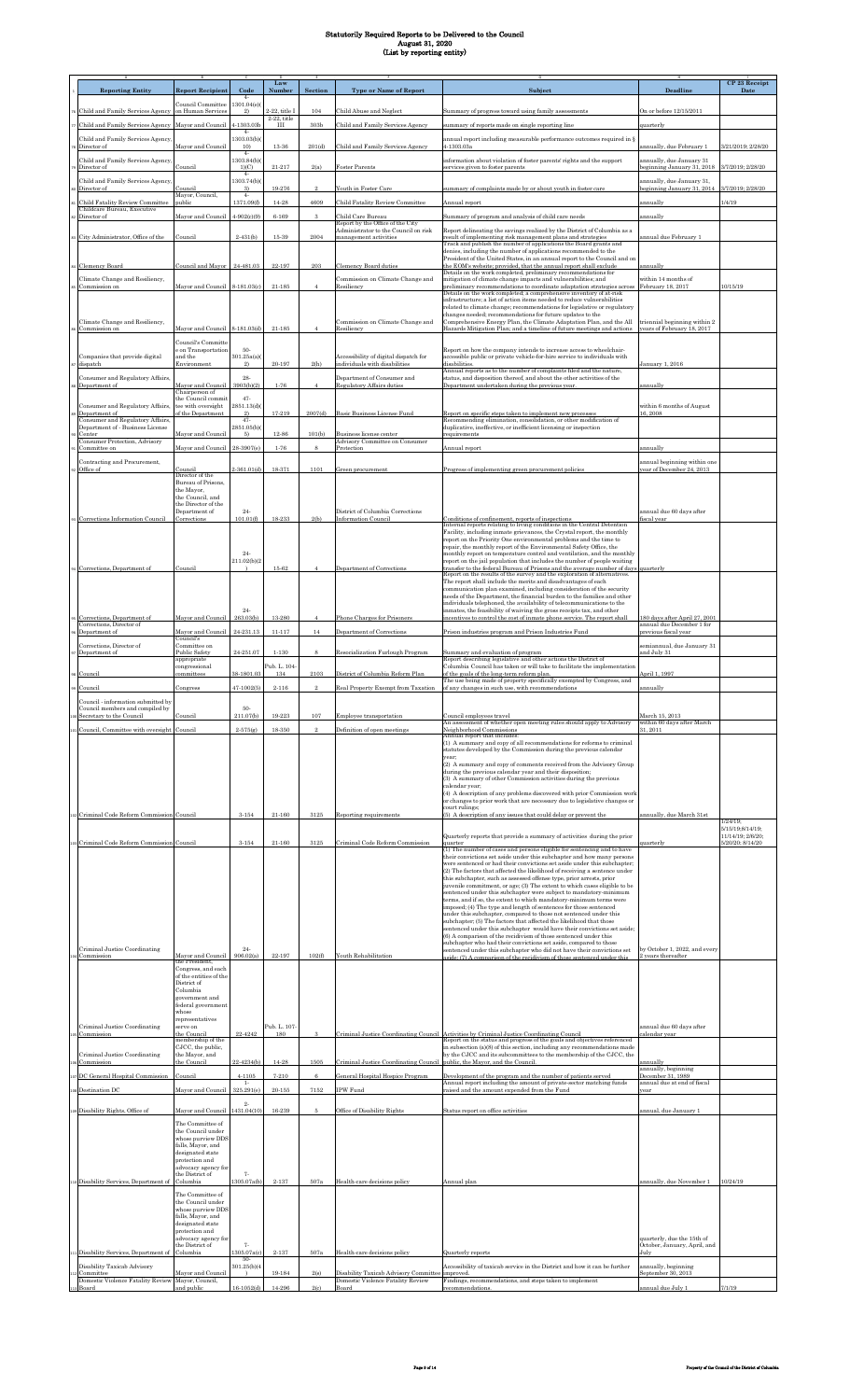|                                                                       |                                              |                        | Law                 |                   |                                                                          |                                                                                                                                                                       |                                                                          | CP 23 Receipt                       |
|-----------------------------------------------------------------------|----------------------------------------------|------------------------|---------------------|-------------------|--------------------------------------------------------------------------|-----------------------------------------------------------------------------------------------------------------------------------------------------------------------|--------------------------------------------------------------------------|-------------------------------------|
| <b>Reporting Entity</b>                                               | <b>Report Recipient</b>                      | Code<br>$4-$           | Numbe:              | Section           | <b>Type or Name of Report</b>                                            | Subject                                                                                                                                                               | Deadline                                                                 | Date                                |
| Child and Family Services Agency                                      | Council Committee<br>on Human Service        | 1301.04(e)<br>2)       | 2-22, title I       | 104               | Child Abuse and Neglect                                                  | Summary of progress toward using family assessments                                                                                                                   | On or before 12/15/2011                                                  |                                     |
|                                                                       |                                              | 4-1303.03b             | $2-22$ , title<br>Ш | 30 <sub>3</sub> b |                                                                          |                                                                                                                                                                       |                                                                          |                                     |
| Child and Family Services Agency                                      | Mayor and Council                            | $4-$                   |                     |                   | Child and Family Services Agency                                         | summary of reports made on single reporting line                                                                                                                      | juarterly                                                                |                                     |
| Child and Family Services Agency,<br>Director of                      | Mayor and Council                            | 1303.03(b)<br>10)      | 13-36               | 201(d)            | Child and Family Services Agency                                         | annual report including measurable performance outcomes required in §<br>4-1303.03a                                                                                   | annually, due February 1                                                 | 3/21/2019; 2/28/20                  |
| Child and Family Services Agency,                                     |                                              | $4-$<br>1303.84(b)(    |                     |                   |                                                                          | information about violation of foster parents' rights and the support                                                                                                 | annually, due January 31                                                 |                                     |
| Director of                                                           | Council                                      | 1)(C)<br>$4-$          | $21 - 217$          | 2(a)              | Foster Parents                                                           | services given to foster parents                                                                                                                                      | eginning January 31, 2018                                                | 3/7/2019; 2/28/20                   |
| Child and Family Services Agency,<br>Director of                      | Council                                      | 1303.74(b)(<br>3)      | 19-276              | $^{2}$            | Youth in Foster Care                                                     | summary of complaints made by or about youth in foster care                                                                                                           | annually, due January 31,<br>eginning January 31, 2014 3/7/2019; 2/28/20 |                                     |
| <b>Child Fatality Review Committee</b>                                | Mayor, Council,<br>public                    | $4-$<br>1371.09(f)     | $14 - 28$           | 4609              | Child Fatality Review Committee                                          | Annual report                                                                                                                                                         | ınnually                                                                 | 1/4/19                              |
| Childcare Bureau, Executive<br>Director of                            | Mayor and Council                            | $4 - 902(c)(9)$        | $6 - 169$           | 3                 | Child Care Bureau                                                        | Summary of program and analysis of child care needs                                                                                                                   | annually                                                                 |                                     |
|                                                                       |                                              |                        |                     |                   | Report by the Office of the City<br>Administrator to the Council on risk | Report delineating the savings realized by the District of Columbia as a                                                                                              |                                                                          |                                     |
| 83 City Administrator, Office of the                                  | Council                                      | $2 - 431(b)$           | $15-39$             | 2004              | nanagement activities                                                    | result of implementing risk management plans and strategies<br>Track and publish the number of applications the Board grants and                                      | annual due February 1                                                    |                                     |
|                                                                       |                                              |                        |                     |                   |                                                                          | denies, including the number of applications recommended to the<br>President of the United States, in an annual report to the Council and on                          |                                                                          |                                     |
| 84 Clemency Board                                                     | Council and Mayor                            | 24-481.03              | 22-197              | 203               | <b>Clemency Board duties</b>                                             | the EOM's website; provided, that the annual report shall exclude                                                                                                     | annually                                                                 |                                     |
| Climate Change and Resiliency,                                        |                                              |                        |                     |                   | Commission on Climate Change and                                         | Details on the work completed, preliminary recommendations for<br>mitigation of climate change impacts and vulnerabilities; and                                       | within 14 months of                                                      |                                     |
| Commission on                                                         | Mayor and Council 8-181.03(c)                |                        | $21 - 185$          |                   | tesiliency                                                               | preliminary recommendations to coordinate adaptation strategies across<br>Details on the work completed; a comprehensive inventory of at-risk                         | February 18, 2017                                                        | 10/15/19                            |
|                                                                       |                                              |                        |                     |                   |                                                                          | infrastructure; a list of action items needed to reduce vulnerabilities<br>related to climate change; recommendations for legislative or regulatory                   |                                                                          |                                     |
| Climate Change and Resiliency,                                        |                                              |                        |                     |                   | Commission on Climate Change and                                         | changes needed; recommendations for future updates to the<br>Comprehensive Energy Plan, the Climate Adaptation Plan, and the All                                      | riennial beginning within 2                                              |                                     |
| Commission on                                                         | Mayor and Council 8-181.03(d)                |                        | $21 - 185$          |                   | Resiliency                                                               | Hazards Mitigation Plan; and a timeline of future meetings and actions                                                                                                | years of February 18, 2017                                               |                                     |
|                                                                       | Council's Committe<br>e on Transportation    | $50-$                  |                     |                   |                                                                          | Report on how the company intends to increase access to wheelchair-                                                                                                   |                                                                          |                                     |
| Companies that provide digital<br>dispatch                            | and the<br>Environment                       | 301.25a(a)<br>2)       | 20-197              | 2(h)              | Accessibility of digital dispatch for<br>individuals with disabilities   | accessible public or private vehicle-for-hire service to individuals with<br>disabilities.                                                                            | January 1, 2016                                                          |                                     |
|                                                                       |                                              | 28-                    |                     |                   | Department of Consumer and                                               | Annual reports as to the number of complaints filed and the nature,<br>status, and disposition thereof, and about the other activities of the                         |                                                                          |                                     |
| Consumer and Regulatory Affairs<br>Department of                      | Mayor and Council                            | 3903(b)(2)             | $1 - 76$            | $\overline{4}$    | <b>Regulatory Affairs duties</b>                                         | Department undertaken during the previous year.                                                                                                                       | annually                                                                 |                                     |
|                                                                       | Chairperson of<br>the Council commit         | $47 -$                 |                     |                   |                                                                          |                                                                                                                                                                       |                                                                          |                                     |
| Consumer and Regulatory Affairs,<br>Department of                     | tee with oversight<br>f the Department       | 2851.13(d)<br>2)       | 17-219              | 2007(d)           | Basic Business License Fund                                              | Report on specific steps taken to implement new processes                                                                                                             | within 6 months of August<br>6,2008                                      |                                     |
| Consumer and Regulatory Affairs,<br>Department of - Business License  |                                              | $47-$<br>2851.05(b)    |                     |                   |                                                                          | Recommending elimination, consolidation, or other modification of<br>duplicative, ineffective, or inefficient licensing or inspection                                 |                                                                          |                                     |
| Center<br>Consumer Protection, Advisory                               | Mayor and Council                            | 5)                     | 12-86               | 101(b)            | Business license center<br>Advisory Committee on Consumer                | requirements                                                                                                                                                          |                                                                          |                                     |
| Committee on                                                          | Mayor and Council                            | 28-3907(e)             | $1 - 76$            | 8                 | <i><u>rotection</u></i>                                                  | Annual report                                                                                                                                                         | annually                                                                 |                                     |
| Contracting and Procurement,<br>Office of                             | Council                                      | $2-361.01(d)$          | 18-371              | 1101              | Green procurement                                                        | Progress of implementing green procurement policies                                                                                                                   | annual heginning within one<br>ear of December 24, 2013                  |                                     |
|                                                                       | Director of the<br>Bureau of Prisons,        |                        |                     |                   |                                                                          |                                                                                                                                                                       |                                                                          |                                     |
|                                                                       | the Mayor,<br>the Council, and               |                        |                     |                   |                                                                          |                                                                                                                                                                       |                                                                          |                                     |
|                                                                       | the Director of the                          |                        |                     |                   |                                                                          |                                                                                                                                                                       |                                                                          |                                     |
| 93 Corrections Information Council                                    | Department of<br>Corrections                 | $24-$<br>101.01(f)     | 18-233              | 2(b)              | District of Columbia Corrections<br>Information Council                  | Conditions of confinement, reports of inspections                                                                                                                     | annual due 60 days after<br>iscal vear                                   |                                     |
|                                                                       |                                              |                        |                     |                   |                                                                          | Internal reports relating to living conditions in the Central Detention<br>Facility, including inmate grievances, the Crystal report, the monthly                     |                                                                          |                                     |
|                                                                       |                                              |                        |                     |                   |                                                                          | report on the Priority One environmental problems and the time to<br>repair, the monthly report of the Environmental Safety Office, the                               |                                                                          |                                     |
|                                                                       |                                              | $24-$<br>211.02(b)(2   |                     |                   |                                                                          | monthly report on temperature control and ventilation, and the monthly<br>report on the jail population that includes the number of people waiting                    |                                                                          |                                     |
| Gorrections, Department of                                            | Council                                      |                        | 15-62               |                   | Department of Corrections                                                | transfer to the federal Bureau of Prisons and the average number of days<br>Report on the results of the survey and the exploration of alternatives.                  | quarterly                                                                |                                     |
|                                                                       |                                              |                        |                     |                   |                                                                          | The report shall include the merits and disadvantages of each<br>communication plan examined, including consideration of the security                                 |                                                                          |                                     |
|                                                                       |                                              |                        |                     |                   |                                                                          | needs of the Department, the financial burden to the families and other                                                                                               |                                                                          |                                     |
|                                                                       |                                              | $24-$                  |                     |                   |                                                                          | individuals telephoned, the availability of telecommunications to the<br>inmates, the feasibility of waiving the gross receipts tax, and other                        |                                                                          |                                     |
| Corrections, Department of<br>Corrections, Director of                | Mayor and Council                            | 263.03(b)              | 13-280              | $\overline{4}$    | Phone Charges for Prisoners                                              | incentives to control the cost of inmate phone service. The report shall                                                                                              | 80 days after April 27, 2001<br>annual due December 1 for                |                                     |
| Department of                                                         | Mayor and Council<br>Council's               | 24-231 13              | $11 - 117$          | 14                | Department of Corrections                                                | Prison industries program and Prison Industries Fund                                                                                                                  | previous fiscal year                                                     |                                     |
| Corrections, Director of<br>Department of                             | Committee on<br>Public Safety                | 24-251.07              | $1 - 130$           |                   | Resocialization Furlough Program                                         | Summary and evaluation of program                                                                                                                                     | semiannual, due January 31<br>ınd July 31                                |                                     |
|                                                                       | appropriate<br>congressional                 |                        | Pub. L. 104         |                   |                                                                          | Report describing legislative and other actions the District of<br>Columbia Council has taken or will take to facilitate the implementation                           |                                                                          |                                     |
| 88 Council                                                            | ommittee                                     | 38-1801.03             | 134                 | 2103              | District of Columbia Reform Plan                                         | of the goals of the long-term reform plan.<br>The use being made of property specifically exempted by Congress, and                                                   | pril 1, 1997                                                             |                                     |
| 99 Council                                                            | Congress                                     | $47 - 1002(5)$         | $2 - 116$           | $\mathcal{D}$     | Real Property Exempt from Taxation                                       | of any changes in such use, with recommendations                                                                                                                      | annually                                                                 |                                     |
| Council - information submitted by<br>Council members and compiled by |                                              | 50-                    |                     |                   |                                                                          |                                                                                                                                                                       |                                                                          |                                     |
| oo Secretary to the Council                                           | Council                                      | 211.07(b)              | 19-223              | 107               | Employee transportation                                                  | Council employees travel<br>An assessment of whether open meeting rules should apply to Advisory                                                                      | March 15, 2013<br>within 60 days after March                             |                                     |
| 101 Council, Committee with oversight Council                         |                                              | $2-575(g)$             | 18-350              | $\mathcal{D}$     | Definition of open meetings                                              | Neighborhood Commissions<br>Annual report that includes:                                                                                                              | 31, 2011                                                                 |                                     |
|                                                                       |                                              |                        |                     |                   |                                                                          | (1) A summary and copy of all recommendations for reforms to criminal<br>statutes developed by the Commission during the previous calendar                            |                                                                          |                                     |
|                                                                       |                                              |                        |                     |                   |                                                                          | year;                                                                                                                                                                 |                                                                          |                                     |
|                                                                       |                                              |                        |                     |                   |                                                                          | (2) A summary and copy of comments received from the Advisory Group<br>during the previous calendar year and their disposition;                                       |                                                                          |                                     |
|                                                                       |                                              |                        |                     |                   |                                                                          | (3) A summary of other Commission activities during the previous<br>calendar year;                                                                                    |                                                                          |                                     |
|                                                                       |                                              |                        |                     |                   |                                                                          | (4) A description of any problems discovered with prior Commission work<br>or changes to prior work that are necessary due to legislative changes or                  |                                                                          |                                     |
| 102 Criminal Code Reform Commission Council                           |                                              | $3 - 154$              | 21-160              | 3125              | Reporting requirements                                                   | court rulings<br>(5) A description of any issues that could delay or prevent the                                                                                      | annually, due March 31st                                                 |                                     |
|                                                                       |                                              |                        |                     |                   |                                                                          |                                                                                                                                                                       |                                                                          | 1/2.4/19<br>5/15/19;8/14/19;        |
| cos Criminal Code Reform Commission Council                           |                                              | $3 - 154$              | $21 - 160$          | 3125              | Criminal Code Reform Commission                                          | Quarterly reports that provide a summary of activities during the prior<br>quarter                                                                                    | uarterly                                                                 | 11/14/19 2/6/20<br>5/20/20; 8/14/20 |
|                                                                       |                                              |                        |                     |                   |                                                                          | (1) The number of cases and persons eligible for sentencing and to have<br>their convictions set aside under this subchapter and how many persons                     |                                                                          |                                     |
|                                                                       |                                              |                        |                     |                   |                                                                          | were sentenced or had their convictions set aside under this subchapter;<br>(2) The factors that affected the likelihood of receiving a sentence under                |                                                                          |                                     |
|                                                                       |                                              |                        |                     |                   |                                                                          | this subchapter, such as assessed offense type, prior arrests, prior                                                                                                  |                                                                          |                                     |
|                                                                       |                                              |                        |                     |                   |                                                                          | juvenile commitment, or age; (3) The extent to which cases eligible to be<br>sentenced under this subchapter were subject to mandatory-minimum                        |                                                                          |                                     |
|                                                                       |                                              |                        |                     |                   |                                                                          | terms, and if so, the extent to which mandatory-minimum terms were<br>imposed; (4) The type and length of sentences for those sentenced                               |                                                                          |                                     |
|                                                                       |                                              |                        |                     |                   |                                                                          | under this subchapter, compared to those not sentenced under this<br>subchapter; (5) The factors that affected the likelihood that those                              |                                                                          |                                     |
|                                                                       |                                              |                        |                     |                   |                                                                          | sentenced under this subchapter would have their convictions set aside;<br>(6) A comparison of the recidivism of those sentenced under this                           |                                                                          |                                     |
| Criminal Justice Coordinating                                         |                                              | $24 -$                 |                     |                   |                                                                          | subchapter who had their convictions set aside, compared to those<br>sentenced under this subchapter who did not have their convictions set                           | y October 1, 2022, and every                                             |                                     |
| <sup>24</sup> Commission                                              | Mayor and Council<br>he President:           | 906.02(a)              | 22-197              | 102(f)            | Youth Rehabilitation                                                     | mparison of the recidivism of tho                                                                                                                                     | 2 years thereafter                                                       |                                     |
|                                                                       | Congress, and each<br>of the entities of the |                        |                     |                   |                                                                          |                                                                                                                                                                       |                                                                          |                                     |
|                                                                       | District of<br>Columbia                      |                        |                     |                   |                                                                          |                                                                                                                                                                       |                                                                          |                                     |
|                                                                       | government and                               |                        |                     |                   |                                                                          |                                                                                                                                                                       |                                                                          |                                     |
|                                                                       | federal government<br>whose                  |                        |                     |                   |                                                                          |                                                                                                                                                                       |                                                                          |                                     |
| Criminal Justice Coordinating                                         | representatives<br>serve on                  |                        | Pub. L. 107         |                   |                                                                          |                                                                                                                                                                       | annual due 60 days after                                                 |                                     |
| Commission                                                            | the Council<br>membership of the             | 22-4242                | 180                 | 3                 |                                                                          | Criminal Justice Coordinating Council Activities by Criminal Justice Coordinating Council<br>Report on the status and progress of the goals and objectives referenced | alendar year:                                                            |                                     |
| Criminal Justice Coordinating                                         | CJCC, the public,<br>the Mayor, and          |                        |                     |                   |                                                                          | in subsection (a)(8) of this section, including any recommendations made<br>by the CJCC and its subcommittees to the membership of the CJCC, the                      |                                                                          |                                     |
| 06 Commission                                                         | he Council                                   | 22-4234(b)             | 14-28               | 1505              | Criminal Justice Coordinating Council                                    | public, the Mayor, and the Council.                                                                                                                                   | annually<br>annually, beginning                                          |                                     |
| 107 DC General Hospital Commission                                    | Council                                      | 4-1105<br>$1-$         | 7-210               | $\,6\,$           | General Hospital Hospice Program                                         | Development of the program and the number of patients served<br>Annual report including the amount of private-sector matching funds                                   | December 31, 1989<br>annual due at end of fiscal                         |                                     |
| 108 Destination DC                                                    | Mayor and Council                            | 325.291(e)             | $20 - 155$          | 7152              | PW Fund                                                                  | raised and the amount expended from the Fund                                                                                                                          | ear                                                                      |                                     |
| 109 Disability Rights, Office of                                      | Mayor and Council                            | $2\cdot$<br>431.04(10) | 16-239              |                   | Office of Disability Rights                                              | Status report on office activities                                                                                                                                    | annual, due January 1                                                    |                                     |
|                                                                       | The Committee of                             |                        |                     |                   |                                                                          |                                                                                                                                                                       |                                                                          |                                     |
|                                                                       | the Council under<br>whose purview DDS       |                        |                     |                   |                                                                          |                                                                                                                                                                       |                                                                          |                                     |
|                                                                       | falls, Mavor, and<br>designated state        |                        |                     |                   |                                                                          |                                                                                                                                                                       |                                                                          |                                     |
|                                                                       | protection and<br>advocacy agency for        |                        |                     |                   |                                                                          |                                                                                                                                                                       |                                                                          |                                     |
|                                                                       | the District of<br>Columbia                  | $7-$<br>1305.07a(b)    | $2 - 137$           | 507a              |                                                                          | Annual plan                                                                                                                                                           |                                                                          | 10/24/19                            |
| 10 Disability Services, Department of                                 | The Committee of                             |                        |                     |                   | Health-care decisions policy                                             |                                                                                                                                                                       | innually, due November 1                                                 |                                     |
|                                                                       | the Council under                            |                        |                     |                   |                                                                          |                                                                                                                                                                       |                                                                          |                                     |
|                                                                       | whose purview DDS<br>falls, Mayor, and       |                        |                     |                   |                                                                          |                                                                                                                                                                       |                                                                          |                                     |
|                                                                       | designated state<br>protection and           |                        |                     |                   |                                                                          |                                                                                                                                                                       |                                                                          |                                     |
|                                                                       | advocacy agency for<br>the District of       | 7.                     |                     |                   |                                                                          |                                                                                                                                                                       | quarterly, due the 15th of<br>October, January, April, and               |                                     |
| 11 Disability Services, Department of                                 | Columbia                                     | 1305.07a(c)<br>$50-$   | 2-137               | 507a              | Health-care decisions policy                                             | Quarterly reports                                                                                                                                                     | July                                                                     |                                     |
| Disability Taxicab Advisory<br>Committee                              | Aayor and Counci                             | 301.25(b)(4            | 19-184              | 2(s)              | Disability Taxicab Advisory Committe                                     | Accessibility of taxicab service in the District and how it can be further<br>improved.                                                                               | annually, beginning<br>September 30, 2013                                |                                     |
| Domestic Violence Fatality Review<br>13 Board                         | Mayor, Council,<br>and public                | $16-1052(d)$           | 14-296              | 2(c)              | Domestic Violence Fatality Review<br>Board                               | Findings, recommendations, and steps taken to implement<br>recommendations.                                                                                           | annual due July 1                                                        | 7/1/19                              |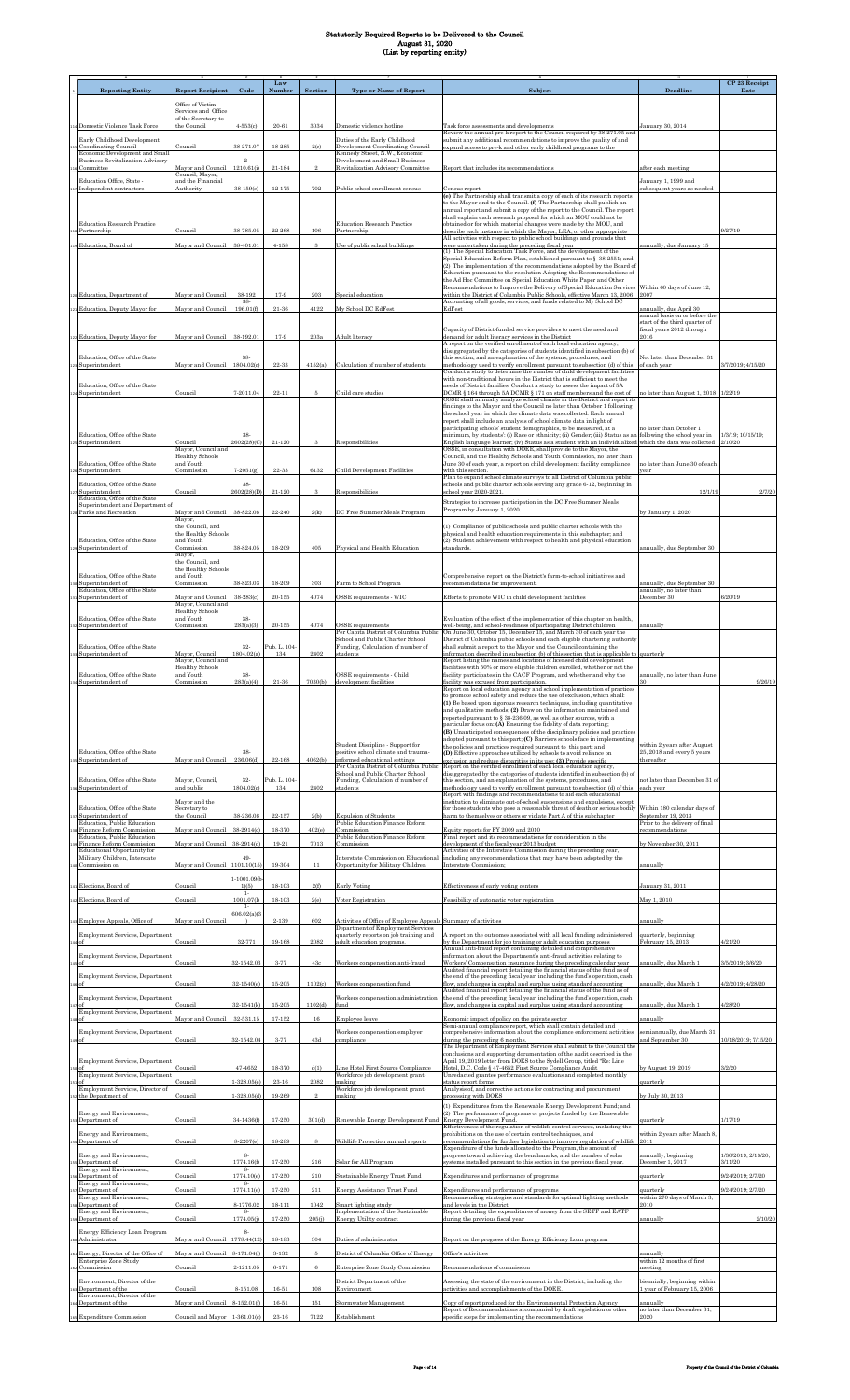|                                                                    |                                              |                      | Law          |                |                                                                                                     |                                                                                                                                                            |                                                                | CP 23 Receipt                  |
|--------------------------------------------------------------------|----------------------------------------------|----------------------|--------------|----------------|-----------------------------------------------------------------------------------------------------|------------------------------------------------------------------------------------------------------------------------------------------------------------|----------------------------------------------------------------|--------------------------------|
| <b>Reporting Entity</b>                                            | <b>Report Recipient</b>                      | Code                 | Number       | Section        | <b>Type or Name of Report</b>                                                                       | Subject                                                                                                                                                    | Deadline                                                       | Date                           |
|                                                                    | Office of Victim                             |                      |              |                |                                                                                                     |                                                                                                                                                            |                                                                |                                |
|                                                                    | Services and Office<br>of the Secretary to   |                      |              |                |                                                                                                     |                                                                                                                                                            |                                                                |                                |
| 4 Domestic Violence Task Force                                     | the Council                                  | $4 - 553(c)$         | 20-61        | 3034           | Domestic violence hotline                                                                           | Task force assessments and developments                                                                                                                    | January 30, 2014                                               |                                |
| Early Childhood Development                                        |                                              |                      |              |                | Duties of the Early Childhood                                                                       | Review the annual pre-k report to the Council required by 38-271.05 and<br>submit any additional recommendations to improve the quality of and             |                                                                |                                |
| Coordinating Council<br>Economic Development and Small             | Council                                      | 38-271.07            | 18-285       | 2(c)           | Development Coordinating Council<br>Kennedy Street, N.W., Economic                                  | expand access to pre-k and other early childhood programs to the                                                                                           |                                                                |                                |
| <b>Business Revitalization Advisory</b>                            |                                              | $2 -$                |              |                | Development and Small Business                                                                      | Report that includes its recommendations                                                                                                                   |                                                                |                                |
| Committee                                                          | Mayor and Council<br>Council, Mayor,         | 1210.61(i)           | 21-184       |                | Revitalization Advisory Committee                                                                   |                                                                                                                                                            | after each meeting                                             |                                |
| Education Office, State -<br>Independent contractors               | and the Financial<br>Authority               | 38-159(c)            | $12 - 175$   | 702            | Public school enrollment census                                                                     | Census report                                                                                                                                              | January 1, 1999 and<br>ubsequent years as needed               |                                |
|                                                                    |                                              |                      |              |                |                                                                                                     | (e) The Partnership shall transmit a copy of each of its research reports<br>to the Mayor and to the Council. (f) The Partnership shall publish an         |                                                                |                                |
|                                                                    |                                              |                      |              |                |                                                                                                     | annual report and submit a copy of the report to the Council. The report                                                                                   |                                                                |                                |
| <b>Education Research Practice</b>                                 |                                              |                      |              |                | <b>Education Research Practice</b>                                                                  | shall explain each research proposal for which an MOU could not be<br>obtained or for which material changes were made by the MOU, and                     |                                                                |                                |
| s Partnership                                                      | Council                                      | $38\!\cdot\! 785.05$ | 22-268       | 106            | Partnership                                                                                         | describe each instance in which the Mayor, LEA, or other appropriate<br>All activities with respect to public school buildings and grounds that            |                                                                | 9/27/19                        |
| 119 Education, Board of                                            | Mayor and Council                            | 38-401.01            | $4 - 158$    | 3              | Use of public school buildings                                                                      | were undertaken during the preceding fiscal year<br>(1) The Special Education Task Force, and the development of the                                       | nnually, due January 15                                        |                                |
|                                                                    |                                              |                      |              |                |                                                                                                     | Special Education Reform Plan, established pursuant to § 38-2551; and                                                                                      |                                                                |                                |
|                                                                    |                                              |                      |              |                |                                                                                                     | (2) The implementation of the recommendations adopted by the Board of<br>Education pursuant to the resolution Adopting the Recommendations of              |                                                                |                                |
|                                                                    |                                              |                      |              |                |                                                                                                     | the Ad Hoc Committee on Special Education White Paper and Other<br>Recommendations to Improve the Delivery of Special Education Services                   | Within 60 days of June 12,                                     |                                |
| 20 Education, Department of                                        | Mayor and Council                            | 38-192<br>38-        | 17-9         | 203            | Special education                                                                                   | within the District of Columbia Public Schools, effective March 13, 2006                                                                                   | 2007                                                           |                                |
| 121 Education, Deputy Mayor for                                    | Mayor and Council                            | 196.01(f)            | $21 - 36$    | 4122           | My School DC EdFest                                                                                 | Accounting of all goods, services, and funds related to My School DC<br>EdFest                                                                             | unnually, due April 30                                         |                                |
|                                                                    |                                              |                      |              |                |                                                                                                     |                                                                                                                                                            | annual basis on or before the<br>start of the third quarter of |                                |
| 122 Education, Deputy Mayor for                                    | Mayor and Council                            | 38-192.01            | 17-9         | 203a           | Adult literacy                                                                                      | Capacity of District-funded service providers to meet the need and<br>demand for adult literacy services in the District                                   | fiscal years 2012 through<br>2016                              |                                |
|                                                                    |                                              |                      |              |                |                                                                                                     | A report on the verified enrollment of each local education agency,                                                                                        |                                                                |                                |
| Education, Office of the State                                     |                                              | 38-                  |              |                |                                                                                                     | disaggregated by the categories of students identified in subsection (b) of<br>this section, and an explanation of the systems, procedures, and            | Not later than December 31                                     |                                |
| Superintendent                                                     | Mayor and Council                            | 1804.02(c)           | 22-33        | 4152(a)        | Calculation of number of students                                                                   | methodology used to verify enrollment pursuant to subsection (d) of this<br>Conduct a study to determine the number of child development facilities        | of each vear                                                   | 3/7/2019; 4/15/20              |
| Education. Office of the State                                     |                                              |                      |              |                |                                                                                                     | with non-traditional hours in the District that is sufficient to meet the<br>needs of District families. Conduct a study to assess the impact of 5A        |                                                                |                                |
| Superintendent                                                     | Council                                      | 7-2011.04            | $22 - 11$    |                | Child care studies                                                                                  | DCMR § 164 through 5A DCMR § 171 on staff members and the cost of                                                                                          | to later than August 1, 2018 1/22/19                           |                                |
|                                                                    |                                              |                      |              |                |                                                                                                     | OSSE shall annually analyze school climate in the District and report its<br>findings to the Mayor and the Council no later than October 1 following       |                                                                |                                |
|                                                                    |                                              |                      |              |                |                                                                                                     | the school year in which the climate data was collected. Each annual<br>report shall include an analysis of school climate data in light of                |                                                                |                                |
|                                                                    |                                              |                      |              |                |                                                                                                     | participating schools' student demographics, to be measured, at a                                                                                          | no later than October 1                                        |                                |
| Education, Office of the State<br>s Superintendent                 | Council                                      | 38-<br>2602(28)(C)   | 21-120       | 3              | Responsibilities                                                                                    | minimum, by students': (i) Race or ethnicity; (ii) Gender; (iii) Status as an<br>English language learner; (iv) Status as a student with an individualized | following the school year in<br>which the data was collected   | 1/3/19; 10/15/19;<br>2/10/20   |
|                                                                    | Mayor, Council and<br><b>Healthy Schools</b> |                      |              |                |                                                                                                     | OSSE, in consultation with DOEE, shall provide to the Mayor, the<br>Council, and the Healthy Schools and Youth Commission, no later than                   |                                                                |                                |
| Education, Office of the State                                     | and Youth                                    |                      |              |                |                                                                                                     | June 30 of each year, a report on child development facility compliance                                                                                    | to later than June 30 of each                                  |                                |
| Superintendent                                                     | Commission                                   | $7 - 2051(g)$        | 22-33        | 6132           | <b>Child Development Facilities</b>                                                                 | with this section.<br>Plan to expand school climate surveys to all District of Columbia public                                                             | rear                                                           |                                |
| Education, Office of the State<br>Superintendent                   | Council                                      | 38.<br>2602(28)(D)   | 21-120       | 3              | Responsibilities                                                                                    | schools and public charter schools serving any grade 6-12, beginning in<br>school year 2020-2021                                                           | 12/1/19                                                        | 2/7/20                         |
| Education, Office of the State<br>Superintendent and Department of |                                              |                      |              |                |                                                                                                     | Strategies to increase participation in the DC Free Summer Meals                                                                                           |                                                                |                                |
| 28 Parks and Recreation                                            | Mayor and Council                            | 38-822.08            | 22-240       | 2(k)           | DC Free Summer Meals Program                                                                        | Program by January 1, 2020.                                                                                                                                | y January 1, 2020                                              |                                |
|                                                                    | Mayor,<br>the Council, and                   |                      |              |                |                                                                                                     | (1) Compliance of public schools and public charter schools with the                                                                                       |                                                                |                                |
| Education, Office of the State                                     | the Healthy Schools<br>and Youth             |                      |              |                |                                                                                                     | physical and health education requirements in this subchapter; and<br>(2) Student achievement with respect to health and physical education                |                                                                |                                |
| s Superintendent of                                                | Commission                                   | 38-824.05            | 18-209       | 405            | Physical and Health Education                                                                       | standards                                                                                                                                                  | annually, due September 30                                     |                                |
|                                                                    | Mayor,<br>the Council, and                   |                      |              |                |                                                                                                     |                                                                                                                                                            |                                                                |                                |
| Education, Office of the State                                     | the Healthy Schools<br>and Youth             |                      |              |                |                                                                                                     | Comprehensive report on the District's farm-to-school initiatives and                                                                                      |                                                                |                                |
| Superintendent of                                                  | Commission                                   | 38-823.03            | 18-209       | 303            | Farm to School Program                                                                              | recommendations for improvement.                                                                                                                           | annually, due September 30                                     |                                |
| Education, Office of the State<br>Superintendent of                | Mayor and Council                            | 38-283(c)            | $20 - 155$   | 4074           | OSSE requirements - WIC                                                                             | Efforts to promote WIC in child development facilities                                                                                                     | annually, no later than<br>December 30                         | 6/20/19                        |
|                                                                    | Mayor, Council and<br>Healthy Schools        |                      |              |                |                                                                                                     |                                                                                                                                                            |                                                                |                                |
| Education, Office of the State<br>Superintendent of                | and Youth<br>Commission                      | 38-<br>283(a)(3)     | $20 - 155$   | 4074           | <b>OSSE</b> requirements                                                                            | Evaluation of the effect of the implementation of this chapter on health,<br>well-being, and school-readiness of participating District children           | annually                                                       |                                |
|                                                                    |                                              |                      |              |                | Per Capita District of Columbia Public<br>School and Public Charter School                          | On June 30, October 15, December 15, and March 30 of each year the<br>District of Columbia public schools and each eligible chartering authority           |                                                                |                                |
| Education, Office of the State                                     |                                              | 32-                  | Pub. L. 104- |                | Funding, Calculation of number of                                                                   | shall submit a report to the Mayor and the Council containing the                                                                                          |                                                                |                                |
| <b>Superintendent</b> of                                           | Mayor, Council<br>Mayor, Council and         | 1804.02(a)           | 134          | 2402           | students                                                                                            | information described in subsection (b) of this section that is applicable to<br>Report listing the names and locations of licensed child development      | quarterly                                                      |                                |
| Education, Office of the State                                     | <b>Healthy Schools</b><br>and Youth          | 38-                  |              |                | OSSE requirements - Child                                                                           | facilities with 50% or more eligible children enrolled, whether or not the<br>facility participates in the CACF Program, and whether and why the           | annually, no later than June                                   |                                |
| Superintendent of                                                  | Commission                                   | 283(a)(4)            | $21 - 36$    | 7030(b)        | development facilities                                                                              | facility was excused from participation.<br>Report on local education agency and school implementation of practices                                        |                                                                | 9/26/19                        |
|                                                                    |                                              |                      |              |                |                                                                                                     | to promote school safety and reduce the use of exclusion, which shall:                                                                                     |                                                                |                                |
|                                                                    |                                              |                      |              |                |                                                                                                     | (1) Be based upon rigorous research techniques, including quantitative<br>and qualitative methods; (2) Draw on the information maintained and              |                                                                |                                |
|                                                                    |                                              |                      |              |                |                                                                                                     | reported pursuant to § 38-236.09, as well as other sources, with a<br>particular focus on: (A) Ensuring the fidelity of data reporting;                    |                                                                |                                |
|                                                                    |                                              |                      |              |                |                                                                                                     | (B) Unanticipated consequences of the disciplinary policies and practices                                                                                  |                                                                |                                |
|                                                                    |                                              |                      |              |                | Student Discipline - Support for                                                                    | adopted pursuant to this part; (C) Barriers schools face in implementing<br>the policies and practices required pursuant to this part; and                 | within 2 years after August                                    |                                |
| Education, Office of the State<br>35 Superintendent of             | Mayor and Council                            | 38.<br>236.06(d)     | $22 - 168$   | 4062(b)        | positive school climate and trauma-<br>informed educational settings                                | (D) Effective approaches utilized by schools to avoid reliance on                                                                                          | 25, 2018 and every 5 years<br>thereafter                       |                                |
|                                                                    |                                              |                      |              |                | Per Capita District of Columbia Public                                                              | exclusion and reduce disparities in its use: (3) Provide specific<br>Report on the verified enrollment of each local education agency,                     |                                                                |                                |
| Education, Office of the State                                     | Mayor, Council,                              | 32-                  | Pub. L. 104- |                | School and Public Charter School<br>Funding, Calculation of number of                               | disaggregated by the categories of students identified in subsection (b) of<br>this section, and an explanation of the systems, procedures, and            | not later than December 31 of                                  |                                |
| 36 Superintendent of                                               | and public                                   | 1804.02(c)           | 134          | 2402           | students                                                                                            | methodology used to verify enrollment pursuant to subsection (d) of this<br>Report with findings and recommendations to aid each educational               | each year                                                      |                                |
| Education, Office of the State                                     | Mayor and the<br>Secretary to                |                      |              |                |                                                                                                     | institution to eliminate out-of-school suspensions and expulsions, except<br>for those students who pose a reasonable threat of death or serious bodily    | Within 180 calendar days of                                    |                                |
| Superintendent of                                                  | the Council                                  | 38-236.08            | 22-157       | 2(b)           | <b>Expulsion of Students</b>                                                                        | harm to themselves or others or violate Part A of this subchapter                                                                                          | September 19, 2013                                             |                                |
| Education, Public Education<br>Finance Reform Commission           | Mayor and Council                            | 38-2914(c)           | 18-370       | 402(e)         | Public Education Finance Reform<br>Commission                                                       | Equity reports for FY 2009 and 2010                                                                                                                        | Prior to the delivery of final<br>recommendations              |                                |
| Education, Public Education<br>Finance Reform Commission           | Mayor and Council                            | 38-2914(d)           | 19-21        | 7013           | Public Education Finance Reform<br>Commission                                                       | Final report and its recommendations for consideration in the<br>development of the fiscal year 2013 budget                                                | by November 30, 2011                                           |                                |
| Educational Opportunity for                                        |                                              | 49-                  |              |                | Interstate Commission on Educational                                                                | Activities of the Interstate Commission during the preceding year,                                                                                         |                                                                |                                |
| Military Children, Interstate<br>Commission on                     | Mayor and Council 1101.10(15)                |                      | 19-304       | 11             | Opportunity for Military Children                                                                   | including any recommendations that may have been adopted by the<br>Interstate Commission;                                                                  | annually                                                       |                                |
|                                                                    |                                              | 1-1001.09(b          |              |                |                                                                                                     |                                                                                                                                                            |                                                                |                                |
| 41 Elections, Board of                                             | Council                                      | 1)(5)<br>$1-$        | $18 - 103$   | 2(f)           | <b>Early Voting</b>                                                                                 | Effectiveness of early voting centers                                                                                                                      | January 31, 2011                                               |                                |
| 42 Elections, Board of                                             | Council                                      | 1001.07(1)<br>$1 -$  | $18 - 103$   | 2(e)           | Voter Registration                                                                                  | Feasibility of automatic voter registration                                                                                                                | May 1, 2010                                                    |                                |
|                                                                    | Mayor and Council                            | 606.02(a)(3)         | $2 - 139$    | 602            |                                                                                                     |                                                                                                                                                            |                                                                |                                |
| 43 Employee Appeals, Office of                                     |                                              |                      |              |                | Activities of Office of Employee Appeals Summary of activities<br>Department of Employment Services |                                                                                                                                                            | annually                                                       |                                |
| Employment Services, Department<br>$4$ of                          | Council                                      | 32-771               | 19-168       | 2082           | quarterly reports on job training and<br>adult education programs.                                  | A report on the outcomes associated with all local funding administered<br>by the Department for job training or adult education purposes                  | quarterly, beginning<br>February 15, 2013                      | 4/21/20                        |
| Employment Services, Department                                    |                                              |                      |              |                |                                                                                                     | Annual anti-fraud report containing detailed and comprehensive<br>information about the Department's anti-fraud activities relating to                     |                                                                |                                |
| is of                                                              | Council                                      | 32-1542.03           | 3-77         | 43c            | Workers compensation anti-fraud                                                                     | Workers' Compensation insurance during the preceding calendar year<br>Audited financial report detailing the financial status of the fund as of            | annually, due March 1                                          | 3/5/2019; 3/6/20               |
| <b>Employment Services</b> , Department                            |                                              |                      |              |                |                                                                                                     | the end of the preceding fiscal year, including the fund's operation, cash                                                                                 |                                                                |                                |
|                                                                    | Council                                      | 32-1540(e)           | $15 - 205$   | 1102(c)        | Workers compensation fund                                                                           | flow, and changes in capital and surplus, using standard accounting<br>Audited financial report detailing the financial status of the fund as of           | annually, due March 1                                          | 4/2/2019; 4/28/20              |
| Employment Services, Department                                    | Council                                      | 32-1541(k)           | $15 - 205$   | 1102(d)        | Workers compensation administration<br>fund                                                         | the end of the preceding fiscal year, including the fund's operation, cash<br>flow, and changes in capital and surplus, using standard accounting          | annually, due March 1                                          | 4/28/20                        |
| Employment Services, Department<br>lof                             | Mayor and Council                            | 32-531.15            | $17 - 152$   | $16\,$         | Employee leave                                                                                      |                                                                                                                                                            | innually                                                       |                                |
|                                                                    |                                              |                      |              |                |                                                                                                     | Economic impact of policy on the private sector<br>Semi-annual compliance report, which shall contain detailed and                                         |                                                                |                                |
| Employment Services, Department<br>ho[e                            | Council                                      | 32-1542.04           | $3 - 77$     | 43d            | Workers compensation employer<br>compliance                                                         | comprehensive information about the compliance enforcement activities<br>during the preceding 6 months.                                                    | semiannually, due March 31<br>and September 30                 | 10/18/2019; 7/15/20            |
|                                                                    |                                              |                      |              |                |                                                                                                     | The Department of Employment Services shall submit to the Council the<br>conclusions and supporting documentation of the audit described in the            |                                                                |                                |
| Employment Services, Department                                    |                                              |                      |              |                |                                                                                                     | April 19, 2019 letter from DOES to the Sydell Group, titled "Re: Line                                                                                      |                                                                |                                |
| Employment Services, Department                                    | Council                                      | 47-4652              | 18-370       | d(1)           | Line Hotel First Source Compliance<br>Workforce job development grant-                              | Hotel, D.C. Code § 47-4652 First Source Compliance Audit<br>Unredacted grantee performance evaluations and completed monthly                               | by August 19, 2019                                             | 3/2/20                         |
| Employment Services, Director of                                   | Council                                      | $1 - 328.05(e)$      | $23 - 16$    | 2082           | making<br>Workforce job development grant-                                                          | status report forms<br>Analysis of, and corrective actions for contracting and procurement                                                                 | quarterly                                                      |                                |
| s2 the Department of                                               | Council                                      | $1 - 328.05(d)$      | 19-269       | $\overline{2}$ | making                                                                                              | processing with DOES                                                                                                                                       | y July 30, 2013                                                |                                |
| Energy and Environment,                                            |                                              |                      |              |                |                                                                                                     | (1) Expenditures from the Renewable Energy Development Fund; and<br>(2) The performance of programs or projects funded by the Renewable                    |                                                                |                                |
| 53 Department of                                                   | Council                                      | 34-1436(f)           | 17-250       | 301(d)         | Renewable Energy Development Fund                                                                   | Energy Development Fund.<br>Effectiveness of the regulation of wildlife control services, including the                                                    | juarterly                                                      | 1/17/19                        |
| Energy and Environment,                                            |                                              | 8-2207(e)            | 18-289       |                |                                                                                                     | prohibitions on the use of certain control techniques, and                                                                                                 | within 2 years after March 8,<br>011                           |                                |
| Department of                                                      | Council                                      |                      |              |                | Wildlife Protection annual reports                                                                  | recommendations for further legislation to improve regulation of wildlife<br>Expenditure of the funds allocated to the Program, the amount of              |                                                                |                                |
| Energy and Environment,<br>Department of                           | Council                                      | 8.<br>1774.16(f)     | 17-250       | 216            | Solar for All Program                                                                               | progress toward achieving the benchmarks, and the number of solar<br>systems installed pursuant to this section in the previous fiscal year.               | annually, beginning<br>December 1, 2017                        | 1/30/2019; 2/13/20;<br>3/11/20 |
| Energy and Environment,<br>Department of                           | Council                                      | 8-<br>1774.10(e)     | 17-250       | 210            | Sustainable Energy Trust Fund                                                                       | Expenditures and performance of programs                                                                                                                   | quarterly                                                      | 9/24/2019; 2/7/20              |
| Energy and Environment,                                            |                                              | 8.<br>1774.11(e)     | 17-250       | 211            |                                                                                                     |                                                                                                                                                            |                                                                | 9/24/2019; 2/7/20              |
| Department of<br>Energy and Environment,                           | Council                                      |                      |              |                | <b>Energy Assistance Trust Fund</b>                                                                 | Expenditures and performance of programs<br>Recommending strategies and standards for optimal lighting methods                                             | juarterly<br>within 270 days of March 3,                       |                                |
| Department of<br>Energy and Environment,                           | Council                                      | 8-1776.02<br>8-      | $18 - 111$   | 1042           | Smart lighting study<br>Implementation of the Sustainable                                           | and levels in the District<br>Report detailing the expenditures of money from the SETF and EATF                                                            | 2010                                                           |                                |
| Department of                                                      | Council                                      | 1774.05(j)           | 17-250       | 205(j)         | <b>Energy Utility contract</b>                                                                      | during the previous fiscal year                                                                                                                            | annually                                                       | 2/10/20                        |
| Energy Efficiency Loan Program<br>Administrator                    | Mayor and Council 1778.44(12)                | $8\cdot$             | 18-183       | 304            | Duties of administrator                                                                             | Report on the progress of the Energy Efficiency Loan program                                                                                               |                                                                |                                |
|                                                                    |                                              |                      |              |                |                                                                                                     |                                                                                                                                                            |                                                                |                                |
| In Energy, Director of the Office of<br>Enterprise Zone Study      | Mayor and Council                            | 8-171.04(i)          | $3-132$      | 5              | District of Columbia Office of Energy                                                               | Office's activities                                                                                                                                        | annually<br>within 12 months of first                          |                                |
| Commission                                                         | Council                                      | 2-1211.05            | $6 - 171$    | 6              | Enterprise Zone Study Commission                                                                    | Recommendations of commission                                                                                                                              | meeting                                                        |                                |
| Environment, Director of the<br>Department of the                  | Council                                      | 8-151.08             | 16-51        | 108            | District Department of the<br>Environment                                                           | Assessing the state of the environment in the District, including the<br>activities and accomplishments of the DOEE.                                       | piennially, beginning within<br>year of February 15, 2006      |                                |
| Environment, Director of the                                       |                                              | 8-152.01(f)          |              |                |                                                                                                     | Copy of report produced for the Environmental Protection Agency                                                                                            |                                                                |                                |
| Department of the                                                  | Mayor and Council                            |                      | $16 - 51$    | 151            | Stormwater Management                                                                               | Report of Recommendations accompanied by draft legislation or other                                                                                        | annually<br>no later than December 31,                         |                                |
| 165 Expenditure Commission                                         | Council and Mayor                            | $1-361.01(c)$        | 23-16        | 7122           | Establishment                                                                                       | specific steps for implementing the recommendations                                                                                                        | 2020                                                           |                                |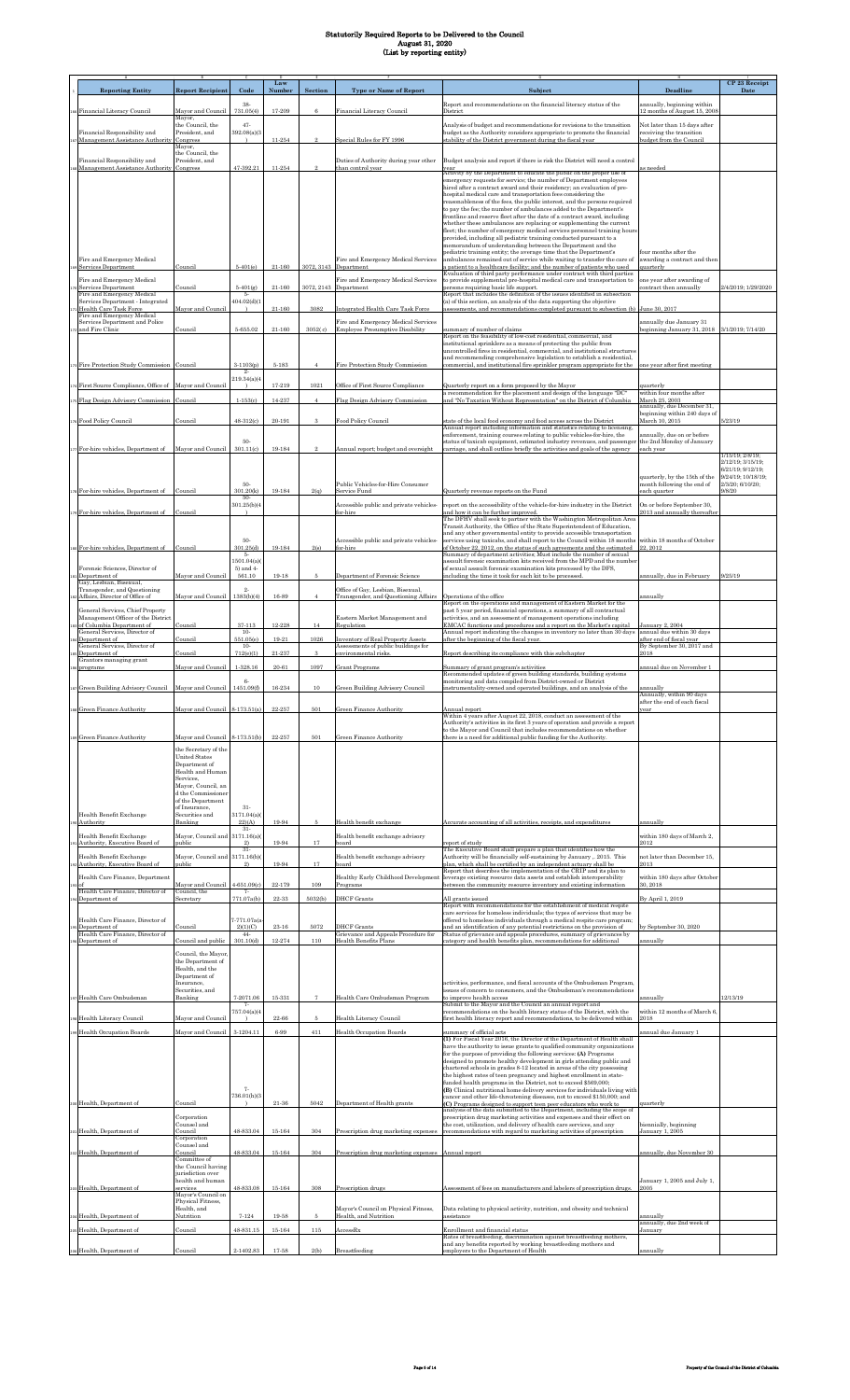|                                                                        |                                              |                      | Law        |                       |                                                                                 |                                                                                                                                                                                                                         |                                                             | CP 23 Receipt                          |
|------------------------------------------------------------------------|----------------------------------------------|----------------------|------------|-----------------------|---------------------------------------------------------------------------------|-------------------------------------------------------------------------------------------------------------------------------------------------------------------------------------------------------------------------|-------------------------------------------------------------|----------------------------------------|
| <b>Reporting Entity</b>                                                | <b>Report Recipient</b>                      | Code                 | Number     | <b>Section</b>        | <b>Type or Name of Report</b>                                                   | Subject                                                                                                                                                                                                                 | <b>Deadline</b>                                             | Date                                   |
| Financial Literacy Council                                             | Mayor and Council                            | 38<br>731.05(4)      | 17-209     | 6                     | Financial Literacy Council                                                      | Report and recommendations on the financial literacy status of the<br>District                                                                                                                                          | annually, beginning within<br>12 months of August 15, 2008  |                                        |
|                                                                        | Mayor,                                       | 47.                  |            |                       |                                                                                 |                                                                                                                                                                                                                         |                                                             |                                        |
| Financial Responsibility and                                           | the Council, the<br>President, and           | 392.08(a)(3          |            |                       |                                                                                 | Analysis of budget and recommendations for revisions to the transition<br>budget as the Authority considers appropriate to promote the financial                                                                        | Not later than 15 days after<br>receiving the transition    |                                        |
| Management Assistance Authority                                        | Congress<br>Mayor,                           |                      | 11-254     | $\mathcal{D}$         | pecial Rules for FY 1996                                                        | stability of the District government during the fiscal year                                                                                                                                                             | budget from the Council                                     |                                        |
| Financial Responsibility and                                           | the Council, the<br>President, and           |                      |            |                       | Duties of Authority during year other                                           | Budget analysis and report if there is risk the District will need a control                                                                                                                                            |                                                             |                                        |
| Management Assistance Author                                           | Congress                                     | 47-392.21            | 11-254     |                       | than control year                                                               | year<br>Activity by the Department to educate the public on the proper use of                                                                                                                                           | is needed                                                   |                                        |
|                                                                        |                                              |                      |            |                       |                                                                                 | emergency requests for service; the number of Department employees<br>hired after a contract award and their residency; an evaluation of pre-                                                                           |                                                             |                                        |
|                                                                        |                                              |                      |            |                       |                                                                                 | hospital medical care and transportation fees considering the<br>reasonableness of the fees, the public interest, and the persons required                                                                              |                                                             |                                        |
|                                                                        |                                              |                      |            |                       |                                                                                 | to pay the fee; the number of ambulances added to the Department's<br>frontline and reserve fleet after the date of a contract award, including                                                                         |                                                             |                                        |
|                                                                        |                                              |                      |            |                       |                                                                                 | whether these ambulances are replacing or supplementing the current<br>fleet; the number of emergency medical services personnel training hours                                                                         |                                                             |                                        |
|                                                                        |                                              |                      |            |                       |                                                                                 | provided, including all pediatric training conducted pursuant to a                                                                                                                                                      |                                                             |                                        |
|                                                                        |                                              |                      |            |                       |                                                                                 | memorandum of understanding between the Department and the<br>pediatric training entity; the average time that the Department's                                                                                         | four months after the                                       |                                        |
| Fire and Emergency Medical<br>Services Department                      | Council                                      | $5-401(e)$           | $21 - 160$ | 3072, 3143 Department | Fire and Emergency Medical Services                                             | ambulances remained out of service while waiting to transfer the care of<br>a patient to a healthcare facility; and the number of patients who used                                                                     | awarding a contract and then<br>quarterly                   |                                        |
| Fire and Emergency Medical                                             |                                              |                      |            |                       | Fire and Emergency Medical Services                                             | Evaluation of third party performance under contract with third parties<br>to provide supplemental pre-hospital medical care and transportation to                                                                      | one year after awarding of                                  |                                        |
| Services Department<br>Fire and Emergency Medical                      | Council                                      | $5-401(g)$           | 21-160     | 3072, 2143 Department |                                                                                 | persons requiring basic life support.<br>Report that includes the definition of the issues identified in subsection                                                                                                     | contract then annually                                      | 2/4/2019; 1/29/2020                    |
| Services Department - Integrated<br>Health Care Task Force             | Mayor and Council                            | 404.02(d)(1          | $21 - 160$ | 3082                  | Integrated Health Care Task Force                                               | (a) of this section, an analysis of the data supporting the objective<br>assessments, and recommendations completed pursuant to subsection (b) June 30, 2017                                                            |                                                             |                                        |
| Fire and Emergency Medical<br>Services Department and Police           |                                              |                      |            |                       | Fire and Emergency Medical Services                                             |                                                                                                                                                                                                                         | annually due January 31                                     |                                        |
| and Fire Clinic                                                        | Council                                      | $5 - 655.02$         | $21 - 160$ | 3052(c)               | <b>Employee Presumptive Disability</b>                                          | summary of number of claims<br>Report on the feasibility of low-cost residential, commercial, and                                                                                                                       | beginning January 31, 2018 3/1/2019; 7/14/20                |                                        |
|                                                                        |                                              |                      |            |                       |                                                                                 | institutional sprinklers as a means of protecting the public from<br>uncontrolled fires in residential, commercial, and institutional structures                                                                        |                                                             |                                        |
| Fire Protection Study Commission                                       | Council                                      | $3-1103(p)$          | 5-183      |                       | Fire Protection Study Commission                                                | and recommending comprehensive legislation to establish a residential,<br>commercial, and institutional fire sprinkler program appropriate for the                                                                      | one year after first meeting                                |                                        |
|                                                                        |                                              | $2 -$<br>219.34(a)(4 |            |                       |                                                                                 |                                                                                                                                                                                                                         |                                                             |                                        |
| First Source Compliance, Office of                                     | Mayor and Council                            |                      | 17-219     | 1021                  | Office of First Source Compliance                                               | Quarterly report on a form proposed by the Mayor<br>a recommendation for the placement and design of the language "DC"                                                                                                  | quarterly<br>within four months after                       |                                        |
| Flag Design Advisory Commission                                        | Council                                      | $1-153(c)$           | 14-237     | $\overline{4}$        | Flag Design Advisory Commission                                                 | and "No Taxation Without Representation" on the District of Columbia                                                                                                                                                    | March 25, 2003<br>annually, due December 31,                |                                        |
|                                                                        |                                              |                      |            |                       |                                                                                 |                                                                                                                                                                                                                         | beginning within 240 days of                                |                                        |
| Food Policy Council                                                    | Council                                      | 48-312(c)            | 20-191     | 3                     | Food Policy Council                                                             | state of the local food economy and food access across the District<br>Annual report including information and statistics relating to licensing,                                                                        | March 10, 2015                                              | 5/23/19                                |
|                                                                        |                                              | 50-                  |            |                       |                                                                                 | enforcement, training courses relating to public vehicles-for-hire, the<br>status of taxicab equipment, estimated industry revenues, and passenger                                                                      | annually, due on or before<br>the 2nd Monday of January     |                                        |
| For-hire vehicles, Department of                                       | Mayor and Council                            | 301.11(c)            | 19-184     | $\mathcal{D}$         | Annual report; budget and oversight                                             | carriage, and shall outline briefly the activities and goals of the agency                                                                                                                                              | each year                                                   | 1/15/19; 2/8/19;                       |
|                                                                        |                                              |                      |            |                       |                                                                                 |                                                                                                                                                                                                                         |                                                             | 2/12/19; 3/15/19;<br>6/21/19; 9/12/19; |
|                                                                        |                                              | 50-                  |            |                       | Public Vehicles-for-Hire Consumer                                               |                                                                                                                                                                                                                         | quarterly, by the 15th of the<br>month following the end of | 9/24/19; 10/18/19;<br>2/3/20; 6/10/20; |
| For-hire vehicles, Department of                                       | Council                                      | 301.20(k)<br>50-     | 19-184     | 2(q)                  | Service Fund                                                                    | Quarterly revenue reports on the Fund                                                                                                                                                                                   | ach quarter                                                 | 9/8/20                                 |
| For-hire vehicles, Department of                                       | Council                                      | 301.25(b)(4          |            |                       | Accessible public and private vehicles-<br>for-hire                             | report on the accessibility of the vehicle-for-hire industry in the District<br>and how it can be further improved.                                                                                                     | On or before September 30,<br>2013 and annually thereafter  |                                        |
|                                                                        |                                              |                      |            |                       |                                                                                 | The DFHV shall seek to partner with the Washington Metropolitan Area<br>Transit Authority, the Office of the State Superintendent of Education,                                                                         |                                                             |                                        |
|                                                                        |                                              | 50-                  |            |                       | Accessible public and private vehicles-                                         | and any other governmental entity to provide accessible transportation<br>services using taxicabs, and shall report to the Council within 18 months                                                                     | within 18 months of October                                 |                                        |
| For-hire vehicles, Department of                                       | Council                                      | 301.25(d)            | 19-184     | 2(s)                  | for-hire                                                                        | of October 22, 2012, on the status of such agreements and the estimated<br>Summary of department activities; Must include the number of sexual                                                                          | 22, 2012                                                    |                                        |
|                                                                        |                                              | 1501.04(a)           |            |                       |                                                                                 | assault forensic examination kits received from the MPD and the number                                                                                                                                                  |                                                             |                                        |
| Forensic Sciences, Director of<br>Department of                        | Mayor and Council                            | 5) and 4-<br>561.10  | 19-18      | 5                     | Department of Forensic Science                                                  | of sexual assault forensic examination kits processed by the DFS,<br>including the time it took for each kit to be processed.                                                                                           | annually, due in February                                   | 9/25/19                                |
| Gay, Lesbian, Bisexual,<br>Fransgender, and Questioning                |                                              | $2\cdot$             |            |                       | Office of Gay, Lesbian, Bisexual,                                               |                                                                                                                                                                                                                         |                                                             |                                        |
| Affairs, Director of Office of                                         | Mayor and Council                            | 1383(b)(4)           | 16-89      |                       | Transgender, and Questioning Affairs                                            | Operations of the office<br>Report on the operations and management of Eastern Market for the                                                                                                                           | annually                                                    |                                        |
| General Services, Chief Property<br>Management Officer of the District |                                              |                      |            |                       | Eastern Market Management and                                                   | past 5 year period, financial operations, a summary of all contractual<br>activities, and an assessment of management operations including                                                                              |                                                             |                                        |
| of Columbia Department of<br>General Services, Director of             | Council                                      | 37-113<br>$10-$      | 12-228     | $14\,$                | Regulation                                                                      | EMCAC functions and procedures and a report on the Market's capital<br>Annual report indicating the changes in inventory no later than 30 days                                                                          | January 2, 2004<br>annual due within 30 days                |                                        |
| Department of<br>General Services, Director of                         | <u>louncil</u>                               | 551.05(e)<br>$10-$   | 19-21      | 1026                  | <b>Inventory of Real Property Assets</b><br>Assessments of public buildings for | after the beginning of the fiscal year.                                                                                                                                                                                 | after end of fiscal year<br>By September 30, 2017 and       |                                        |
| Department of<br>Grantors managing grant                               | Council                                      | 712(e)(1)            | $21 - 237$ | 3                     | environmental risks.                                                            | Report describing its compliance with this subchapter                                                                                                                                                                   | 2018                                                        |                                        |
| programs                                                               | Mayor and Council                            | 1-328.16             | $20 - 61$  | 1097                  | Grant Programs                                                                  | Summary of grant program's activities<br>Recommended updates of green building standards, building systems                                                                                                              | annual due on November 1                                    |                                        |
| 187 Green Building Advisory Council                                    | Mayor and Council                            | $6-$<br>1451.09(f)   | 16-234     | $10\,$                | <b>Green Building Advisory Council</b>                                          | monitoring and data compiled from District-owned or District<br>instrumentality-owned and operated buildings, and an analysis of the                                                                                    | annually                                                    |                                        |
|                                                                        |                                              |                      |            |                       |                                                                                 |                                                                                                                                                                                                                         | Annually, within 90 days                                    |                                        |
| ss Green Finance Authority                                             |                                              |                      |            |                       |                                                                                 |                                                                                                                                                                                                                         | after the end of each fiscal                                |                                        |
|                                                                        | Mayor and Council 8-173.51(a)                |                      | 22-257     | 501                   | Green Finance Authority                                                         | Annual report<br>Within 4 years after August 22, 2018, conduct an assessment of the                                                                                                                                     | rear                                                        |                                        |
|                                                                        |                                              |                      |            |                       |                                                                                 | Authority's activities in its first 3 years of operation and provide a report<br>to the Mayor and Council that includes recommendations on whether                                                                      |                                                             |                                        |
| Green Finance Authority                                                | Mayor and Council 8-173.51(b)                |                      | 22-257     | 501                   | Green Finance Authority                                                         | there is a need for additional public funding for the Authority.                                                                                                                                                        |                                                             |                                        |
|                                                                        | the Secretary of the<br><b>United States</b> |                      |            |                       |                                                                                 |                                                                                                                                                                                                                         |                                                             |                                        |
|                                                                        | Department of<br>Health and Human            |                      |            |                       |                                                                                 |                                                                                                                                                                                                                         |                                                             |                                        |
|                                                                        | Services,<br>Mavor, Council, an              |                      |            |                       |                                                                                 |                                                                                                                                                                                                                         |                                                             |                                        |
|                                                                        | d the Commissioner                           |                      |            |                       |                                                                                 |                                                                                                                                                                                                                         |                                                             |                                        |
|                                                                        | of the Department<br>of Insurance,           | $31 -$               |            |                       |                                                                                 |                                                                                                                                                                                                                         |                                                             |                                        |
| Health Benefit Exchange<br>Authority                                   | Securities and<br>Banking                    | 3171.04(a)<br>22(A)  | 19-94      | 5.                    | Health benefit exchange                                                         | Accurate accounting of all activities, receipts, and expenditures                                                                                                                                                       | annually                                                    |                                        |
| Health Benefit Exchange                                                | Mayor, Council and                           | $31-$<br>3171.16(a)  |            |                       | Health benefit exchange advisory                                                |                                                                                                                                                                                                                         | within 180 days of March 2,                                 |                                        |
| Authority, Executive Board of                                          | oublic                                       | 2)<br>$31-$          | 19-94      | $17\,$                | hreo                                                                            | report of study<br>The Executive Board shall prepare a plan that identifies how the                                                                                                                                     | 2012                                                        |                                        |
| Health Benefit Exchange<br>Authority, Executive Board of               | Mayor, Council and<br>public                 | 3171.16(b)<br>2)     | 19-94      | 17                    | Health benefit exchange advisory<br>$_{\mathrm{board}}$                         | Authority will be financially self-sustaining by January, 2015. This<br>plan, which shall be certified by an independent actuary shall be                                                                               | not later than December 15,<br>2013                         |                                        |
| Health Care Finance, Department                                        |                                              |                      |            |                       | Healthy Early Childhood Development                                             | Report that describes the implementation of the CRIP and its plan to<br>leverage existing resource data assets and establish interoperability                                                                           | within 180 days after October                               |                                        |
| Health Care Finance, Director of                                       | Mayor and Council<br>Council, the            | 4-651.09(c<br>7.     | 22-179     | 109                   | Programs                                                                        | between the community resource inventory and existing information                                                                                                                                                       | 30.2018                                                     |                                        |
| Department of                                                          | Secretary                                    | 771.07a(b)           | 22-33      | 5032(b)               | <b>DHCF</b> Grants                                                              | All grants issued<br>Report with recommendations for the establishment of medical respite                                                                                                                               | By April 1, 2019                                            |                                        |
| Health Care Finance, Director of                                       |                                              | $7 - 771.07a(a)$     |            |                       |                                                                                 | care services for homeless individuals; the types of services that may be<br>offered to homeless individuals through a medical respite care program;                                                                    |                                                             |                                        |
| Department of<br>Health Care Finance, Director of                      | Council                                      | 2)(1)(C)<br>$44-$    | 23-16      | 5072                  | DHCF Grants<br>Grievance and Appeals Procedure for                              | and an identification of any potential restrictions on the provision of<br>Status of grievance and appeals procedures, summary of grievances by                                                                         | by September 30, 2020                                       |                                        |
| Department of                                                          | Council and public                           | 301.10(d)            | 12-274     | 110                   | Health Benefits Plans                                                           | ategory and health benefits plan, recommendations for additional                                                                                                                                                        | annually                                                    |                                        |
|                                                                        | Council, the Mayor,<br>the Department of     |                      |            |                       |                                                                                 |                                                                                                                                                                                                                         |                                                             |                                        |
|                                                                        | Health, and the<br>Department of             |                      |            |                       |                                                                                 |                                                                                                                                                                                                                         |                                                             |                                        |
|                                                                        | Insurance,<br>Securities, and                |                      |            |                       |                                                                                 | activities, performance, and fiscal accounts of the Ombudsman Program,<br>issues of concern to consumers, and the Ombudsman's recommendations                                                                           |                                                             |                                        |
| 7 Health Care Ombudsman                                                | Banking                                      | 7-2071.06            | 15-331     | $\overline{7}$        | Health Care Ombudsman Program                                                   | to improve health access<br>Submit to the Mayor and the Council an annual report and                                                                                                                                    | annually                                                    | 12/13/19                               |
| Health Literacy Council                                                | Mayor and Council                            | 757.04(a)(4          | 22-66      | 5                     | Health Literacy Council                                                         | recommendations on the health literacy status of the District, with the<br>first health literacy report and recommendations, to be delivered within                                                                     | within 12 months of March 6,<br>2018                        |                                        |
| Health Occupation Boards                                               | Mayor and Council                            | 3-1204.11            | 6-99       | 411                   | <b>Health Occupation Boards</b>                                                 | summary of official acts                                                                                                                                                                                                | nnual due January 1                                         |                                        |
|                                                                        |                                              |                      |            |                       |                                                                                 | (1) For Fiscal Year 2016, the Director of the Department of Health shall<br>have the authority to issue grants to qualified community organizations                                                                     |                                                             |                                        |
|                                                                        |                                              |                      |            |                       |                                                                                 | for the purpose of providing the following services: (A) Programs<br>designed to promote healthy development in girls attending public and                                                                              |                                                             |                                        |
|                                                                        |                                              |                      |            |                       |                                                                                 | chartered schools in grades 8-12 located in areas of the city possessing<br>the highest rates of teen pregnancy and highest enrollment in state-                                                                        |                                                             |                                        |
|                                                                        |                                              | $7-$                 |            |                       |                                                                                 | funded health programs in the District, not to exceed \$569,000;                                                                                                                                                        |                                                             |                                        |
|                                                                        |                                              | 736.01(h)(3          | $21 - 36$  | 5042                  |                                                                                 | (B) Clinical nutritional home delivery services for individuals living with<br>cancer and other life-threatening diseases, not to exceed \$150,000; and                                                                 | quarterly                                                   |                                        |
| Health, Department of                                                  | Council<br>Corporation                       |                      |            |                       | Department of Health grants                                                     | (C) Programs designed to support teen peer educators who work to<br>analysis of the data submitted to the Department, including the scope of<br>prescription drug marketing activities and expenses and their effect on |                                                             |                                        |
| Health, Department of                                                  | Counsel and<br><b>Council</b>                | 48-833.04            | $15 - 164$ | 304                   | Prescription drug marketing expenses                                            | the cost, utilization, and delivery of health care services, and any<br>recommendations with regard to marketing activities of prescription                                                                             | biennially, beginning<br>January 1, 2005                    |                                        |
|                                                                        | Corporation<br>Counsel and                   |                      |            |                       |                                                                                 |                                                                                                                                                                                                                         |                                                             |                                        |
| Health, Department of                                                  | Council<br>Committee of                      | 48-833.04            | 15-164     | 304                   | Prescription drug marketing expenses                                            | Annual report                                                                                                                                                                                                           | annually, due November 30                                   |                                        |
|                                                                        | the Council having<br>jurisdiction over      |                      |            |                       |                                                                                 |                                                                                                                                                                                                                         |                                                             |                                        |
|                                                                        | health and human                             | 48-833.08            |            | 308                   |                                                                                 |                                                                                                                                                                                                                         | January 1, 2005 and July 1,<br>2005                         |                                        |
| Health, Department of                                                  | services<br>Mayor's Council on               |                      | 15-164     |                       | Prescription drugs                                                              | Assessment of fees on manufacturers and labelers of prescription drugs.                                                                                                                                                 |                                                             |                                        |
|                                                                        | Physical Fitness,<br>Health, and             |                      |            | 5                     | Mayor's Council on Physical Fitness,                                            | Data relating to physical activity, nutrition, and obesity and technical                                                                                                                                                |                                                             |                                        |
| Health, Department of                                                  | Nutrition                                    | $7 - 124$            | 19-58      |                       | Health, and Nutrition                                                           | assistance                                                                                                                                                                                                              | annually<br>annually, due 2nd week of                       |                                        |
| Health, Department of                                                  | <b>Council</b>                               | 48-831.15            | 15-164     | 115                   | $\lambda$ ccess $Rx$                                                            | Enrollment and financial status<br>Rates of breastfeeding, discrimination against breastfeeding mothers,<br>and any benefits reported by working breastfeeding mothers and                                              | Januarv                                                     |                                        |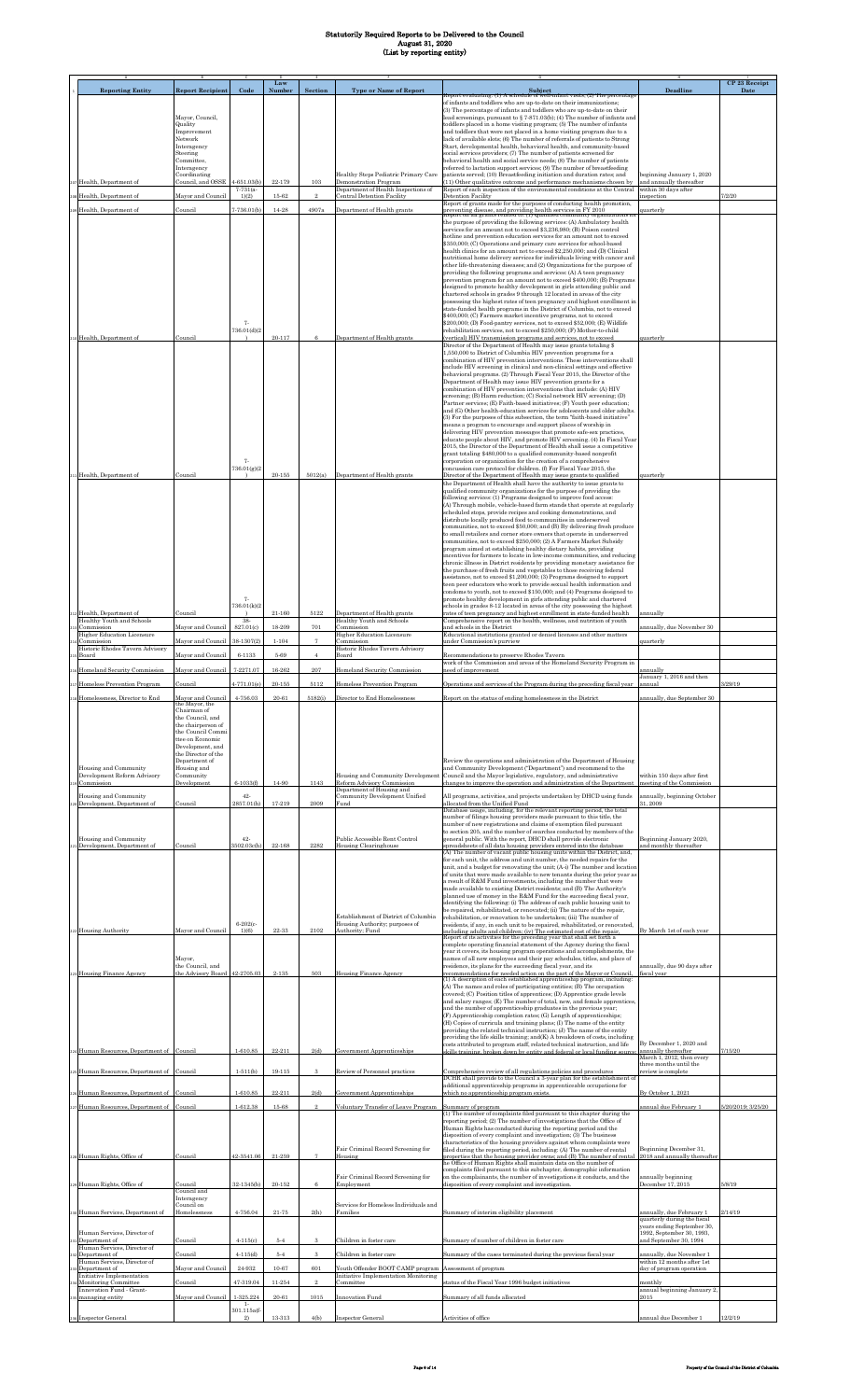|                                                                    |                                                             |                               | Law                |                |                                                                 |                                                                                                                                                                                                                                |                                                                                    | CP 23 Receipt      |
|--------------------------------------------------------------------|-------------------------------------------------------------|-------------------------------|--------------------|----------------|-----------------------------------------------------------------|--------------------------------------------------------------------------------------------------------------------------------------------------------------------------------------------------------------------------------|------------------------------------------------------------------------------------|--------------------|
| <b>Reporting Entity</b>                                            | <b>Report Recipient</b>                                     | Code                          | Number             | Section        | <b>Type or Name of Report</b>                                   | Subject<br>Report evaluating: (1) A schedule of well-infant visits: (2) The percentage<br>of infants and toddlers who are up-to-date on their immunizations;                                                                   | Deadline                                                                           | Date               |
|                                                                    | Mayor, Council,                                             |                               |                    |                |                                                                 | (3) The percentage of infants and toddlers who are up-to-date on their<br>lead screenings, pursuant to $\S$ 7-871.03(b); (4) The number of infants and                                                                         |                                                                                    |                    |
|                                                                    | Quality<br>Improvement                                      |                               |                    |                |                                                                 | toddlers placed in a home visiting program; (5) The number of infants<br>and toddlers that were not placed in a home visiting program due to a                                                                                 |                                                                                    |                    |
|                                                                    | Network<br>Interagency                                      |                               |                    |                |                                                                 | lack of available slots; (6) The number of referrals of patients to Strong<br>Start, developmental health, behavioral health, and community-based                                                                              |                                                                                    |                    |
|                                                                    | Steering<br>Committee.                                      |                               |                    |                |                                                                 | social services providers; (7) The number of patients screened for<br>behavioral health and social service needs; (8) The number of patients                                                                                   |                                                                                    |                    |
|                                                                    | Interagency<br>Coordinating                                 |                               |                    |                | Healthy Steps Pediatric Primary Care                            | referred to lactation support services; (9) The number of breastfeeding<br>patients served; (10) Breastfeeding initiation and duration rates; and                                                                              | beginning January 1, 2020                                                          |                    |
| Health, Department of                                              | Council, and OSSE                                           | $4 - 651.03(b)$<br>$7-731(a-$ | 22-179             | 103            | Demonstration Program<br>Department of Health Inspections of    | (11) Other qualitative outcome and performance mechanisms chosen by<br>Report of each inspection of the environmental conditions at the Central                                                                                | and annually thereafter<br>within 30 days after                                    | 7/2/20             |
| Health, Department of                                              | Mayor and Council                                           | 1)(2)<br>$7-736.01(b)$        | $15 - 62$<br>14-28 | 4907a          | <b>Central Detention Facility</b>                               | Detention Facility<br>Report of grants made for the purposes of conducting health promotion,                                                                                                                                   | nspection                                                                          |                    |
| Health, Department of                                              | Council                                                     |                               |                    |                | Department of Health grants                                     | preventing disease, and providing health services in FY 2010<br>Report on all grants related to: (1) Qualified community organizations is<br>the purpose of providing the following services: (A) Ambulatory health            | quarterly                                                                          |                    |
|                                                                    |                                                             |                               |                    |                |                                                                 | services for an amount not to exceed \$3,236,980; (B) Poison control<br>hotline and prevention education services for an amount not to exceed                                                                                  |                                                                                    |                    |
|                                                                    |                                                             |                               |                    |                |                                                                 | \$350,000; (C) Operations and primary care services for school-based<br>health clinics for an amount not to exceed \$2,250,000; and (D) Clinical                                                                               |                                                                                    |                    |
|                                                                    |                                                             |                               |                    |                |                                                                 | nutritional home delivery services for individuals living with cancer and<br>other life-threatening diseases; and (2) Organizations for the purpose of                                                                         |                                                                                    |                    |
|                                                                    |                                                             |                               |                    |                |                                                                 | providing the following programs and services: (A) A teen pregnancy<br>prevention program for an amount not to exceed \$400,000; (B) Programs                                                                                  |                                                                                    |                    |
|                                                                    |                                                             |                               |                    |                |                                                                 | designed to promote healthy development in girls attending public and<br>chartered schools in grades 9 through 12 located in areas of the city                                                                                 |                                                                                    |                    |
|                                                                    |                                                             |                               |                    |                |                                                                 | possessing the highest rates of teen pregnancy and highest enrollment in<br>state-funded health programs in the District of Columbia, not to exceed                                                                            |                                                                                    |                    |
|                                                                    |                                                             | 7.                            |                    |                |                                                                 | \$400,000; (C) Farmers market incentive programs, not to exceed<br>\$200,000; (D) Food-pantry services, not to exceed \$52,000; (E) Wildlife                                                                                   |                                                                                    |                    |
| dealth, Department of                                              | Council                                                     | 736.01(d)(2                   | $20 - 117$         | 6              | Department of Health grants                                     | rehabilitation services, not to exceed \$250,000; (F) Mother-to-child<br>(vertical) HIV transmission programs and services, not to exceed<br>Director of the Department of Health may issue grants totaling \$                 | quarterly                                                                          |                    |
|                                                                    |                                                             |                               |                    |                |                                                                 | 1,550,000 to District of Columbia HIV prevention programs for a<br>combination of HIV prevention interventions. These interventions shall                                                                                      |                                                                                    |                    |
|                                                                    |                                                             |                               |                    |                |                                                                 | include HIV screening in clinical and non-clinical settings and effective<br>behavioral programs. (2) Through Fiscal Year 2015, the Director of the                                                                            |                                                                                    |                    |
|                                                                    |                                                             |                               |                    |                |                                                                 | Department of Health may issue HIV prevention grants for a<br>combination of HIV prevention interventions that include: (A) HIV                                                                                                |                                                                                    |                    |
|                                                                    |                                                             |                               |                    |                |                                                                 | screening; (B) Harm reduction; (C) Social network HIV screening; (D)<br>Partner services; (E) Faith-based initiatives; (F) Youth peer education;                                                                               |                                                                                    |                    |
|                                                                    |                                                             |                               |                    |                |                                                                 | and (G) Other health-education services for adolescents and older adults.<br>(3) For the purposes of this subsection, the term "faith-based initiative"                                                                        |                                                                                    |                    |
|                                                                    |                                                             |                               |                    |                |                                                                 | means a program to encourage and support places of worship in<br>delivering HIV prevention messages that promote safe-sex practices,                                                                                           |                                                                                    |                    |
|                                                                    |                                                             |                               |                    |                |                                                                 | educate people about HIV, and promote HIV screening. (4) In Fiscal Year<br>2015, the Director of the Department of Health shall issue a competitive                                                                            |                                                                                    |                    |
|                                                                    |                                                             | 7.                            |                    |                |                                                                 | grant totaling \$480,000 to a qualified community-based nonprofit<br>corporation or organization for the creation of a comprehensive                                                                                           |                                                                                    |                    |
| Health, Department of                                              | Council                                                     | 736.01(g)(2                   | $20 - 155$         | 5012(a)        | Department of Health grants                                     | concussion care protocol for children. (f) For Fiscal Year 2015, the<br>Director of the Department of Health may issue grants to qualified                                                                                     | quarterly                                                                          |                    |
|                                                                    |                                                             |                               |                    |                |                                                                 | the Department of Health shall have the authority to issue grants to<br>qualified community organizations for the purpose of providing the                                                                                     |                                                                                    |                    |
|                                                                    |                                                             |                               |                    |                |                                                                 | following services: (1) Programs designed to improve food access:<br>(A) Through mobile, vehicle-based farm stands that operate at regularly                                                                                   |                                                                                    |                    |
|                                                                    |                                                             |                               |                    |                |                                                                 | scheduled stops, provide recipes and cooking demonstrations, and<br>distribute locally produced food to communities in underserved<br>communities, not to exceed \$50,000; and (B) By delivering fresh produce                 |                                                                                    |                    |
|                                                                    |                                                             |                               |                    |                |                                                                 | to small retailers and corner store owners that operate in underserved<br>communities, not to exceed \$250,000; (2) A Farmers Market Subsidy                                                                                   |                                                                                    |                    |
|                                                                    |                                                             |                               |                    |                |                                                                 | program aimed at establishing healthy dietary habits, providing<br>incentives for farmers to locate in low-income communities, and reducing                                                                                    |                                                                                    |                    |
|                                                                    |                                                             |                               |                    |                |                                                                 | chronic illness in District residents by providing monetary assistance for<br>the purchase of fresh fruits and vegetables to those receiving federal                                                                           |                                                                                    |                    |
|                                                                    |                                                             |                               |                    |                |                                                                 | assistance, not to exceed \$1,200,000; (3) Programs designed to support<br>teen peer educators who work to provide sexual health information and                                                                               |                                                                                    |                    |
|                                                                    |                                                             | 7.                            |                    |                |                                                                 | condoms to youth, not to exceed \$150,000; and (4) Programs designed to<br>promote healthy development in girls attending public and chartered                                                                                 |                                                                                    |                    |
| Health, Department of                                              | Council                                                     | 736.01(k)(2                   | $21 - 160$         | 5122           | Department of Health grants                                     | schools in grades 8-12 located in areas of the city possessing the highest<br>rates of teen pregnancy and highest enrollment in state-funded health                                                                            | annually                                                                           |                    |
| Healthy Youth and Schools<br>Commission                            | Mayor and Council                                           | 38-<br>827.01(c)              | 18-209             | 701            | Healthy Youth and Schools<br>Commission                         | Comprehensive report on the health, wellness, and nutrition of youth<br>and schools in the District                                                                                                                            | annually, due November 30                                                          |                    |
| <b>Higher Education Licensure</b><br>Commission                    | Mayor and Council                                           | 38-1307(2)                    | $1 - 104$          |                | <b>Higher Education Licensure</b><br>Commission                 | Educational institutions granted or denied licenses and other matters<br>under Commission's purview                                                                                                                            | quarterly                                                                          |                    |
| Historic Rhodes Tavern Advisory<br>Board                           | Mayor and Council                                           | 6-1133                        | 5-69               | $\overline{4}$ | Historic Rhodes Tavern Advisory<br>Board                        | Recommendations to preserve Rhodes Tavern<br>work of the Commission and areas of the Homeland Security Program in                                                                                                              |                                                                                    |                    |
| Homeland Security Commission                                       | Mayor and Council                                           | 7-2271.07                     | 16-262             | 207            | Homeland Security Commission                                    | need of improvement                                                                                                                                                                                                            | ınnually<br>January 1, 2016 and then                                               |                    |
| Homeless Prevention Program                                        | Council                                                     | $4 - 771.01(e)$               | $20 - 155$         | 5112           | Homeless Prevention Program                                     | Operations and services of the Program during the preceding fiscal year                                                                                                                                                        | annual                                                                             | 3/29/19            |
|                                                                    | layor and Counci<br>the Mayor, the                          |                               |                    |                |                                                                 |                                                                                                                                                                                                                                |                                                                                    |                    |
|                                                                    | Chairman of<br>the Council, and                             |                               |                    |                |                                                                 |                                                                                                                                                                                                                                |                                                                                    |                    |
|                                                                    | the chairperson of<br>the Council Commi<br>ttee on Economic |                               |                    |                |                                                                 |                                                                                                                                                                                                                                |                                                                                    |                    |
|                                                                    | Development, and<br>the Director of the                     |                               |                    |                |                                                                 |                                                                                                                                                                                                                                |                                                                                    |                    |
| Housing and Community                                              | Department of<br>Housing and                                |                               |                    |                |                                                                 | Review the operations and administration of the Department of Housing<br>and Community Development ("Department") and recommend to the                                                                                         |                                                                                    |                    |
| Development Reform Advisory<br>Commission                          | Community<br>Development                                    | $6 - 1033(f)$                 | 14-90              | 1143           | Housing and Community Development<br>Reform Advisory Commission | Council and the Mayor legislative, regulatory, and administrative<br>changes to improve the operation and administration of the Department meeting of the Commission                                                           | within 150 days after first                                                        |                    |
| Housing and Community                                              |                                                             | $42-$                         |                    |                | Department of Housing and<br>Community Development Unified      | All programs, activities, and projects undertaken by DHCD using funds                                                                                                                                                          | annually, beginning October                                                        |                    |
| Development, Department of                                         | Council                                                     | 2857.01(h)                    | 17-219             | 2009           | Fund                                                            | allocated from the Unified Fund<br>Database usage, including, for the relevant reporting period, the total                                                                                                                     | 31 2009                                                                            |                    |
|                                                                    |                                                             |                               |                    |                |                                                                 | number of filings housing providers made pursuant to this title, the<br>number of new registrations and claims of exemption filed pursuant                                                                                     |                                                                                    |                    |
| Housing and Community                                              |                                                             | $42-$                         |                    |                | Public Accessible Rent Control                                  | to section 205, and the number of searches conducted by members of the<br>general public. With the report, DHCD shall provide electronic                                                                                       | Beginning January 2020,                                                            |                    |
| Development, Department of                                         | Council                                                     | 3502.03c(h)                   | $22 - 168$         | 2282           | Housing Clearinghouse                                           | spreadsheets of all data housing providers entered into the database<br>(A) The number of vacant public housing units within the District, and,<br>for each unit, the address and unit number, the needed repairs for the      | and monthly thereafter                                                             |                    |
|                                                                    |                                                             |                               |                    |                |                                                                 | unit, and a budget for renovating the unit; (A-i) The number and location<br>of units that were made available to new tenants during the prior year as                                                                         |                                                                                    |                    |
|                                                                    |                                                             |                               |                    |                |                                                                 | a result of R&M Fund investments, including the number that were<br>made available to existing District residents; and (B) The Authority's                                                                                     |                                                                                    |                    |
|                                                                    |                                                             |                               |                    |                |                                                                 | planned use of money in the R&M Fund for the succeeding fiscal year,<br>identifying the following: (i) The address of each public housing unit to                                                                              |                                                                                    |                    |
|                                                                    |                                                             |                               |                    |                | Establishment of District of Columbia                           | be repaired, rehabilitated, or renovated; (ii) The nature of the repair,<br>rehabilitation, or renovation to be undertaken; (iii) The number of                                                                                |                                                                                    |                    |
| 222 Housing Authority                                              | Mayor and Council                                           | $6 - 202(c -$<br>1)(6)        | 22-33              | 2102           | Housing Authority; purposes of<br>Authority: Fund               | residents, if any, in each unit to be repaired, rehabilitated, or renovated,<br>including adults and children; (iv) The estimated cost of the repair<br>Report of its activities for the preceding year that shall set forth a | By March 1st of each year                                                          |                    |
|                                                                    |                                                             |                               |                    |                |                                                                 | complete operating financial statement of the Agency during the fiscal<br>year it covers, its housing program operations and accomplishments, the                                                                              |                                                                                    |                    |
|                                                                    | Mayor,<br>the Council, and                                  |                               |                    |                |                                                                 | names of all new employees and their pay schedules, titles, and place of<br>residence, its plans for the succeeding fiscal year, and its                                                                                       | annually, due 90 days after                                                        |                    |
| <b>Housing Finance Agency</b>                                      | the Advisory Board                                          | 42-2705.03                    | $2 - 135$          | 503            | Housing Finance Agency                                          | recommendations for needed action on the part of the Mayor or Council,<br>(1) A description of each established apprenticeship program, including:                                                                             | fiscal year                                                                        |                    |
|                                                                    |                                                             |                               |                    |                |                                                                 | (A) The names and roles of participating entities; (B) The occupation<br>covered; (C) Position titles of apprentices; (D) Apprentice grade levels                                                                              |                                                                                    |                    |
|                                                                    |                                                             |                               |                    |                |                                                                 | and salary ranges; (E) The number of total, new, and female apprentices<br>and the number of apprenticeship graduates in the previous year;                                                                                    |                                                                                    |                    |
|                                                                    |                                                             |                               |                    |                |                                                                 | (F) Apprenticeship completion rates; (G) Length of apprenticeships;<br>(H) Copies of curricula and training plans; (I) The name of the entity                                                                                  |                                                                                    |                    |
|                                                                    |                                                             |                               |                    |                |                                                                 | providing the related technical instruction; (J) The name of the entity<br>providing the life skills training; and(K) A breakdown of costs, including                                                                          | By December 1, 2020 and                                                            |                    |
| 4 Human Resources, Department of Council                           |                                                             | $1 - 610.85$                  | 22-211             | 2(d)           | <b>Government Apprenticeships</b>                               | costs attributed to program staff, related technical instruction, and life<br>skills training, broken down by entity and federal or local funding source:                                                                      | annually thereafter<br>March 1, 2012, then every                                   | 7/15/20            |
| Human Resources, Department of Council                             |                                                             | $1-511(b)$                    | $19 - 115$         | 3              | Review of Personnel practices                                   | Comprehensive review of all regulations policies and procedures                                                                                                                                                                | three months until the<br>eview is complete                                        |                    |
|                                                                    |                                                             |                               |                    |                |                                                                 | DCHR shall provide to the Council a 3-year plan for the establishment o<br>additional apprenticeship programs in apprenticeable occupations for                                                                                |                                                                                    |                    |
| Human Resources, Department of Council                             |                                                             | $1 - 610.85$                  | 22-211             | 2(d)           | Government Apprenticeships                                      | which no apprenticeship program exists.                                                                                                                                                                                        | By October 1, 2021                                                                 |                    |
| Human Resources, Department of Council                             |                                                             | 1-612.38                      | 15-68              |                | Voluntary Transfer of Leave Program                             | Summary of program<br>(1) The number of complaints filed pursuant to this chapter during the                                                                                                                                   | annual due February 1                                                              | 5/20/2019; 3/25/20 |
|                                                                    |                                                             |                               |                    |                |                                                                 | reporting period; (2) The number of investigations that the Office of<br>Human Rights has conducted during the reporting period and the                                                                                        |                                                                                    |                    |
|                                                                    |                                                             |                               |                    |                | Fair Criminal Record Screening for                              | disposition of every complaint and investigation; (3) The business<br>characteristics of the housing providers against whom complaints were<br>filed during the reporting period, including: (A) The number of rental          | Beginning December 31,                                                             |                    |
| 228 Human Rights, Office of                                        | Council                                                     | 42-3541.06                    | 21-259             |                | Housing                                                         | properties that the housing provider owns; and (B) The number of rental<br>he Office of Human Rights shall maintain data on the number of                                                                                      | 2018 and annually thereafter                                                       |                    |
|                                                                    |                                                             |                               |                    |                | Fair Criminal Record Screening for                              | complaints filed pursuant to this subchapter, demographic information<br>on the complainants, the number of investigations it conducts, and the                                                                                | annually beginning                                                                 |                    |
| Human Rights, Office of                                            | Council<br>Council and                                      | 32-1345(b)                    | $20 - 152$         | 6              | Employment                                                      | disposition of every complaint and investigation.                                                                                                                                                                              | December 17, 2015                                                                  | 5/8/19             |
|                                                                    | Interagency<br>Council on                                   |                               |                    |                | Services for Homeless Individuals and                           |                                                                                                                                                                                                                                |                                                                                    |                    |
| Human Services, Department of                                      | Homelessness                                                | 4-756.04                      | $21 - 75$          | 2(h)           | Families                                                        | Summary of interim eligibility placement                                                                                                                                                                                       | annually, due February 1<br>quarterly during the fiscal                            | 2/14/19            |
| Human Services, Director of                                        |                                                             |                               |                    |                |                                                                 |                                                                                                                                                                                                                                | years ending September 30,<br>1992, September 30, 1993,                            |                    |
| Department of<br>Human Services, Director of                       | Council                                                     | $4 - 115(c)$                  | $5\hbox{-} 4$      | 3<br>3         | Children in foster care                                         | Summary of number of children in foster care                                                                                                                                                                                   | and September 30, 1994                                                             |                    |
| Department of<br>Human Services, Director of                       | Council<br>Mayor and Council                                | $4 - 115(d)$<br>24-932        | $5 - 4$<br>10-67   | 601            | Children in foster care<br>Youth Offender BOOT CAMP program     | Summary of the cases terminated during the previous fiscal year<br>Assessment of program                                                                                                                                       | annually, due November 1<br>within 12 months after 1st<br>day of program operation |                    |
| Department of<br>Initiative Implementation<br>Monitoring Committee | Council                                                     | 47-319.04                     | 11-254             |                | Initiative Implementation Monitoring<br>Committee               | status of the Fiscal Year 1996 budget initiatives                                                                                                                                                                              | monthly                                                                            |                    |
| Innovation Fund - Grant-<br>managing entity                        | Mayor and Council                                           | 1-325.224                     | $20 - 61$          | 1015           | Innovation Fund                                                 | Summary of all funds allocated                                                                                                                                                                                                 | annual beginning January 2,<br>2015                                                |                    |
|                                                                    |                                                             | $1-$<br>301.115a(f-           |                    |                |                                                                 |                                                                                                                                                                                                                                |                                                                                    |                    |
| 236 Inspector General                                              |                                                             | 2)                            | 13-313             | 4(b)           | <b>Inspector General</b>                                        | Activities of office                                                                                                                                                                                                           | annual due December 1                                                              | 12/2/19            |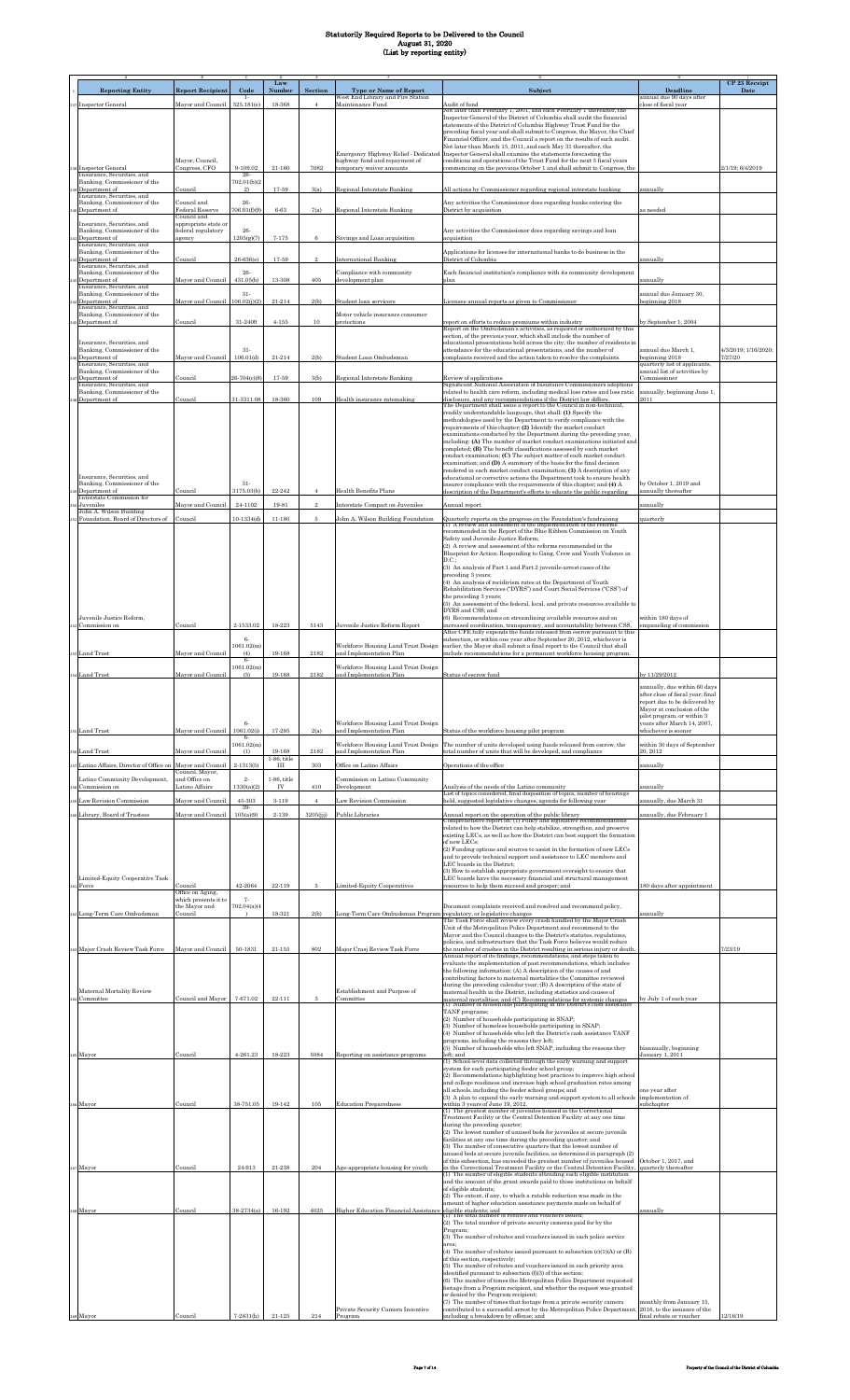| <b>Reporting Entity</b>                                                            |                                                     | Code                           | Law<br>Number        | Section        |                                                                                        | Subject                                                                                                                                                                                                                   | Deadline                                                                       | CP 23 Receipt<br>Date |
|------------------------------------------------------------------------------------|-----------------------------------------------------|--------------------------------|----------------------|----------------|----------------------------------------------------------------------------------------|---------------------------------------------------------------------------------------------------------------------------------------------------------------------------------------------------------------------------|--------------------------------------------------------------------------------|-----------------------|
| 37 Inspector General                                                               | <b>Report Recipient</b><br>Mayor and Council        | $1 -$<br>325.181(e)            | 18-368               |                | <b>Type or Name of Report</b><br>West End Library and Fire Station<br>Maintenance Fund | Audit of fund                                                                                                                                                                                                             | annual due 90 days after<br>close of fiscal vear                               |                       |
|                                                                                    |                                                     |                                |                      |                |                                                                                        | lot later than February 1, 2001, and each February 1 thereafter, the<br>Inspector General of the District of Columbia shall audit the financial                                                                           |                                                                                |                       |
|                                                                                    |                                                     |                                |                      |                |                                                                                        | statements of the District of Columbia Highway Trust Fund for the<br>preceding fiscal year and shall submit to Congress, the Mayor, the Chief                                                                             |                                                                                |                       |
|                                                                                    |                                                     |                                |                      |                |                                                                                        | Financial Officer, and the Council a report on the results of such audit.<br>Not later than March 15, 2011, and each May 31 thereafter, the                                                                               |                                                                                |                       |
|                                                                                    | Mayor, Council,                                     |                                |                      | 7082           | Emergency Highway Relief - Dedicated<br>highway fund and repayment of                  | Inspector General shall examine the statements forecasting the<br>conditions and operations of the Trust Fund for the next 5 fiscal years                                                                                 |                                                                                |                       |
| 38 Inspector General<br>Insurance, Securities, and<br>Banking, Commissioner of the | Congress, CFO                                       | 9-109.02<br>26-<br>702.01(b)(2 | $21 - 160$           |                | temporary waiver amounts                                                               | commencing on the previous October 1 and shall submit to Congress, the                                                                                                                                                    |                                                                                | 2/1/19; 6/4/2019      |
| Department of<br>Insurance, Securities, and                                        | Council                                             | 2)                             | 17-59                | 3(a)           | Regional Interstate Banking                                                            | All actions by Commissioner regarding regional interstate banking                                                                                                                                                         | annually                                                                       |                       |
| Banking, Commissioner of the<br>Department of                                      | Council and<br>Federal Reserve                      | 26-<br>706.01(f)(9)            | $6 - 63$             | 7(a)           | <b>Regional Interstate Banking</b>                                                     | Any activities the Commissioner does regarding banks entering the<br>District by acquisition                                                                                                                              | is needed                                                                      |                       |
| Insurance, Securities, and                                                         | Council and<br>appropriate state or                 |                                |                      |                |                                                                                        |                                                                                                                                                                                                                           |                                                                                |                       |
| Banking, Commissioner of the<br>Department of                                      | federal regulatory<br>agency                        | $26-$<br>1205(g)(7)            | $7 - 175$            | 6              | Savings and Loan acquisition                                                           | Any activities the Commissioner does regarding savings and loan<br>acquisition                                                                                                                                            |                                                                                |                       |
| Insurance, Securities, and<br>Banking, Commissioner of the<br>Department of        | Council                                             | 26-636(e)                      | 17-59                |                | <b>International Banking</b>                                                           | Applications for licenses for international banks to do business in the<br>District of Columbia                                                                                                                           | annually                                                                       |                       |
| Insurance, Securities, and<br>Banking, Commissioner of the                         |                                                     | 26-                            |                      |                | Compliance with community                                                              | Each financial institution's compliance with its community development                                                                                                                                                    |                                                                                |                       |
| Department of<br>Insurance, Securities, and                                        | Mayor and Council                                   | 431.05(b)                      | 13-308               | 405            | development plan                                                                       | plan                                                                                                                                                                                                                      | annually                                                                       |                       |
| Banking, Commissioner of the<br>Department of                                      | Mayor and Council                                   | $31-$<br>106.02(j)(2)          | 21-214               | 2(b)           | Student loan servicers                                                                 | Licensee annual reports as given to Commissioner                                                                                                                                                                          | annual due January 30,<br>eginning 2018                                        |                       |
| Insurance, Securities, and<br>Banking, Commissioner of the<br>Department of        | Council                                             | $31 - 2409$                    | $4 - 155$            | 10             | Motor vehicle insurance consumer<br>protections                                        | report on efforts to reduce premiums within industry                                                                                                                                                                      | y September 1, 2004                                                            |                       |
|                                                                                    |                                                     |                                |                      |                |                                                                                        | Report on the Ombudsman's activities, as required or authorized by this<br>section, of the previous year, which shall include the number of                                                                               |                                                                                |                       |
| Insurance, Securities, and<br>Banking, Commissioner of the                         |                                                     | $31-$                          |                      |                |                                                                                        | educational presentations held across the city, the number of residents in<br>attendance for the educational presentations, and the number of                                                                             | annual due March 1,                                                            | 4/3/2019; 1/16/2020;  |
| Department of<br>Insurance, Securities, and                                        | Mayor and Council                                   | 106.01(d)                      | $21 - 214$           | 2(b)           | Student Loan Ombudsman                                                                 | complaints received and the action taken to resolve the complaints                                                                                                                                                        | eginning 2018<br>quarterly list of applicants.<br>annual list of activities by | 1/27/20               |
| Banking, Commissioner of the<br>Department of<br>Insurance, Securities, and        | Council                                             | 26-704(c)(8)                   | 17-59                | 3(b)           | <b>Regional Interstate Banking</b>                                                     | Review of applications<br>Significant National Association of Insurance Commissioners adoptions                                                                                                                           | Commissioner                                                                   |                       |
| Banking, Commissioner of the<br>Department of                                      | Council                                             | 31-3311.08                     | 18-360               | 109            | Health insurance ratemaking                                                            | related to health care reform, including medical loss ratios and loss ratio<br>disclosure, and any recommendations if the District law differs.                                                                           | annually, beginning June 1,<br>2011                                            |                       |
|                                                                                    |                                                     |                                |                      |                |                                                                                        | The Department shall issue a report to the Council in non-technical,<br>readily understandable language, that shall: (1) Specify the                                                                                      |                                                                                |                       |
|                                                                                    |                                                     |                                |                      |                |                                                                                        | methodologies used by the Department to verify compliance with the<br>requirements of this chapter; (2) Identify the market conduct                                                                                       |                                                                                |                       |
|                                                                                    |                                                     |                                |                      |                |                                                                                        | examinations conducted by the Department during the preceding year,<br>including: (A) The number of market conduct examinations initiated and<br>completed; (B) The benefit classifications assessed by each market       |                                                                                |                       |
|                                                                                    |                                                     |                                |                      |                |                                                                                        | conduct examination; (C) The subject matter of each market conduct<br>examination; and (D) A summary of the basis for the final decision                                                                                  |                                                                                |                       |
| Insurance, Securities, and                                                         |                                                     |                                |                      |                |                                                                                        | rendered in each market conduct examination; (3) A description of any<br>educational or corrective actions the Department took to ensure health                                                                           |                                                                                |                       |
| Banking, Commissioner of the<br>Department of                                      | Council                                             | $31-$<br>3175.03(b)            | 22-242               |                | Health Benefits Plans                                                                  | insurer compliance with the requirements of this chapter; and (4) A<br>lescription of the Department's efforts to educate the public regarding                                                                            | by October 1, 2019 and<br>annually thereafter                                  |                       |
| Interstate Commission for<br>Juveniles<br>John A. Wilson Building                  | Mayor and Council                                   | 24-1102                        | 19-81                | $\overline{2}$ | Interstate Compact on Juveniles                                                        | Annual report                                                                                                                                                                                                             | annually                                                                       |                       |
| Foundation, Board of Directors of                                                  | Council                                             | $10-1334(d)$                   | 11-180               |                | John A. Wilson Building Foundation                                                     | Quarterly reports on the progress on the Foundation's fundraising<br>(1) A review and assessment of the implementation of the reforms                                                                                     | quarterly                                                                      |                       |
|                                                                                    |                                                     |                                |                      |                |                                                                                        | recommended in the Report of the Blue Ribbon Commission on Youth<br>Safety and Juvenile Justice Reform:                                                                                                                   |                                                                                |                       |
|                                                                                    |                                                     |                                |                      |                |                                                                                        | (2) A review and assessment of the reforms recommended in the<br>Blueprint for Action: Responding to Gang, Crew and Youth Violence in                                                                                     |                                                                                |                       |
|                                                                                    |                                                     |                                |                      |                |                                                                                        | D.C.<br>(3) An analysis of Part 1 and Part 2 juvenile-arrest cases of the                                                                                                                                                 |                                                                                |                       |
|                                                                                    |                                                     |                                |                      |                |                                                                                        | preceding 3 years;<br>(4) An analysis of recidivism rates at the Department of Youth<br>Rehabilitation Services ("DYRS") and Court Social Services ("CSS") of                                                             |                                                                                |                       |
|                                                                                    |                                                     |                                |                      |                |                                                                                        | the preceding 3 years:<br>(5) An assessment of the federal, local, and private resources available to                                                                                                                     |                                                                                |                       |
| Juvenile Justice Reform,                                                           |                                                     |                                |                      |                |                                                                                        | DYRS and CSS; and<br>(6) Recommendations on streamlining available resources and on                                                                                                                                       | within 180 days of                                                             |                       |
| Commission on                                                                      | Council                                             | 2-1533.02<br>$6-$              | 18-223               | 5143           | Juvenile Justice Reform Report                                                         | increased coordination, transparency, and accountability between CSS.<br>After CFE fully expends the funds released from escrow pursuant to this<br>subsection, or within one year after September 20, 2012, whichever is | empaneling of commission                                                       |                       |
| 253 Land Trust                                                                     | Mayor and Council                                   | 1061.02(m)<br>(4)              | 19-168               | 2182           | Workforce Housing Land Trust Design<br>and Implementation Plan                         | earlier, the Mayor shall submit a final report to the Council that shall<br>include recommendations for a permanent workforce housing program.                                                                            |                                                                                |                       |
|                                                                                    | Mayor and Council                                   | $6-$<br>.061.02(m)             |                      |                | Workforce Housing Land Trust Design                                                    |                                                                                                                                                                                                                           | y 11/29/2012                                                                   |                       |
| 54 Land Trust                                                                      |                                                     | (3)                            | 19-168               | $2182\,$       | and Implementation Plan                                                                | Status of escrow fund                                                                                                                                                                                                     | annually, due within 60 days                                                   |                       |
|                                                                                    |                                                     |                                |                      |                |                                                                                        |                                                                                                                                                                                                                           | after close of fiscal year; final<br>report due to be delivered by             |                       |
|                                                                                    |                                                     | в.                             |                      |                |                                                                                        |                                                                                                                                                                                                                           | Mayor at conclusion of the<br>pilot program, or within 3                       |                       |
| 255 Land Trust                                                                     | Mayor and Council                                   | 1061.02(i)<br>$6-$             | 17-285               | 2(a)           | Workforce Housing Land Trust Design<br>and Implementation Plan                         | Status of the workforce housing pilot program                                                                                                                                                                             | years after March 14, 2007,<br>whichever is sooner                             |                       |
| 256 Land Trust                                                                     | Mayor and Council                                   | 1061.02(m)<br>(1)              | 19-168               | 2182           | Workforce Housing Land Trust Design<br>and Implementation Plan                         | The number of units developed using funds released from escrow, the<br>total number of units that will be developed, and compliance                                                                                       | within 30 days of September<br>20, 2012                                        |                       |
| 57 Latino Affairs, Director of Office on Mayor and Council                         | Council. Mayor.                                     | $2 - 1313(5)$                  | 1-86, title<br>Ш     | 303            | Office on Latino Affairs                                                               | Operations of the office                                                                                                                                                                                                  | annually                                                                       |                       |
| Latino Community Development,<br>Commission on                                     | and Office on<br>Latino Affairs                     | $\overline{2}$<br>1330(a)(2)   | $1-86$ , title<br>IV | 410            | Commission on Latino Community<br>Development                                          | Analysis of the needs of the Latino community                                                                                                                                                                             | annually                                                                       |                       |
| 59 Law Revision Commission                                                         | Mayor and Council                                   | 45-303                         | $3 - 119$            |                | Law Revision Commission                                                                | List of topics considered, final disposition of topics, number of hearings<br>held, suggested legislative changes, agenda for following year                                                                              | annually, due March 31                                                         |                       |
| 60 Library, Board of Trustees                                                      | Mayor and Council                                   | 39-<br>105(a)(9)               | 2-139                | 3205(jjj)      | Public Libraries                                                                       | Annual report on the operation of the public library<br>Comprehensive report on: (1) Policy and legislative recommendations                                                                                               | annually, due February 1                                                       |                       |
|                                                                                    |                                                     |                                |                      |                |                                                                                        | related to how the District can help stabilize, strengthen, and preserve<br>existing LECs, as well as how the District can best support the formation                                                                     |                                                                                |                       |
|                                                                                    |                                                     |                                |                      |                |                                                                                        | of new LECs:<br>(2) Funding options and sources to assist in the formation of new LECs                                                                                                                                    |                                                                                |                       |
|                                                                                    |                                                     |                                |                      |                |                                                                                        | and to provide technical support and assistance to LEC members and<br>LEC boards in the District:                                                                                                                         |                                                                                |                       |
| Limited-Equity Cooperative Task                                                    |                                                     |                                |                      |                |                                                                                        | (3) How to establish appropriate government oversight to ensure that<br>LEC boards have the necessary financial and structural management                                                                                 |                                                                                |                       |
| 1 Force                                                                            | `ouncil<br>Office on Aging,<br>which presents it to | 42-2064<br>7.                  | 22-119               |                | Limited-Equity Cooperatives                                                            | resources to help them succeed and prosper; and                                                                                                                                                                           | 180 days after appointment                                                     |                       |
| 62 Long-Term Care Ombudsman                                                        | the Mayor and<br>Council                            | 702.04(a)(4)                   | 18-321               | 2(b)           | Long-Term Care Ombudsman Program                                                       | Document complaints received and resolved and recommend policy,<br>regulatory, or legislative changes                                                                                                                     | annually                                                                       |                       |
|                                                                                    |                                                     |                                |                      |                |                                                                                        | The Task Force shall review every crash handled by the Major Crash<br>Unit of the Metropolitan Police Department and recommend to the                                                                                     |                                                                                |                       |
|                                                                                    |                                                     |                                |                      | 802            |                                                                                        | Mayor and the Council changes to the District's statutes, regulations,<br>policies, and infrastructure that the Task Force believes would reduce                                                                          |                                                                                |                       |
| Major Crash Review Task Force                                                      | Mayor and Council                                   | $50 - 1831$                    | $21 - 155$           |                | Major Crasj Review Task Force                                                          | the number of crashes in the District resulting in serious injury or death.<br>Annual report of its findings, recommendations, and steps taken to<br>evaluate the implementation of past recommendations, which includes  |                                                                                | 7/23/19               |
|                                                                                    |                                                     |                                |                      |                |                                                                                        | the following information: (A) A description of the causes of and<br>contributing factors to maternal mortalities the Committee reviewed                                                                                  |                                                                                |                       |
| Maternal Mortality Review                                                          |                                                     |                                |                      |                | Establishment and Purpose of                                                           | during the preceding calendar year; (B) A description of the state of<br>maternal health in the District, including statistics and causes of                                                                              |                                                                                |                       |
| 64 Committee                                                                       | Council and Mayor                                   | 7-671.02                       | 22-111               |                | Committee                                                                              | maternal mortalities; and (C) Recommendations for systemic changes<br>(1) Number of households participating in the District's cash assistance<br>TANF programs;                                                          | y July 1 of each year                                                          |                       |
|                                                                                    |                                                     |                                |                      |                |                                                                                        | (2) Number of households participating in SNAP;<br>(3) Number of homeless households participating in SNAP;                                                                                                               |                                                                                |                       |
|                                                                                    |                                                     |                                |                      |                |                                                                                        | (4) Number of households who left the District's cash assistance TANF<br>programs, including the reasons they left:                                                                                                       |                                                                                |                       |
| ess Mayor                                                                          | Council                                             | 4-261.23                       | 18-223               | 5084           | Reporting on assistance programs                                                       | (5) Number of households who left SNAP, including the reasons they<br>left: and<br>(1) School-level data collected through the early warning and support                                                                  | biannually, beginning<br>January 1, 2011                                       |                       |
|                                                                                    |                                                     |                                |                      |                |                                                                                        | system for each participating feeder school group;<br>(2) Recommendations highlighting best practices to improve high school                                                                                              |                                                                                |                       |
|                                                                                    |                                                     |                                |                      |                |                                                                                        | and college readiness and increase high school graduation rates among<br>all schools, including the feeder school groups; and                                                                                             | one year after                                                                 |                       |
| 66 Mayor                                                                           | Council                                             | 38-751.05                      | 19-142               | 105            | <b>Education Preparedness</b>                                                          | (3) A plan to expand the early warning and support system to all schools<br>within 3 years of June 19, 2012.<br>(1) The greatest number of juveniles housed in the Correctional                                           | implementation of<br>subchapter                                                |                       |
|                                                                                    |                                                     |                                |                      |                |                                                                                        | Treatment Facility or the Central Detention Facility at any one time<br>during the preceding quarter;                                                                                                                     |                                                                                |                       |
|                                                                                    |                                                     |                                |                      |                |                                                                                        | (2) The lowest number of unused beds for juveniles at secure juvenile<br>facilities at any one time during the preceding quarter; and                                                                                     |                                                                                |                       |
|                                                                                    |                                                     |                                |                      |                |                                                                                        | (3) The number of consecutive quarters that the lowest number of<br>unused beds at secure juvenile facilities, as determined in paragraph (2)<br>of this subsection, has exceeded the greatest number of juveniles housed | October 1, 2017, and                                                           |                       |
| 57 Mayor                                                                           | Council                                             | 24-913                         | 21-238               | 204            | Age-appropriate housing for youth                                                      | in the Correctional Treatment Facility or the Central Detention Facility,<br>(1) The number of eligible students attending each eligible institution                                                                      | quarterly thereafter                                                           |                       |
|                                                                                    |                                                     |                                |                      |                |                                                                                        | and the amount of the grant awards paid to those institutions on behalf<br>of eligible students;                                                                                                                          |                                                                                |                       |
| ess Mayor                                                                          | Council                                             | 38-2734(a)                     | 16-192               | 4025           | Higher Education Financial Assistance                                                  | (2) The extent, if any, to which a ratable reduction was made in the<br>amount of higher education assistance payments made on behalf of<br>eligible students; and                                                        | annually                                                                       |                       |
|                                                                                    |                                                     |                                |                      |                |                                                                                        | (1) The total number of rebates and vouchers issued;<br>(2) The total number of private security cameras paid for by the                                                                                                  |                                                                                |                       |
|                                                                                    |                                                     |                                |                      |                |                                                                                        | Program:<br>(3) The number of rebates and vouchers issued in each police service                                                                                                                                          |                                                                                |                       |
|                                                                                    |                                                     |                                |                      |                |                                                                                        | area:<br>(4) The number of rebates issued pursuant to subsection $(c)(1)(A)$ or $(B)$<br>of this section, respectively;                                                                                                   |                                                                                |                       |
|                                                                                    |                                                     |                                |                      |                |                                                                                        | (5) The number of rebates and vouchers issued in each priority area<br>identified pursuant to subsection (f)(3) of this section;                                                                                          |                                                                                |                       |
|                                                                                    |                                                     |                                |                      |                |                                                                                        | (6) The number of times the Metropolitan Police Department requested<br>footage from a Program recipient, and whether the request was granted                                                                             |                                                                                |                       |
|                                                                                    |                                                     |                                |                      |                |                                                                                        | or denied by the Program recipient:<br>(7) The number of times that footage from a private security camera                                                                                                                | monthly from January 15,                                                       |                       |
| 269 Mayor                                                                          | Council                                             | $7-2831(h)$                    | 21-125               | 214            | Private Security Camera Incentive<br>Program                                           | contributed to a successful arrest by the Metropolitan Police Department,<br>including a breakdown by offense: and                                                                                                        | 2016, to the issuance of the<br>final rebate or voucher                        | 12/16/19              |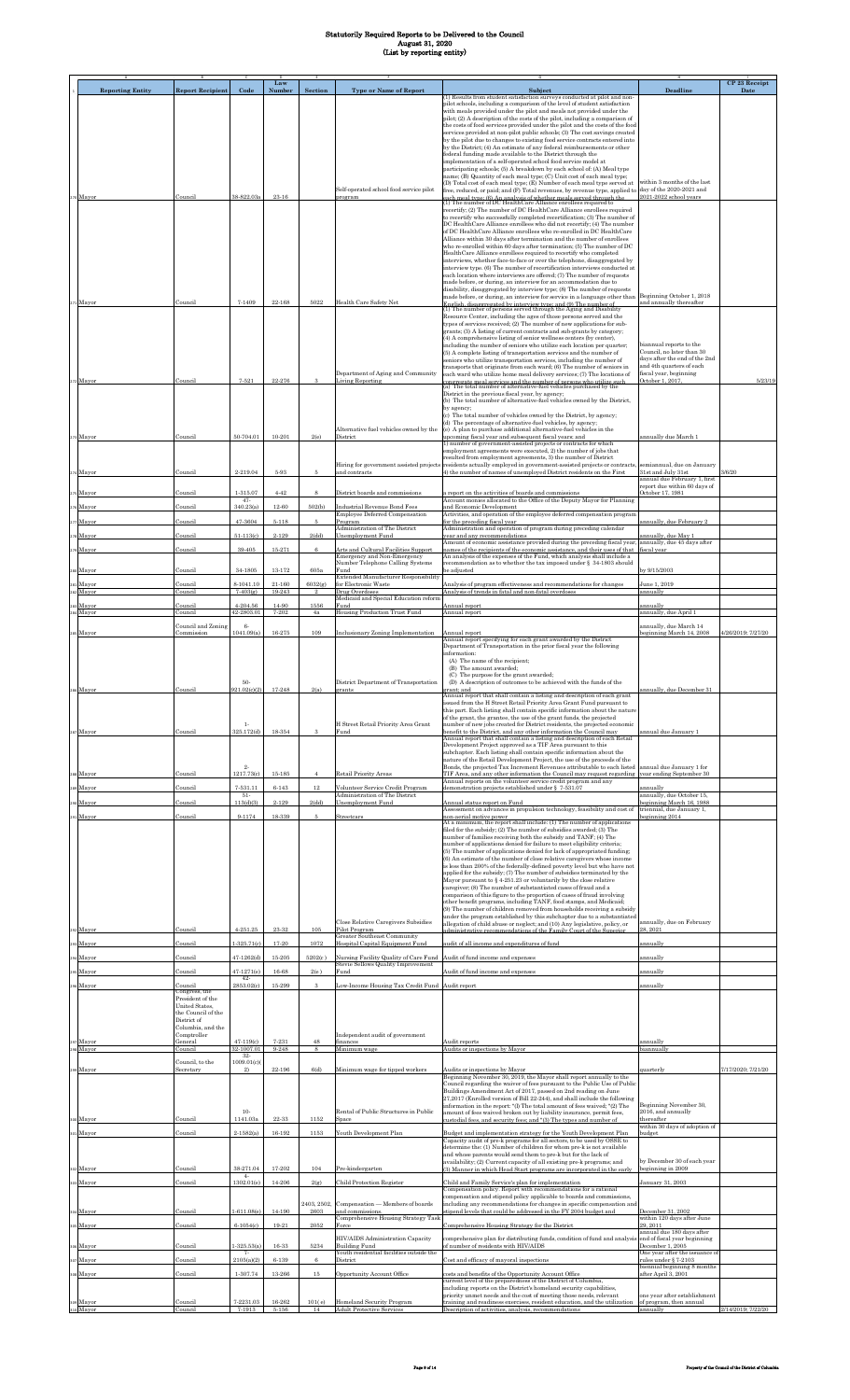|                         |                                              |                                  | Law                  |                     |                                                                              |                                                                                                                                                                                                                                               |                                                                               | CP 23 Receipt      |
|-------------------------|----------------------------------------------|----------------------------------|----------------------|---------------------|------------------------------------------------------------------------------|-----------------------------------------------------------------------------------------------------------------------------------------------------------------------------------------------------------------------------------------------|-------------------------------------------------------------------------------|--------------------|
| <b>Reporting Entity</b> | <b>Report Recipient</b>                      | Code                             | Number               | Section             | <b>Type or Name of Report</b>                                                | Subject<br>(1) Results from student satisfaction surveys conducted at pilot and non-                                                                                                                                                          | <b>Deadline</b>                                                               | Date               |
|                         |                                              |                                  |                      |                     |                                                                              | pilot schools, including a comparison of the level of student satisfaction<br>with meals provided under the pilot and meals not provided under the                                                                                            |                                                                               |                    |
|                         |                                              |                                  |                      |                     |                                                                              | pilot; (2) A description of the costs of the pilot, including a comparison of<br>the costs of food services provided under the pilot and the costs of the food                                                                                |                                                                               |                    |
|                         |                                              |                                  |                      |                     |                                                                              | services provided at non-pilot public schools; (3) The cost savings created<br>by the pilot due to changes to existing food service contracts entered into                                                                                    |                                                                               |                    |
|                         |                                              |                                  |                      |                     |                                                                              | by the District; (4) An estimate of any federal reimbursements or other<br>federal funding made available to the District through the                                                                                                         |                                                                               |                    |
|                         |                                              |                                  |                      |                     |                                                                              | implementation of a self-operated school food service model at<br>participating schools; (5) A breakdown by each school of: (A) Meal type                                                                                                     |                                                                               |                    |
|                         |                                              |                                  |                      |                     |                                                                              | name; (B) Quantity of each meal type; (C) Unit cost of each meal type;<br>(D) Total cost of each meal type; (E) Number of each meal type served at                                                                                            | within 3 months of the last                                                   |                    |
| o Mayor                 | Council                                      | 38-822.03a                       | $23 - 16$            |                     | Self-operated school food service pilot<br>program                           | free, reduced, or paid; and (F) Total revenues, by revenue type, applied to day of the 2020-2021 and<br>each meal type: (6) An analysis of whether meals served through the<br>(1) The number of DC HealthCare Alliance enrollees required to | 2021-2022 school years                                                        |                    |
|                         |                                              |                                  |                      |                     |                                                                              | recertify; (2) The number of DC HealthCare Alliance enrollees required                                                                                                                                                                        |                                                                               |                    |
|                         |                                              |                                  |                      |                     |                                                                              | to recertify who successfully completed recertification; (3) The number of<br>DC HealthCare Alliance enrollees who did not recertify; (4) The number                                                                                          |                                                                               |                    |
|                         |                                              |                                  |                      |                     |                                                                              | of DC HealthCare Alliance enrollees who re-enrolled in DC HealthCare<br>Alliance within 30 days after termination and the number of enrollees                                                                                                 |                                                                               |                    |
|                         |                                              |                                  |                      |                     |                                                                              | who re-enrolled within 60 days after termination; (5) The number of DC<br>HealthCare Alliance enrollees required to recertify who completed                                                                                                   |                                                                               |                    |
|                         |                                              |                                  |                      |                     |                                                                              | interviews, whether face-to-face or over the telephone, disaggregated by<br>interview type. (6) The number of recertification interviews conducted at                                                                                         |                                                                               |                    |
|                         |                                              |                                  |                      |                     |                                                                              | each location where interviews are offered; (7) The number of requests<br>made before, or during, an interview for an accommodation due to                                                                                                    |                                                                               |                    |
|                         |                                              |                                  |                      |                     |                                                                              | disability, disaggregated by interview type; (8) The number of requests<br>made before, or during, an interview for service in a language other than                                                                                          | Beginning October 1, 2018                                                     |                    |
| 1 Mayor                 | Council                                      | 7-1409                           | 22-168               | 5022                | Health Care Safety Net                                                       | English, disaggregated by interview type; and (9) The number of<br>(1) The number of persons served through the Aging and Disability                                                                                                          | and annually thereafter                                                       |                    |
|                         |                                              |                                  |                      |                     |                                                                              | Resource Center, including the ages of those persons served and the<br>types of services received; (2) The number of new applications for sub-                                                                                                |                                                                               |                    |
|                         |                                              |                                  |                      |                     |                                                                              | grants; (3) A listing of current contracts and sub-grants by category;<br>(4) A comprehensive listing of senior wellness centers (by center),                                                                                                 |                                                                               |                    |
|                         |                                              |                                  |                      |                     |                                                                              | including the number of seniors who utilize each location per quarter;<br>(5) A complete listing of transportation services and the number of                                                                                                 | biannual reports to the<br>Council, no later than 30                          |                    |
|                         |                                              |                                  |                      |                     |                                                                              | seniors who utilize transportation services, including the number of<br>transports that originate from each ward; (6) The number of seniors in                                                                                                | days after the end of the 2nd<br>and 4th quarters of each                     |                    |
| 2 Mayor                 | Council                                      | $7 - 521$                        | $22 - 276$           | я                   | Department of Aging and Community<br><b>Living Reporting</b>                 | each ward who utilize home meal delivery services; (7) The locations of<br>congregate meal services and the number of persons who utilize such<br>(a) The total number of alternative-fuel vehicles purchased by the                          | fiscal year, beginning<br>October 1, 2017,                                    | 5/23/19            |
|                         |                                              |                                  |                      |                     |                                                                              | District in the previous fiscal year, by agency;                                                                                                                                                                                              |                                                                               |                    |
|                         |                                              |                                  |                      |                     |                                                                              | (b) The total number of alternative-fuel vehicles owned by the District,<br>by agency:                                                                                                                                                        |                                                                               |                    |
|                         |                                              |                                  |                      |                     |                                                                              | (c) The total number of vehicles owned by the District, by agency;<br>(d) The percentage of alternative-fuel vehicles, by agency;                                                                                                             |                                                                               |                    |
| Mayor                   | Council                                      | 50-704.01                        | 10-201               | 2(e)                | Alternative fuel vehicles owned by the<br>District                           | (e) A plan to purchase additional alternative-fuel vehicles in the<br>upcoming fiscal year and subsequent fiscal years; and                                                                                                                   | annually due March 1                                                          |                    |
|                         |                                              |                                  |                      |                     |                                                                              | 1) number of government-assisted projects or contracts for which<br>employment agreements were executed, 2) the number of jobs that                                                                                                           |                                                                               |                    |
|                         |                                              |                                  |                      |                     | Hiring for government assisted projects                                      | resulted from employment agreements, 3) the number of District<br>residents actually employed in government-assisted projects or contracts,                                                                                                   | semiannual, due on January                                                    |                    |
| Mayor                   | Council                                      | 2-219.04                         | 5-93                 | 5                   | and contracts                                                                | 4) the number of names of unemployed District residents on the First                                                                                                                                                                          | 31st and July 31st<br>annual due February 1, first                            | 3/6/20             |
| Mayor                   | Council                                      | 1-315.07                         | $4 - 42$             | 8                   | District boards and commissions                                              | report on the activities of boards and commissions                                                                                                                                                                                            | report due within 60 days of<br>October 17, 1981                              |                    |
| Mayor                   | Council                                      | $47 -$<br>340.23(a)              | 12-60                | 502(b)              | Industrial Revenue Bond Fees                                                 | Account monies allocated to the Office of the Deputy Mayor for Planning<br>and Economic Development                                                                                                                                           |                                                                               |                    |
| Mayor                   | Council                                      | 47-3604                          | $5 - 118$            | 5                   | Employee Deferred Compensation<br>Program                                    | Activities, and operation of the employee deferred compensation program<br>for the preceding fiscal year                                                                                                                                      | annually, due February 2                                                      |                    |
| Mayor                   | Council                                      | $51 - 113(c)$                    | 2-129                | 2(dd)               | Administration of The District<br>Unemployment Fund                          | Administration and operation of program during preceding calendar<br>year and any recommendations                                                                                                                                             | nnually, due May 1                                                            |                    |
| Mayor                   | Council                                      | 39-405                           | 15-271               | 6                   | Arts and Cultural Facilities Support                                         | Amount of economic assistance provided during the preceding fiscal year,<br>ames of the recipients of the economic assistance, and their uses of that                                                                                         | annually, due 45 days after<br>fiscal year                                    |                    |
|                         |                                              |                                  |                      |                     | Emergency and Non-Emergency<br>Number Telephone Calling Systems              | An analysis of the expenses of the Fund, which analysis shall include a<br>recommendation as to whether the tax imposed under § 34-1803 should                                                                                                |                                                                               |                    |
| o Mayor                 | Council                                      | 34-1805                          | $13 - 172$           | 605a                | Fund<br>Extended Manufacturer Responsibility                                 | e adjusted                                                                                                                                                                                                                                    | y 9/15/2003                                                                   |                    |
| Mayor<br>Mayor          | Council<br>Council                           | 8-1041.10<br>$7 - 403(g)$        | $21 - 160$<br>19-243 | 6032(g)             | for Electronic Waste<br>Drug Overdoses                                       | Analysis of program effectiveness and recommendations for changes<br>Analysis of trends in fatal and non-fatal overdoses                                                                                                                      | June 1, 2019<br>annually                                                      |                    |
| Mayor                   | Council                                      | $4 - 204.56$                     | 14-90                | 1556                | Medicaid and Special Education reform<br>Fund                                | Annual report                                                                                                                                                                                                                                 | annually                                                                      |                    |
| Mayor                   | Council<br>Council and Zoning                | 42-2803.01                       | 7-202                | 4a                  | Housing Production Trust Fund                                                | Annual report                                                                                                                                                                                                                                 | annually, due April 1                                                         |                    |
| Mayor                   | Commission                                   | $6-$<br>1041.09(a)               | 16-275               | 109                 | <b>Inclusionary Zoning Implementation</b>                                    | Annual report<br>Annual report specifying for each grant awarded by the District                                                                                                                                                              | annually, due March 14<br>beginning March 14, 2008                            | 4/26/2019; 7/27/20 |
|                         |                                              |                                  |                      |                     |                                                                              | Department of Transportation in the prior fiscal year the following<br>information:                                                                                                                                                           |                                                                               |                    |
|                         |                                              |                                  |                      |                     |                                                                              | (A) The name of the recipient;                                                                                                                                                                                                                |                                                                               |                    |
|                         |                                              | 50-                              |                      |                     |                                                                              | (B) The amount awarded:<br>(C) The purpose for the grant awarded;                                                                                                                                                                             |                                                                               |                    |
| 286 Mayor               | Council                                      | 921.02(c)(2)                     | 17-248               | 2(a)                | District Department of Transportation<br>grants                              | (D) A description of outcomes to be achieved with the funds of the<br>rant; and                                                                                                                                                               | annually, due December 31                                                     |                    |
|                         |                                              |                                  |                      |                     |                                                                              | innuai report that shall contain a listing and description of each grant<br>issued from the H Street Retail Priority Area Grant Fund pursuant to                                                                                              |                                                                               |                    |
|                         |                                              |                                  |                      |                     |                                                                              | this part. Each listing shall contain specific information about the nature<br>of the grant, the grantee, the use of the grant funds, the projected                                                                                           |                                                                               |                    |
| 37 Mayor                | Council                                      | $1\cdot$<br>325.172(d)           | 18-354               |                     | H Street Retail Priority Area Grant<br>Fund                                  | number of new jobs created for District residents, the projected economic<br>benefit to the District, and any other information the Council may<br>Annual report that shall contain a listing and description of each Retail                  | annual due January 1                                                          |                    |
|                         |                                              |                                  |                      |                     |                                                                              | Development Project approved as a TIF Area pursuant to this<br>subchapter. Each listing shall contain specific information about the                                                                                                          |                                                                               |                    |
|                         |                                              |                                  |                      |                     |                                                                              | nature of the Retail Development Project, the use of the proceeds of the                                                                                                                                                                      |                                                                               |                    |
| 8 Mayor                 | Council                                      | $^{2}$<br>1217 73(c)             | $15 - 185$           |                     | Retail Priority Areas                                                        | Bonds, the projected Tax Increment Revenues attributable to each listed<br>TIF Area, and any other information the Council may request regarding                                                                                              | annual due January 1 for<br>vear ending September 30                          |                    |
| Mayor                   | Council                                      | 7-531.11<br>$51-$                | $6 - 143$            | $12\,$              | Volunteer Service Credit Program<br>Administration of The District           | Annual reports on the volunteer service credit program and any<br>demonstration projects established under § 7-531.07                                                                                                                         | annuallv<br>annually, due October 15,                                         |                    |
| Mayor                   | Council                                      | 113(d)(3)                        | $2 - 129$            | 2(dd)               | Unemployment Fund                                                            | Annual status report on Fund<br>Assessment on advances in propulsion technology, feasibility and cost of                                                                                                                                      | beginning March 16, 1988<br>triennial, due January 1.                         |                    |
| Mayor                   | Council                                      | 9-1174                           | 18-339               | 5                   | Streetcars                                                                   | non-aerial motive power<br>At a minimum, the report shall include: (1) The number of applications                                                                                                                                             | eginning 2014                                                                 |                    |
|                         |                                              |                                  |                      |                     |                                                                              | filed for the subsidy; (2) The number of subsidies awarded; (3) The<br>number of families receiving both the subsidy and TANF; (4) The                                                                                                        |                                                                               |                    |
|                         |                                              |                                  |                      |                     |                                                                              | number of applications denied for failure to meet eligibility criteria;<br>(5) The number of applications denied for lack of appropriated funding;                                                                                            |                                                                               |                    |
|                         |                                              |                                  |                      |                     |                                                                              | (6) An estimate of the number of close relative caregivers whose income<br>is less than 200% of the federally-defined poverty level but who have not                                                                                          |                                                                               |                    |
|                         |                                              |                                  |                      |                     |                                                                              | applied for the subsidy; (7) The number of subsidies terminated by the<br>Mayor pursuant to § 4-251.23 or voluntarily by the close relative                                                                                                   |                                                                               |                    |
|                         |                                              |                                  |                      |                     |                                                                              | caregiver; (8) The number of substantiated cases of fraud and a<br>comparison of this figure to the proportion of cases of fraud involving                                                                                                    |                                                                               |                    |
|                         |                                              |                                  |                      |                     |                                                                              | other benefit programs, including TANF, food stamps, and Medicaid;<br>(9) The number of children removed from households receiving a subsidy                                                                                                  |                                                                               |                    |
|                         |                                              |                                  |                      |                     | Close Relative Caregivers Subsidies                                          | under the program established by this subchapter due to a substantiated<br>allegation of child abuse or neglect; and (10) Any legislative, policy, or                                                                                         | annually, due on February                                                     |                    |
| 92 Mayor                | Council                                      | $4 - 251.25$                     | 23-32                | 105                 | Pilot Program<br>Greater Southeast Community                                 | dministrative recommendations of the Family Court of the Superior                                                                                                                                                                             | 8.2021                                                                        |                    |
| Mayor                   | Council                                      | $1 - 325.71(c)$                  | 17-20                | 1072                | Hospital Capital Equipment Fund                                              | audit of all income and expenditures of fund                                                                                                                                                                                                  | innually                                                                      |                    |
| Mayor                   | Council                                      | $47 - 1262(d)$                   | $15 - 205$           | 5202(c)             | Nursing Facility Quality of Care Fund<br>Stevie Sellows Quality Improvement  | Audit of fund income and expenses                                                                                                                                                                                                             | annually                                                                      |                    |
| Mayor                   | Council                                      | $47 - 1271(e)$<br>$42-$          | 16-68                | 2(e)                | Fund                                                                         | Audit of fund income and expenses                                                                                                                                                                                                             | mnually                                                                       |                    |
| Mayor                   | Council<br>Congress, the<br>President of the | 2853.02(c)                       | 15-299               | 3                   | Low-Income Housing Tax Credit Fund Audit report                              |                                                                                                                                                                                                                                               | annually                                                                      |                    |
|                         | United States,<br>the Council of the         |                                  |                      |                     |                                                                              |                                                                                                                                                                                                                                               |                                                                               |                    |
|                         | District of<br>Columbia, and the             |                                  |                      |                     |                                                                              |                                                                                                                                                                                                                                               |                                                                               |                    |
| Mayor                   | Comptroller<br>General                       | $47 - 119(c)$                    | 7-231                | 48                  | Independent audit of government<br>finances                                  | Audit reports                                                                                                                                                                                                                                 | annually                                                                      |                    |
| Mayor                   | Council                                      | 32-1007.01<br>$32-$              | 9-248                | 8                   | Minimum wage                                                                 | Audits or inspections by Mayor                                                                                                                                                                                                                | biannually                                                                    |                    |
| Mayor                   | Council, to the<br>Secretary                 | 1009.01(c)<br>2)                 | 22-196               | 6(d)                | Minimum wage for tipped workers                                              | Audits or inspections by Mayor                                                                                                                                                                                                                | juarterly                                                                     | 7/17/2020; 7/21/20 |
|                         |                                              |                                  |                      |                     |                                                                              | Beginning November 30, 2019, the Mayor shall report annually to the<br>Council regarding the waiver of fees pursuant to the Public Use of Public                                                                                              |                                                                               |                    |
|                         |                                              |                                  |                      |                     |                                                                              | Buildings Amendment Act of 2017, passed on 2nd reading on June<br>27,2017 (Enrolled version of Bill 22-244), and shall include the following                                                                                                  |                                                                               |                    |
|                         |                                              | $10-$                            |                      |                     | Rental of Public Structures in Public                                        | information in the report: "(l) The total amount of fees waived; "(2) The<br>amount of fees waived broken out by liability insurance, permit fees,                                                                                            | Beginning November 30.<br>2016, and annually                                  |                    |
| Mayor                   | Council                                      | 1141.03a                         | 22-33                | 1152                | Space                                                                        | ustodial fees, and security fees; and "(3) The types and number of                                                                                                                                                                            | thereafter<br>within 30 days of adoption of                                   |                    |
| 1 Mayor                 | Council                                      | $2 - 1582(a)$                    | 16-192               | 1153                | Youth Development Plan                                                       | Budget and implementation strategy for the Youth Development Plan<br>Capacity audit of pre-k programs for all sectors, to be used by OSSE to                                                                                                  | oudget                                                                        |                    |
|                         |                                              |                                  |                      |                     |                                                                              | determine the: (1) Number of children for whom pre-k is not available<br>and whose parents would send them to pre-k but for the lack of                                                                                                       |                                                                               |                    |
| Mayor                   | Council                                      | 38-271.04                        | 17-202               | 104                 | Pre-kindergarten                                                             | availability; (2) Current capacity of all existing pre-k programs; and<br>(3) Manner in which Head Start programs are incorporated in the early                                                                                               | by December 30 of each year<br>beginning in 2009                              |                    |
| 3 Mayor                 | Council                                      | $4-$<br>1302.01(e)               | 14-206               | 2(g)                | <b>Child Protection Register</b>                                             | Child and Family Service's plan for implementation                                                                                                                                                                                            | January 31, 2003                                                              |                    |
|                         |                                              |                                  |                      |                     |                                                                              | Compensation policy. Report with recommendations for a rational<br>compensation and stipend policy applicable to boards and commissions.                                                                                                      |                                                                               |                    |
| Mayor                   | Council                                      | $1-611.08(e)$                    | 14-190               | 2403, 2502,<br>2603 | Compensation - Members of boards<br>and commissions.                         | including any recommendations for changes in specific compensation and<br>stipend levels that could be addressed in the FY 2004 budget and                                                                                                    | December 31, 2002                                                             |                    |
| Mayor                   | Council                                      | $6 - 1054(c)$                    | 19-21                | 2052                | Comprehensive Housing Strategy Tasl                                          | Comprehensive Housing Strategy for the District                                                                                                                                                                                               | within 120 days after June<br>29, 2011                                        |                    |
|                         |                                              |                                  |                      |                     | HIV/AIDS Administration Capacity                                             | comprehensive plan for distributing funds, condition of fund and analysis                                                                                                                                                                     | annual due 180 days after<br>end of fiscal year beginning<br>December 1, 2005 |                    |
| Mayor<br>Mayor          | Council<br>Council                           | $-325.53(a)$<br>7-<br>2105(a)(2) | 16-33<br>$6 - 139$   | 5234<br>6           | <b>Building Fund</b><br>Youth residential facilities outside the<br>District | of number of residents with HIV/AIDS<br>Cost and efficacy of mayoral inspections                                                                                                                                                              | One year after the issuance of                                                |                    |
|                         |                                              | 1-307.74                         | $13 - 266$           | 15                  |                                                                              |                                                                                                                                                                                                                                               | rules under § 7-2103<br>biennial beginning 8 months<br>after April 3, 2001    |                    |
| Mayor                   | Council                                      |                                  |                      |                     | Opportunity Account Office                                                   | costs and benefits of the Opportunity Account Office<br>current level of the preparedness of the District of Columbia,<br>including reports on the District's homeland security capabilities,                                                 |                                                                               |                    |
| 9 Mayor                 | Council                                      | 7-2231.03                        | 16-262               | 101(e)              | Homeland Security Program                                                    | priority unmet needs and the cost of meeting those needs, relevant<br>training and readiness exercises, resident education, and the utilization                                                                                               | one year after establishment<br>of program, then annual                       |                    |
| 310 Mayor               | Council                                      | 7-1913                           | 5-156                | 14                  | <b>Adult Protective Services</b>                                             | Description of activities, analysis, recommendations                                                                                                                                                                                          | annually                                                                      | 2/14/2019; 7/22/20 |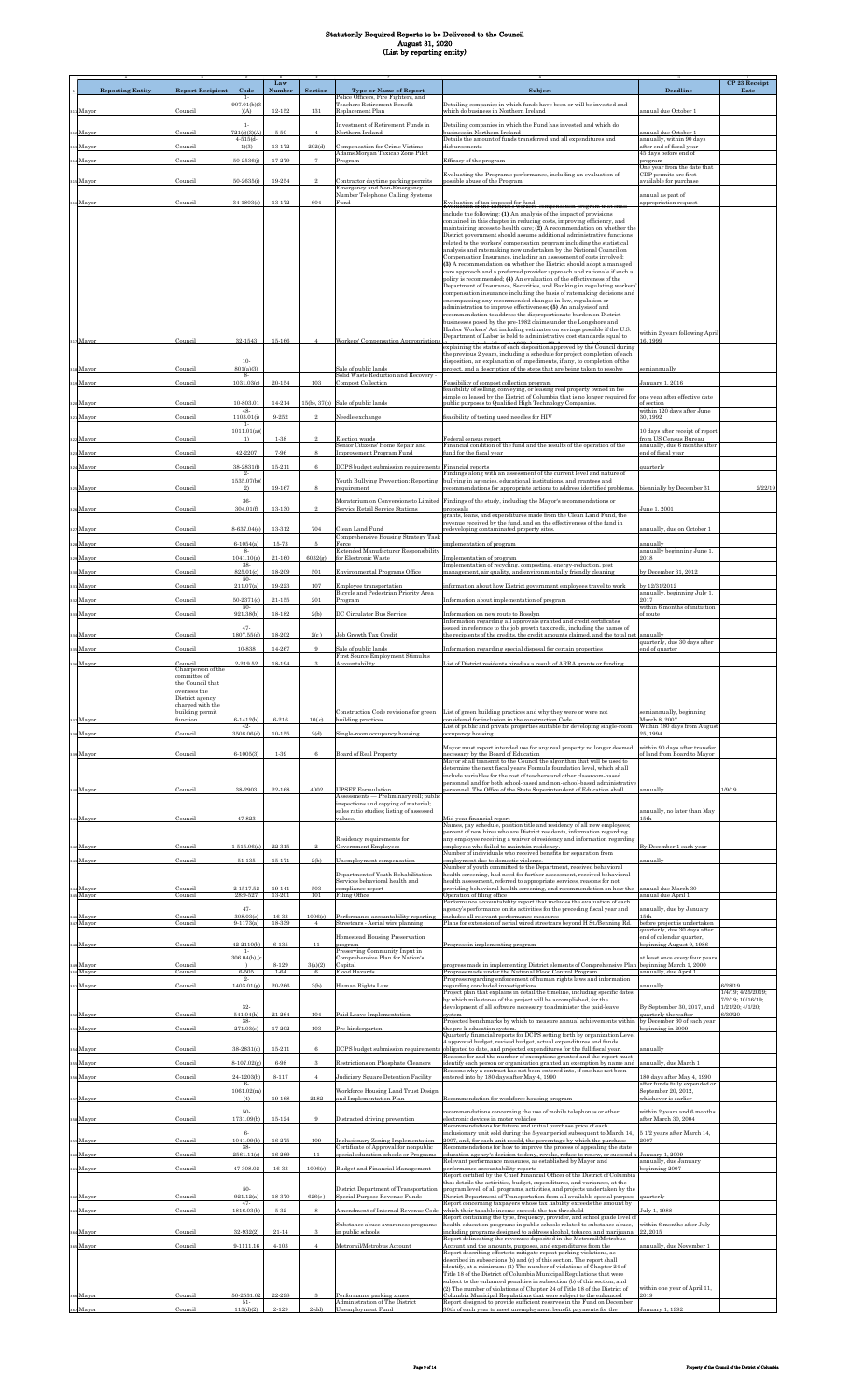|                         |                                     |                               | Law           |                |                                                                                                                             |                                                                                                                                                                                                                          |                                                              | CP 23 Receipt                         |
|-------------------------|-------------------------------------|-------------------------------|---------------|----------------|-----------------------------------------------------------------------------------------------------------------------------|--------------------------------------------------------------------------------------------------------------------------------------------------------------------------------------------------------------------------|--------------------------------------------------------------|---------------------------------------|
| <b>Reporting Entity</b> | <b>Report Recipient</b>             | Code<br>$1-$                  | Numbe         | Section        | <b>Type or Name of Report</b><br>Police Officers, Fire Fighters, and                                                        | <b>Subject</b>                                                                                                                                                                                                           | <b>Deadline</b>                                              | Date                                  |
| 11 Mayor                | Council                             | 907.01(b)(3<br>(A)            | $12 - 152$    | 131            | Teachers Retirement Benefit<br>Replacement Plan                                                                             | Detailing companies in which funds have been or will be invested and<br>which do business in Northern Ireland                                                                                                            | annual due October 1                                         |                                       |
|                         |                                     | $1-$                          |               |                | Investment of Retirement Funds in                                                                                           | Detailing companies in which the Fund has invested and which do                                                                                                                                                          |                                                              |                                       |
| 312 Mayor               | Council                             | 721(c)(3)(4)<br>$4 - 515(d -$ | $5\mbox{-}50$ | $\overline{4}$ | Northern Ireland                                                                                                            | business in Northern Ireland<br>Details the amount of funds transferred and all expenditures and                                                                                                                         | innual due October 1<br>annually, within 90 days             |                                       |
| 13 Mayor                | Council                             | 1)(3)                         | 13-172        | 202(d)         | <b>Compensation for Crime Victims</b><br>Adams Morgan Taxicab Zone Pilot                                                    | dishursements                                                                                                                                                                                                            | after end of fiscal year<br>45 days before end of            |                                       |
| 314 Mayor               | Council                             | $50 - 2536(j)$                | 17-279        | $\overline{7}$ | Program                                                                                                                     | Efficacy of the program                                                                                                                                                                                                  | program<br>One year from the date that                       |                                       |
| 315 Mayor               | Council                             | 50-2635(i)                    | 19-254        | $\mathcal{D}$  | Contractor daytime parking permits                                                                                          | Evaluating the Program's performance, including an evaluation of<br>possible abuse of the Program                                                                                                                        | CDP permits are first<br>available for purchase              |                                       |
|                         |                                     |                               |               |                | Emergency and Non-Emergency<br>Number Telephone Calling Systems                                                             |                                                                                                                                                                                                                          | annual as part of                                            |                                       |
| 116 Mayor               | Council                             | 34-1803(c)                    | $13-172$      | 604            | Fund                                                                                                                        | <b>Evaluation of tax imposed for fund<br/>Evaluation of the District's workers</b><br>es compensation program that shall<br>include the following: (1) An analysis of the impact of provisions                           | appropriation request                                        |                                       |
|                         |                                     |                               |               |                |                                                                                                                             | contained in this chapter in reducing costs, improving efficiency, and<br>maintaining access to health care; (2) A recommendation on whether the                                                                         |                                                              |                                       |
|                         |                                     |                               |               |                |                                                                                                                             | District government should assume additional administrative functions<br>related to the workers' compensation program including the statistical                                                                          |                                                              |                                       |
|                         |                                     |                               |               |                |                                                                                                                             | analysis and ratemaking now undertaken by the National Council on<br>Compensation Insurance, including an assessment of costs involved;                                                                                  |                                                              |                                       |
|                         |                                     |                               |               |                |                                                                                                                             | (3) A recommendation on whether the District should adopt a managed<br>care approach and a preferred provider approach and rationale if such a                                                                           |                                                              |                                       |
|                         |                                     |                               |               |                |                                                                                                                             | policy is recommended; (4) An evaluation of the effectiveness of the<br>Department of Insurance, Securities, and Banking in regulating workers                                                                           |                                                              |                                       |
|                         |                                     |                               |               |                |                                                                                                                             | compensation insurance including the basis of ratemaking decisions and<br>encompassing any recommended changes in law, regulation or                                                                                     |                                                              |                                       |
|                         |                                     |                               |               |                |                                                                                                                             | administration to improve effectiveness; (5) An analysis of and<br>recommendation to address the disproportionate burden on District                                                                                     |                                                              |                                       |
|                         |                                     |                               |               |                |                                                                                                                             | businesses posed by the pre-1982 claims under the Longshore and<br>Harbor Workers' Act including estimates on savings possible if the U.S.                                                                               |                                                              |                                       |
| 317 Mayor               | Council                             | 32-1543                       | 15-166        |                | Workers' Compensation Appropriation                                                                                         | Department of Labor is held to administrative cost standards equal to<br>these associated with seat 1080 alaims (6) A receptor of detica on explaining the status of each disposition approved by the Council during     | within 2 years following April<br>6.1999                     |                                       |
|                         |                                     |                               |               |                |                                                                                                                             | the previous 2 years, including a schedule for project completion of each                                                                                                                                                |                                                              |                                       |
| 318 Mayor               | Council                             | $10-$<br>801(a)(3)            |               |                | Sale of public lands                                                                                                        | disposition, an explanation of impediments, if any, to completion of the<br>project, and a description of the steps that are being taken to resolve                                                                      | semiannually                                                 |                                       |
| 319 Mayor               | Council                             | -8<br>1031.03(c               | $20 - 154$    | 103            | Solid Waste Reduction and Recovery -<br>Compost Collection                                                                  | Feasibility of compost collection program                                                                                                                                                                                | anuary 1, 2016                                               |                                       |
|                         |                                     |                               |               |                |                                                                                                                             | feasibility of selling, conveying, or leasing real property owned in fee<br>simple or leased by the District of Columbia that is no longer required for                                                                  | one year after effective date                                |                                       |
| 320 Mayor               | Council                             | 10-803.01<br>48-              | 14-214        | 15(b), 37(b)   | Sale of public lands                                                                                                        | public purposes to Qualified High Technology Companies.                                                                                                                                                                  | f section<br>within 120 days after June                      |                                       |
| 321 Mayor               | Council                             | 1103.01(i)<br>$1-$            | 9-252         |                | <b>Veedle</b> exchange                                                                                                      | feasibility of testing used needles for HIV                                                                                                                                                                              | 30.1992                                                      |                                       |
| 322 Mayor               | Council                             | 1011.01(a)<br>1)              | $1 - 38$      |                | <u>Election</u> wards                                                                                                       | Federal census report                                                                                                                                                                                                    | 10 days after receipt of report<br>rom US Census Bureau      |                                       |
| 323 Mayor               | Council                             | 42-2207                       | 7-96          | 8              | Senior Citizens' Home Repair and<br>Improvement Program Fund                                                                | Financial condition of the fund and the results of the operation of the<br>fund for the fiscal year                                                                                                                      | annually, due 6 months after<br>nd of fiscal vear            |                                       |
| 324 Mayor               | Council                             | 38-2831(f)<br>$^{2}$          | $15 - 211$    | $\mathbf{6}$   | DCPS budget submission requirements                                                                                         | Financial reports<br>Findings along with an assessment of the current level and nature of                                                                                                                                | quarterly                                                    |                                       |
|                         | Council                             | 1535.07(b)<br>2)              | 19-167        | 8              | Youth Bullying Prevention; Reporting<br>requirement                                                                         | bullying in agencies, educational institutions, and grantees and                                                                                                                                                         | biennially by December 31                                    | 2/22/19                               |
| 325 Mayor               |                                     | 36-                           |               |                | Moratorium on Conversions to Limited                                                                                        | recommendations for appropriate actions to address identified problems.<br>Findings of the study, including the Mayor's recommendations or                                                                               |                                                              |                                       |
| 326 Mayor               | Council                             | 304.01(f)                     | 13-130        | $^{9}$         | Service Retail Service Stations                                                                                             | proposals<br>grants, loans, and expenditures made from the Clean Land Fund, the                                                                                                                                          | June 1, 2001                                                 |                                       |
| 327 Mayor               | Council                             | 8-637.04(e)                   | 13-312        | 704            | Clean Land Fund                                                                                                             | revenue received by the fund, and on the effectiveness of the fund in<br>redeveloping contaminated property sites.                                                                                                       | annually, due on October 1                                   |                                       |
| 328 Mayor               | Council                             | $6-1054(a)$                   | 15-73         | 5              | Comprehensive Housing Strategy Task<br>Force                                                                                | mplementation of program                                                                                                                                                                                                 | annually                                                     |                                       |
| 329 Mayor               | Council                             | -8-<br>1041.10(a)             | 21-160        | 6032(g)        | Extended Manufacturer Responsibility<br>for Electronic Waste                                                                | mplementation of program                                                                                                                                                                                                 | annually beginning June 1,<br>2018                           |                                       |
| 330 Mayor               | Council                             | 38-<br>825.01(c)              | 18-209        | 501            | Environmental Programs Office                                                                                               | Implementation of recycling, composting, energy-reduction, pest<br>management, air quality, and environmentally friendly cleaning                                                                                        | by December 31, 2012                                         |                                       |
| 331 Mayor               | Council                             | 50-<br>211.07(a)              | 19-223        | 107            | Employee transportation                                                                                                     | information about how District government employees travel to work                                                                                                                                                       | y 12/31/2012                                                 |                                       |
| 332 Mayor               | Council                             | 50-2371(c)                    | $21 - 155$    | 201            | Bicycle and Pedestrian Priority Area<br>Program                                                                             | Information about implementation of program                                                                                                                                                                              | annually, beginning July 1,<br>2017                          |                                       |
| 333 Mayor               | <b>Council</b>                      | 50-<br>921.38(b)              | 18-182        | 2(b)           | <b>DC Circulator Bus Service</b>                                                                                            | information on new route to Rosslyn                                                                                                                                                                                      | within 6 months of initiation<br>of rout€                    |                                       |
|                         |                                     | $47 -$                        |               |                |                                                                                                                             | Information regarding all approvals granted and credit certificates<br>issued in reference to the job growth tax credit, including the names of                                                                          |                                                              |                                       |
| 334 Mayor               | Council                             | 1807.55(d)                    | 18-202        | 2(c)           | Job Growth Tax Credit                                                                                                       | the recipients of the credits, the credit amounts claimed, and the total net                                                                                                                                             | annually<br>quarterly, due 30 days after                     |                                       |
| 335 Mayor               | Council                             | 10-838                        | 14-267        | 9              | ale of public lands<br>First Source Employment Stimulus                                                                     | Information regarding special disposal for certain properties                                                                                                                                                            | nd of quarter                                                |                                       |
| 36 Mayor                | Council<br>Chairperson of the       | 2-219.52                      | 18-194        | 3              | Accountability                                                                                                              | List of District residents hired as a result of ARRA grants or funding                                                                                                                                                   |                                                              |                                       |
|                         | committee of<br>the Council that    |                               |               |                |                                                                                                                             |                                                                                                                                                                                                                          |                                                              |                                       |
|                         | oversees the<br>District agency     |                               |               |                |                                                                                                                             |                                                                                                                                                                                                                          |                                                              |                                       |
|                         | charged with the<br>building permit |                               |               |                | Construction Code revisions for green                                                                                       | List of green building practices and why they were or were not                                                                                                                                                           | emiannually, beginning                                       |                                       |
| 337 Mayor               | function                            | $6-1412(b)$<br>$42-$          | 6-216         | 10(c)          | building practices                                                                                                          | considered for inclusion in the construction Code<br>List of public and private properties suitable for developing single-room                                                                                           | March 8, 2007<br>Within 180 days from August                 |                                       |
| 338 Mayor               | Council                             | 3508.06(d)                    | $10 - 155$    | 2(d)           | Single-room occupancy housing                                                                                               | occupancy housing                                                                                                                                                                                                        | 15.1994<br>vithin 90 days after transfer                     |                                       |
| 339 Mayor               | Council                             | $6-1005(3)$                   | $1 - 39$      | $\,$ 6 $\,$    | Board of Real Property                                                                                                      | Mayor must report intended use for any real property no longer deemed<br>necessary by the Board of Education                                                                                                             | of land from Board to Mayor                                  |                                       |
|                         |                                     |                               |               |                |                                                                                                                             | Mayor shall transmit to the Council the algorithm that will be used to<br>determine the next fiscal year's Formula foundation level, which shall<br>include variables for the cost of teachers and other classroom-based |                                                              |                                       |
| 40 Mayor                | Council                             | 38-2903                       | 22-168        | 4002           | <b>UPSFF</b> Formulation                                                                                                    | personnel and for both school-based and non-school-based administrative<br>personnel. The Office of the State Superintendent of Education shall                                                                          | annually                                                     | 1/9/19                                |
|                         |                                     |                               |               |                | Assessments — Preliminary roll; public<br>inspections and copying of material;                                              |                                                                                                                                                                                                                          |                                                              |                                       |
| 341 Mayor               | Council                             | 47-823                        |               |                | sales ratio studies; listing of assessed<br>values                                                                          | Mid-year financial report                                                                                                                                                                                                | annually, no later than May<br>5th                           |                                       |
|                         |                                     |                               |               |                |                                                                                                                             | Names, pay schedule, position title and residency of all new employees;<br>percent of new hires who are District residents, information regarding                                                                        |                                                              |                                       |
| 342 Mayor               | Council                             | $-515.06(a)$                  | 22-315        | $\mathfrak{D}$ | Residency requirements for<br>Government Employees                                                                          | any employee receiving a waiver of residency and information regarding<br>employees who failed to maintain residency.                                                                                                    | By December 1 each year                                      |                                       |
| 343 Mayor               | Council                             | $51 - 135$                    | $15 - 171$    | 2(b)           | Unemployment compensation                                                                                                   | Number of individuals who received benefits for separation from<br>employment due to domestic violence.                                                                                                                  | annually                                                     |                                       |
|                         |                                     |                               |               |                | Department of Youth Rehabilitation                                                                                          | Number of youth committed to the Department, received behavioral<br>health screening, had need for further assessment, received behavioral                                                                               |                                                              |                                       |
| 4 Mayor                 | Council                             | 2-1517.52                     | 19-141        | 503            | Services behavioral health and<br>compliance report                                                                         | health assessment, referred to appropriate services, reasons for not<br>providing behavioral health screening, and recommendation on how the                                                                             | annual due March 30                                          |                                       |
| 345 Mayor               | Council                             | 28:9-527                      | 13-201        | 101            | Filing Office                                                                                                               | Operation of filing office<br>Performance accountability report that includes the evaluation of each                                                                                                                     | annual due April 1                                           |                                       |
| 46 Mayor                | Council                             | $47-$<br>308.03(c)            | 16-33         | 1006(c)        | Performance accountability reporting                                                                                        | agency's performance on its activities for the preceding fiscal year and<br>includes all relevant performance measures                                                                                                   | annually, due by January<br>5th                              |                                       |
| 147 Mayor               | Council                             | $9-1173(a)$                   | 18-339        | $\overline{4}$ | Streetcars - Aerial wire planning                                                                                           | Plans for extension of aerial wired streetcars beyond H St./Benning Rd.                                                                                                                                                  | before project is undertaken<br>quarterly, due 30 days after |                                       |
| 348 Mayor               | Council                             | 42-2110(b)<br>$1 -$           | $6 - 135$     | 11             | Homestead Housing Preservation<br>program<br>Preserving Community Input in                                                  | Progress in implementing program                                                                                                                                                                                         | end of calendar quarter,<br>eginning August 9, 1986          |                                       |
| 49 Mayor                | Council                             | 306.04(b),(o<br>$\lambda$     | 8-129         | 3(a)(2)        | Comprehensive Plan for Nation's<br>Capital                                                                                  | progress made in implementing District elements of Comprehensive Plan                                                                                                                                                    | at least once every four years<br>beginning March 1, 2000    |                                       |
| 350 Mayor               | Council                             | $6 - 505$<br>$^{2}$           | $1 - 64$      | 6              | Flood Hazards                                                                                                               | Progress made under the National Flood Control Program<br>Progress regarding enforcement of human rights laws and information                                                                                            | annually, due April 1                                        |                                       |
| 351 Mayor               | Council                             | 1403.01(g)                    | $20 - 266$    | 3(b)           | Human Rights Law                                                                                                            | regarding concluded investigations<br>Project plan that explains in detail the timeline, including specific dates                                                                                                        | nnually                                                      | 6/28/19<br>1/4/19: 4/25/2019:         |
|                         |                                     | 32-                           |               |                |                                                                                                                             | by which milestones of the project will be accomplished, for the<br>development of all software necessary to administer the paid-leave                                                                                   | By September 30, 2017, and                                   | 7/2/19; 10/16/19;<br>1/21/20; 4/1/20; |
| 352 Mayor               | Council                             | 541.04(h)<br>38-              | 21-264        | 104            | Paid Leave Implementation                                                                                                   | system<br>Projected benchmarks by which to measure annual achievements within                                                                                                                                            | quarterly thereafter<br>by December 30 of each year          | 6/30/20                               |
| 353 Mayor               | Council                             | 271.03(e)                     | 17-202        | $103\,$        | Pre-kindergarten                                                                                                            | the pre-k-education system.<br>Quarterly financial reports for DCPS setting forth by organization Level                                                                                                                  | eginning in 2009                                             |                                       |
| 354 Mayor               | Council                             | 38-2831(d)                    | $15 - 211$    | 6              | DCPS budget submission requirements                                                                                         | 4 approved budget, revised budget, actual expenditures and funds<br>obligated to date, and projected expenditures for the full fiscal year.                                                                              | innually                                                     |                                       |
| ss Mayor                | Council                             | $3 - 107.02(g)$               | 6-98          | 3              | Restrictions on Phosphate Cleaners                                                                                          | Reasons for and the number of exemptions granted and the report must<br>identify each person or organization granted an exemption by name and                                                                            | annually, due March 1                                        |                                       |
| 356 Mayor               | Council                             | 24-1203(b)                    | 8-117         | $\overline{4}$ | Judiciary Square Detention Facility                                                                                         | Reasons why a contract has not been entered into, if one has not been<br>entered into by 180 days after May 4, 1990                                                                                                      | 80 days after May 4, 1990                                    |                                       |
|                         |                                     | -6-<br>1061.02(m)             |               |                | Workforce Housing Land Trust Design                                                                                         |                                                                                                                                                                                                                          | after funds fully expended or<br>September 20, 2012,         |                                       |
| 357 Mayor               | Council                             | (4)                           | 19-168        | 2182           | and Implementation Plan                                                                                                     | Recommendation for workforce housing program                                                                                                                                                                             | whichever is earlier                                         |                                       |
| 358 Mayor               | Council                             | 50-<br>1731.09(b)             | $15 - 124$    | 9              | Distracted driving prevention                                                                                               | recommendations concerning the use of mobile telephones or other<br>electronic devices in motor vehicles                                                                                                                 | within 2 years and 6 months<br>after March 30, 2004          |                                       |
|                         |                                     | $6-$<br>1041.09(b)            | 16-275        | 109            |                                                                                                                             | Recommendations for future and initial purchase price of each<br>nclusionary unit sold during the 5-year period subsequent to March 14,                                                                                  | 5 1/2 years after March 14,<br>2007                          |                                       |
| 59 Mayor                | Council<br>Council                  | 38-<br>2561.11(c)             | 16-269        | 11             | <b>Inclusionary Zoning Implementation</b><br>Certificate of Approval for nonpublic<br>special education schools or Programs | 2007, and, for each unit resold, the percentage by which the purchase<br>Recommendations for how to improve the process of appealing the state                                                                           | January 1, 2009                                              |                                       |
| 60 Mayor<br>361 Mayor   | Council                             | 47-308.02                     | 16-33         | 1006(c)        | <b>Budget and Financial Management</b>                                                                                      | education agency's decision to deny, revoke, refuse to renew, or suspend a<br>Relevant performance measures, as established by Mayor and<br>performance accountability reports                                           | annually, due January<br>eginning 2007                       |                                       |
|                         |                                     |                               |               |                |                                                                                                                             | Report certified by the Chief Financial Officer of the District of Columbia<br>that details the activities, budget, expenditures, and variances, at the                                                                  |                                                              |                                       |
| 62 Mayor                | Council                             | 50-<br>921.12(a)              | 18-370        | 626(c)         | District Department of Transportation<br>Special Purpose Revenue Funds                                                      | program level, of all programs, activities, and projects undertaken by the<br>District Department of Transportation from all available special purpose.                                                                  | quarterly                                                    |                                       |
| 363 Mayor               | Council                             | 47<br>1816.03(b)              | $5 - 32$      | 8              | Amendment of Internal Revenue Code                                                                                          | Report concerning taxpayers whose tax liability exceeds the amount by<br>which their taxable income exceeds the tax threshold                                                                                            | uly 1, 1988                                                  |                                       |
|                         |                                     |                               |               |                | Substance abuse awareness programs                                                                                          | Report containing the type, frequency, provider, and school grade level of<br>health-education programs in public schools related to substance abuse,                                                                    | within 6 months after July                                   |                                       |
| 64 Mayor                | Council                             | 32-932(2)                     | $21 - 14$     | 3              | in public schools                                                                                                           | including programs designed to address alcohol, tobacco, and marijuana<br>Report delineating the revenues deposited in the Metrorail/Metrobus                                                                            | 22, 2015                                                     |                                       |
| 365 Mayor               | Council                             | 9-1111.16                     | $4 - 103$     | $\overline{4}$ | Metrorail/Metrobus Account                                                                                                  | Account and the amounts, purposes, and expenditures from the<br>Report describing efforts to mitigate repeat parking violations, as                                                                                      | annually, due November 1                                     |                                       |
|                         |                                     |                               |               |                |                                                                                                                             | described in subsections (b) and (c) of this section. The report shall<br>identify, at a minimum: (1) The number of violations of Chapter 24 of                                                                          |                                                              |                                       |
|                         |                                     |                               |               |                |                                                                                                                             | Title 18 of the District of Columbia Municipal Regulations that were<br>subject to the enhanced penalties in subsection (b) of this section; and                                                                         |                                                              |                                       |
| 366 Mayor               | council                             | 50-2531.02                    | 22-298        |                | Performance parking zones                                                                                                   | (2) The number of violations of Chapter 24 of Title 18 of the District of<br>Columbia Municipal Regulations that were subject to the enhanced                                                                            | within one year of April 11,<br>2019                         |                                       |
| 367 Mayor               | Council                             | $51-$<br>113(d)(2)            | 2-129         | 2(dd)          | Administration of The District<br>Unemployment Fund                                                                         | Report designed to provide sufficient reserves in the Fund on December<br>30th of each year to meet unemployment benefit payments for the                                                                                | January 1, 1992                                              |                                       |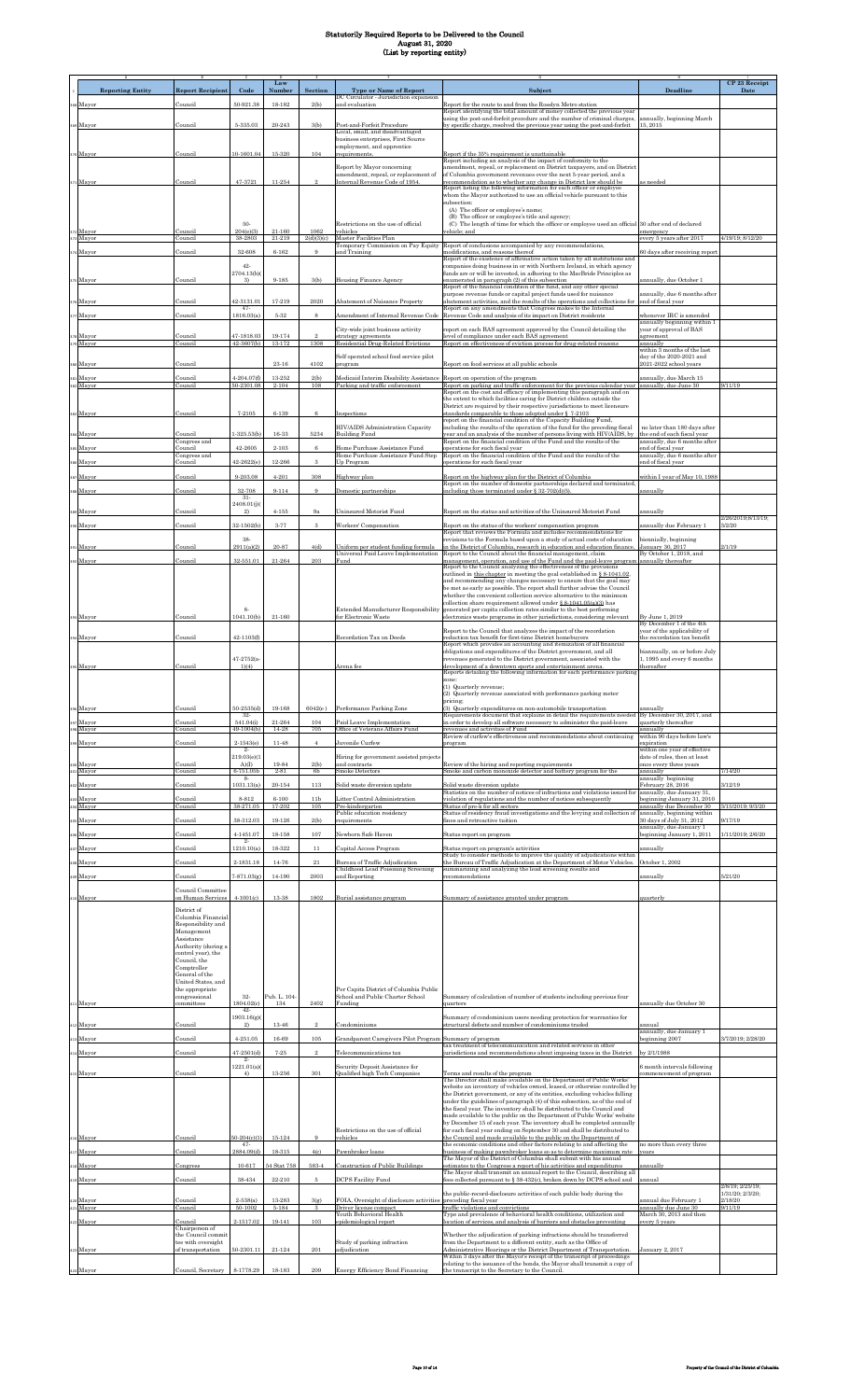|                         |                                          |                               | Law                  |                        |                                                                            |                                                                                                                                                           |                                                             | CP 23 Receipt                        |
|-------------------------|------------------------------------------|-------------------------------|----------------------|------------------------|----------------------------------------------------------------------------|-----------------------------------------------------------------------------------------------------------------------------------------------------------|-------------------------------------------------------------|--------------------------------------|
| <b>Reporting Entity</b> | <b>Report Recipient</b>                  | Code                          | Number               | Section                | <b>Type or Name of Report</b><br>DC Circulator - Jurisdiction expansion    | Subject                                                                                                                                                   | <b>Deadline</b>                                             | Date                                 |
| 368 Mayor               | Council                                  | 50-921.38                     | 18-182               | 2(b)                   | and evaluation                                                             | Report for the route to and from the Rosslyn Metro station<br>Report identifying the total amount of money collected the previous year                    |                                                             |                                      |
|                         |                                          |                               |                      |                        |                                                                            | using the post-and-forfeit procedure and the number of criminal charges,                                                                                  | annually, beginning March                                   |                                      |
| 369 Mayor               | Council                                  | 5-335.03                      | $20 - 243$           | 3(b)                   | Post-and-Forfeit Procedure<br>Local, small, and disadvantaged              | by specific charge, resolved the previous year using the post-and-forfeit                                                                                 | 15, 2015                                                    |                                      |
|                         |                                          |                               |                      |                        | business enterprises, First Source<br>employment, and apprentice           |                                                                                                                                                           |                                                             |                                      |
| 370 Mayor               | Council                                  | 10-1601.04                    | 15-320               | 104                    | equirements.                                                               | Report if the 35% requirement is unattainable<br>Report including an analysis of the impact of conformity to the                                          |                                                             |                                      |
|                         |                                          |                               |                      |                        | Report by Mayor concerning                                                 | amendment, repeal, or replacement on District taxpayers, and on District                                                                                  |                                                             |                                      |
| 371 Mayor               | Council                                  | 47-3721                       | 11-254               | $\mathcal{Q}$          | amendment, repeal, or replacement of<br>Internal Revenue Code of 1954.     | of Columbia government revenues over the next 5-year period, and a                                                                                        | as needed                                                   |                                      |
|                         |                                          |                               |                      |                        |                                                                            | recommendation as to whether any change in District law should be<br>Report listing the following information for each officer or employee                |                                                             |                                      |
|                         |                                          |                               |                      |                        |                                                                            | whom the Mayor authorized to use an official vehicle pursuant to this<br>subsection:                                                                      |                                                             |                                      |
|                         |                                          |                               |                      |                        |                                                                            | (A) The officer or employee's name;<br>(B) The officer or employee's title and agency:                                                                    |                                                             |                                      |
|                         |                                          | 50-                           |                      |                        | Restrictions on the use of official                                        | (C) The length of time for which the officer or employee used an official 30 after end of declared                                                        |                                                             |                                      |
| 372 Mayor<br>373 Mayor  | Council<br>Council                       | 204(e)(3)<br>38-2803          | $21 - 160$<br>21-219 | 1062<br>2(d)(3)(c)     | vehicles<br>Master Facilities Plan                                         | rehicle: and                                                                                                                                              | emergency<br>every 5 years after 2017                       | 4/19/19; 8/12/20                     |
| 374 Mayor               | Council                                  | 32-608                        | $6 - 162$            | 9                      | <b>Temporary Commission on Pay Equity</b><br>and Training                  | Report of conclusions accompanied by any recommendations,<br>modifications, and reasons thereof                                                           | 30 days after receiving report                              |                                      |
|                         |                                          | 42-                           |                      |                        |                                                                            | Report of the existence of affirmative action taken by all institutions and<br>companies doing business in or with Northern Ireland, in which agency      |                                                             |                                      |
|                         |                                          | 2704.13(b)                    |                      |                        |                                                                            | funds are or will be invested, in adhering to the MacBride Principles as                                                                                  |                                                             |                                      |
| 375 Mayor               | Council                                  | 3)                            | 9-185                | 3(b)                   | <b>Housing Finance Agency</b>                                              | enumerated in paragraph (2) of this subsection<br>Report of the financial condition of the fund, and any other special                                    | annually, due October 1                                     |                                      |
| 376 Mayor               | Council                                  | 42-3131.01                    | 17-219               | 2020                   | <b>Abatement of Nuisance Property</b>                                      | purpose revenue funds or capital project funds used for nuisance<br>abatement activities, and the results of the operations and collections for           | annually, due 6 months after<br>end of fiscal year          |                                      |
|                         |                                          | $47-$                         |                      |                        |                                                                            | Report on any amendments that Congress makes to the Internal                                                                                              |                                                             |                                      |
| 177 Mayor               | Council                                  | 1816.03(a)                    | $5 - 32$             | 8                      | Amendment of Internal Revenue Code                                         | Revenue Code and analysis of its impact on District residents                                                                                             | whenever IRC is amended<br>annually beginning within 1      |                                      |
| 8 Mayor                 | Council                                  | 47-1818.03                    | $19 - 174$           |                        | City-wide joint business activity<br>strategy agreements                   | report on each BAS agreement approved by the Council detailing the<br>level of compliance under each BAS agreement                                        | year of approval of BAS<br>greement                         |                                      |
| 379 Mayor               | Council                                  | 42-3607(b)                    | 13-172               | 1308                   | Residential Drug-Related Evictions                                         | Report on effectiveness of eviction process for drug-related reasons                                                                                      | annually<br>within 3 months of the last                     |                                      |
|                         |                                          |                               |                      |                        | Self operated school food service pilot                                    |                                                                                                                                                           | day of the 2020-2021 and                                    |                                      |
| 380 Mayor               | Council                                  |                               | 23-16                | 4102                   | program                                                                    | Report on food services at all public schools                                                                                                             | 2021-2022 school years                                      |                                      |
| 381 Mayor<br>382 Mayor  | Council<br>Council                       | $4 - 204.07(f)$<br>50-2301.08 | 13-252<br>2-104      | 2(b)<br>108            | Medicaid Interim Disability Assistance<br>Parking and traffic enforcement  | Report on operation of the program<br>Report on parking and traffic enforcement for the previous calendar year                                            | innually, due March 15<br>annually, due June 30             | 9/11/19                              |
|                         |                                          |                               |                      |                        |                                                                            | Report on the cost and efficacy of implementing this paragraph and on                                                                                     |                                                             |                                      |
|                         |                                          |                               |                      |                        |                                                                            | the extent to which facilities caring for District children outside the<br>District are required by their respective jurisdictions to meet licensure      |                                                             |                                      |
| 383 Mayor               | Council                                  | $7 - 2105$                    | 6-139                | $\,6\,$                | Inspections                                                                | standards comparable to those adopted under § 7-2103<br>report on the financial condition of the Capacity Building Fund,                                  |                                                             |                                      |
|                         |                                          |                               |                      |                        | HIV/AIDS Administration Capacity                                           | including the results of the operation of the fund for the preceding fiscal                                                                               | no later than 180 days after                                |                                      |
| 384 Mayor               | Council<br>Congress and                  | $-325.53(b)$                  | 16-33                | 5234                   | <b>Building Fund</b>                                                       | year and an analysis of the number of persons living with HIV/AIDS, by<br>Report on the financial condition of the Fund and the results of the            | the end of each fiscal year<br>annually, due 6 months after |                                      |
| 385 Mayor               | Council<br>Congress and                  | 42-2605                       | $2 - 103$            | $\,$ 6 $\,$            | Home Purchase Assistance Fund<br>Home Purchase Assistance Fund Step        | operations for such fiscal year<br>Report on the financial condition of the Fund and the results of the                                                   | nd of fiscal year<br>annually, due 6 months after           |                                      |
| 386 Mayor               | Council                                  | $42 - 2622(e)$                | 12-266               | $\scriptstyle 3$       | Up Program                                                                 | pperations for such fiscal year                                                                                                                           | end of fiscal year                                          |                                      |
| 387 Mayor               | Council                                  | 9-203.08                      | 4-201                | 308                    | Highway plan                                                               | Report on the highway plan for the District of Columbia                                                                                                   | vithin I year of May 10, 1988                               |                                      |
| 388 Mayor               | Council                                  | 32-708                        | 9-114                | 9                      | Domestic partnerships                                                      | Report on the number of domestic partnerships declared and terminated,<br>including those terminated under § 32-702(d)(5).                                | annually                                                    |                                      |
|                         |                                          | $31-$                         |                      |                        |                                                                            |                                                                                                                                                           |                                                             |                                      |
| 389 Mayor               | Council                                  | 2408.01(j)(<br>2)             | $4 - 155$            | 9a                     | Uninsured Motorist Fund                                                    | Report on the status and activities of the Uninsured Motorist Fund                                                                                        | annually                                                    |                                      |
| 90 Mayor                | Council                                  | 32-1502(b)                    | 3-77                 | 3                      | Workers' Compensation                                                      | Report on the status of the workers' compensation program                                                                                                 | nnually due February 1                                      | 2/26/2019;8/13/19;<br>3/2/20         |
|                         |                                          |                               |                      |                        |                                                                            | Report that reviews the Formula and includes recommendations for                                                                                          |                                                             |                                      |
| 391 Mayor               | Council                                  | 38-<br>2911(a)(2)             | 20-87                | 4(d)                   | Uniform per student funding formula                                        | revisions to the Formula based upon a study of actual costs of education<br>in the District of Columbia, research in education and education finance      | biennially, beginning<br>January 30, 2017                   | 2/1/19                               |
| 392 Mayor               | Council                                  | 32-551.01                     | 21-264               | 203                    | Universal Paid Leave Implementation<br>Fund                                | Report to the Council about the financial management, claim                                                                                               | By October 1, 2018, and<br>annually thereafter              |                                      |
|                         |                                          |                               |                      |                        |                                                                            | management, operation, and use of the Fund and the paid-leave program<br>Report to the Council analyzing the effectiveness of the provisions              |                                                             |                                      |
|                         |                                          |                               |                      |                        |                                                                            | outlined in this chapter in meeting the goal established in § 8-1041.02.<br>and recommending any changes necessary to ensure that the goal may            |                                                             |                                      |
|                         |                                          |                               |                      |                        |                                                                            | be met as early as possible. The report shall further advise the Council<br>whether the convenient collection service alternative to the minimum          |                                                             |                                      |
|                         |                                          |                               |                      |                        |                                                                            | collection share requirement allowed under § 8-1041.05(a)(3) has                                                                                          |                                                             |                                      |
| 393 Mayor               | Council                                  | 8.<br>1041.10(b)              | 21-160               |                        | Extended Manufacturer Responsibility<br>for Electronic Waste               | generated per capita collection rates similar to the best performing<br>electronics waste programs in other jurisdictions, considering relevant           | By June 1, 2019                                             |                                      |
|                         |                                          |                               |                      |                        |                                                                            | Report to the Council that analyzes the impact of the recordation                                                                                         | By December 1 of the 4th<br>year of the applicability of    |                                      |
| 394 Mayor               | Council                                  | 42-1103(f)                    |                      |                        | Recordation Tax on Deeds                                                   | reduction tax benefit for first-time District homebuyers                                                                                                  | he recordation tax benefit                                  |                                      |
|                         |                                          |                               |                      |                        |                                                                            | Report which provides an accounting and itemization of all financial<br>obligations and expenditures of the District government, and all                  | viannually, on or before July                               |                                      |
| 395 Mayor               | Council                                  | 47-2752(a-<br>1)(4)           |                      |                        | Arena fee                                                                  | revenues generated to the District government, associated with the<br>development of a downtown sports and entertainment arena.                           | 1, 1995 and every 6 months<br>hereafter                     |                                      |
|                         |                                          |                               |                      |                        |                                                                            | Reports detailing the following information for each performance parking                                                                                  |                                                             |                                      |
|                         |                                          |                               |                      |                        |                                                                            | zone:<br>(1) Quarterly revenue;                                                                                                                           |                                                             |                                      |
|                         |                                          |                               |                      |                        |                                                                            | (2) Quarterly revenue associated with performance parking meter<br>pricing;                                                                               |                                                             |                                      |
| 96 Mayor                | Council                                  | $50 - 2535(d)$                | 19-168               | 6042(e)                | Performance Parking Zone                                                   | (3) Quarterly expenditures on non-automobile transportation                                                                                               | annually                                                    |                                      |
| 397 Mayor               | council                                  | $32-$<br>541.04(i)            | 21-264               | 104                    | Paid Leave Implementation                                                  | Requirements document that explains in detail the requirements needed<br>in order to develop all software necessary to administer the paid-leave          | By December 30, 2017, and<br>quarterly thereafter           |                                      |
| 398 Mayor               | Council                                  | 49-1004(b)                    | 14-28                | 705                    | Office of Veterans Affairs Fund                                            | revenues and activities of Fund<br>Review of curfew's effectiveness and recommendations about continuing                                                  | annuallv<br>within 90 days before law's                     |                                      |
| 399 Mayor               | Council                                  | $2 - 1543(e)$                 | 11-48                | $\overline{4}$         | Juvenile Curfew                                                            | program                                                                                                                                                   | <i>expiration</i><br>within one year of effective           |                                      |
|                         |                                          | $\overline{2}$<br>219.03(e)(1 |                      |                        | Hiring for government assisted projects                                    |                                                                                                                                                           | date of rules, then at least                                |                                      |
| 400 Mayor<br>401 Mayor  | Council<br>Council                       | A)(I)<br>6-751.05b            | 19-84<br>$2 - 81$    | 2(b)<br>6b             | and contracts<br><b>Smoke Detectors</b>                                    | Review of the hiring and reporting requirements<br>Smoke and carbon monoxide detector and battery program for the                                         | once every three years<br>annually                          | 7/14/20                              |
| 402 Mayor               | Council                                  | -8-<br>1031.13(a              | $20 - 154$           | 113                    | Solid waste diversion update                                               | Solid waste diversion update                                                                                                                              | annually beginning<br>February 28, 2016                     | 3/12/19                              |
|                         |                                          |                               |                      |                        |                                                                            | Statistics on the number of notices of infractions and violations issued for annually, due January 31,                                                    |                                                             |                                      |
| 403 Mayor<br>404 Mayor  | Council<br>Council                       | 8-812<br>38-271.05            | $6 - 100$<br>17-202  | 11 <sub>b</sub><br>105 | itter Control Administration<br>Pre-kindergarten                           | riolation of regulations and the number of notices subsequently<br>status of pre-k for all sectors                                                        | eginning January 31, 2010<br>annually due December 30       | 3/15/2019; 9/3/20                    |
| 405 Mayor               | Council                                  | 38-312.03                     | 19-126               | 2(b)                   | Public education residency<br>equirements                                  | Status of residency fraud investigations and the levying and collection of<br>fines and retroactive tuition                                               | annually, beginning within<br>80 days of July 31, 2012      | 9/17/19                              |
|                         |                                          |                               |                      |                        |                                                                            |                                                                                                                                                           | annually, due January 1                                     |                                      |
| 06 Mayor                | Council                                  | 4-1451.07<br>$2-$             | 18-158               | 107                    | Newborn Safe Haven                                                         | Status report on program                                                                                                                                  | eginning January 1, 2011                                    | 1/11/2019; 2/6/20                    |
| 407 Mayor               | Council                                  | 1210.10(a)                    | 18-322               | 11                     | Capital Access Program                                                     | Status report on program's activities<br>Study to consider methods to improve the quality of adjudications within                                         | mnually                                                     |                                      |
| 408 Mayor               | Council                                  | 2-1831.18                     | 14-76                | $^{21}$                | Bureau of Traffic Adjudication                                             | the Bureau of Traffic Adjudication at the Department of Motor Vehicles.                                                                                   | October 1, 2002                                             |                                      |
| 409 Mayor               | <b>Council</b>                           | $7 - 871.03(g)$               | 14-190               | 2003                   | Childhood Lead Poisoning Screening<br>and Reporting                        | summarizing and analyzing the lead screening results and<br>ecommendations                                                                                | innually                                                    | 5/21/20                              |
|                         | Council Committee                        |                               |                      |                        |                                                                            |                                                                                                                                                           |                                                             |                                      |
| 410 Mayor               | on Human Service                         | $4 - 1001(c)$                 | 13-38                | 1802                   | Burial assistance program                                                  | Summary of assistance granted under program                                                                                                               | uarterly                                                    |                                      |
|                         | District of                              |                               |                      |                        |                                                                            |                                                                                                                                                           |                                                             |                                      |
|                         | Columbia Financial<br>Responsibility and |                               |                      |                        |                                                                            |                                                                                                                                                           |                                                             |                                      |
|                         | Management<br>Assistance                 |                               |                      |                        |                                                                            |                                                                                                                                                           |                                                             |                                      |
|                         | Authority (during a                      |                               |                      |                        |                                                                            |                                                                                                                                                           |                                                             |                                      |
|                         | control year), the<br>Council, the       |                               |                      |                        |                                                                            |                                                                                                                                                           |                                                             |                                      |
|                         | Comptroller                              |                               |                      |                        |                                                                            |                                                                                                                                                           |                                                             |                                      |
|                         | General of the<br>United States, and     |                               |                      |                        |                                                                            |                                                                                                                                                           |                                                             |                                      |
|                         | the appropriate<br>congressional         | 32-                           | Pub. L. 104          |                        | Per Capita District of Columbia Public<br>School and Public Charter School | Summary of calculation of number of students including previous four                                                                                      |                                                             |                                      |
| 411 Mayor               | committees                               | 1804.02(c)                    | 134                  | 2402                   | Funding                                                                    | nuarters                                                                                                                                                  | annually due October 30                                     |                                      |
|                         |                                          | $42-$<br>1903.16(g)           |                      |                        |                                                                            | Summary of condominium users needing protection for warranties for                                                                                        |                                                             |                                      |
| 412 Mayor               | Council                                  | 2)                            | 13-46                | $\mathcal{D}$          | Condominiums                                                               | structural defects and number of condominiums traded                                                                                                      | annual<br>annually, due January 1                           |                                      |
| 13 Mayor                | Council                                  | $4 - 251.05$                  | 16-69                | 105                    | Grandparent Caregivers Pilot Program                                       | Summary of program                                                                                                                                        | eginning 2007                                               | 3/7/2019; 2/28/20                    |
| 4 Mayor                 | Council                                  | $47 - 2501(d)$                | $7 - 25$             | $\overline{2}$         | Telecommunications tax                                                     | tax treatment of telecommunication and related services in other<br>jurisdictions and recommendations about imposing taxes in the District                | by 2/1/1988                                                 |                                      |
|                         |                                          | $2 -$<br>1221.01(a)           |                      |                        | Security Deposit Assistance for                                            |                                                                                                                                                           | 3 month intervals following                                 |                                      |
| 15 Mayor                | Council                                  | 4)                            | 13-256               | 301                    | Qualified high Tech Companies                                              | Terms and results of the program                                                                                                                          | commencement of program                                     |                                      |
|                         |                                          |                               |                      |                        |                                                                            | The Director shall make available on the Department of Public Works'<br>website an inventory of vehicles owned, leased, or otherwise controlled by        |                                                             |                                      |
|                         |                                          |                               |                      |                        |                                                                            | the District government, or any of its entities, excluding vehicles falling<br>under the guidelines of paragraph (4) of this subsection, as of the end of |                                                             |                                      |
|                         |                                          |                               |                      |                        |                                                                            | the fiscal year. The inventory shall be distributed to the Council and                                                                                    |                                                             |                                      |
|                         |                                          |                               |                      |                        |                                                                            | made available to the public on the Department of Public Works' website<br>by December 15 of each year. The inventory shall be completed annually         |                                                             |                                      |
|                         |                                          | $50-204(c)(1)$                | $15 - 124$           | 9                      | Restrictions on the use of official<br>vehicles                            | for each fiscal year ending on September 30 and shall be distributed to<br>the Council and made available to the public on the Department of              |                                                             |                                      |
| 416 Mayor               | Council                                  | $47-$                         |                      |                        |                                                                            | the economic conditions and other factors relating to and affecting the                                                                                   | no more than every three                                    |                                      |
| 417 Mayor               | Council                                  | 2884.096                      | $18 - 315$           | 4(c)                   | Pawnbroker loans                                                           | business of making pawnbroker loans so as to determine maximum rate<br>The Mayor of the District of Columbia shall submit with his annual                 | rears                                                       |                                      |
| 18 Mayor                | Congress                                 | $10 - 617$                    | 54 Stat 758          | 583-4                  | <b>Construction of Public Buildings</b>                                    | estimates to the Congress a report of his activities and expenditures<br>The Mayor shall transmit an annual report to the Council, describing all         | ınnually                                                    |                                      |
| 419 Mayor               | Council                                  | 38-434                        | 22-210               | 5                      | <b>DCPS Facility Fund</b>                                                  | ees collected pursuant to § 38-432(c), broken down by DCPS school and                                                                                     | annual                                                      |                                      |
|                         |                                          |                               |                      |                        |                                                                            | the public-record-disclosure activities of each public body during the                                                                                    |                                                             | 2/8/19: 2/25/19:<br>1/31/20; 2/3/20; |
| 420 Mayor<br>421 Mayor  | Council<br>Council                       | $2 - 538(a)$<br>50-1002       | 13-283<br>5-184      | 3(g)<br>3              | FOIA, Oversight of disclosure activities<br>Driver license compact         | preceding fiscal year<br>traffic violations and convictions                                                                                               | nnual due February 1<br>annually due June 30                | 2/18/20<br>9/11/19                   |
|                         |                                          |                               |                      |                        | Youth Behavioral Health                                                    | Type and prevalence of behavioral health conditions, utilization and                                                                                      | March 30, 2013 and then                                     |                                      |
| 422 Mayor               | Council<br>Chairperson of                | 2-1517.02                     | 19-141               | 103                    | epidemiological report                                                     | ocation of services, and analysis of barriers and obstacles preventing                                                                                    | very 5 years                                                |                                      |
|                         | the Council commit<br>tee with oversight |                               |                      |                        | Study of parking infraction                                                | Whether the adjudication of parking infractions should be transferred<br>from the Department to a different entity, such as the Office of                 |                                                             |                                      |
| 423 Mayor               | of transportation                        | 50-2301.11                    | $21 - 124$           | 201                    | adjudication                                                               | Administrative Hearings or the District Department of Transportation.<br>Within 3 days after the Mayor's receipt of the transcript of proceedings         | January 2, 2017                                             |                                      |
|                         |                                          |                               |                      |                        |                                                                            | relating to the issuance of the bonds, the Mayor shall transmit a copy of                                                                                 |                                                             |                                      |
| 424 Mayor               | Council, Secretary                       | 8-1778.29                     | 18-183               | 209                    | <b>Energy Efficiency Bond Financing</b>                                    | the transcript to the Secretary to the Council.                                                                                                           |                                                             |                                      |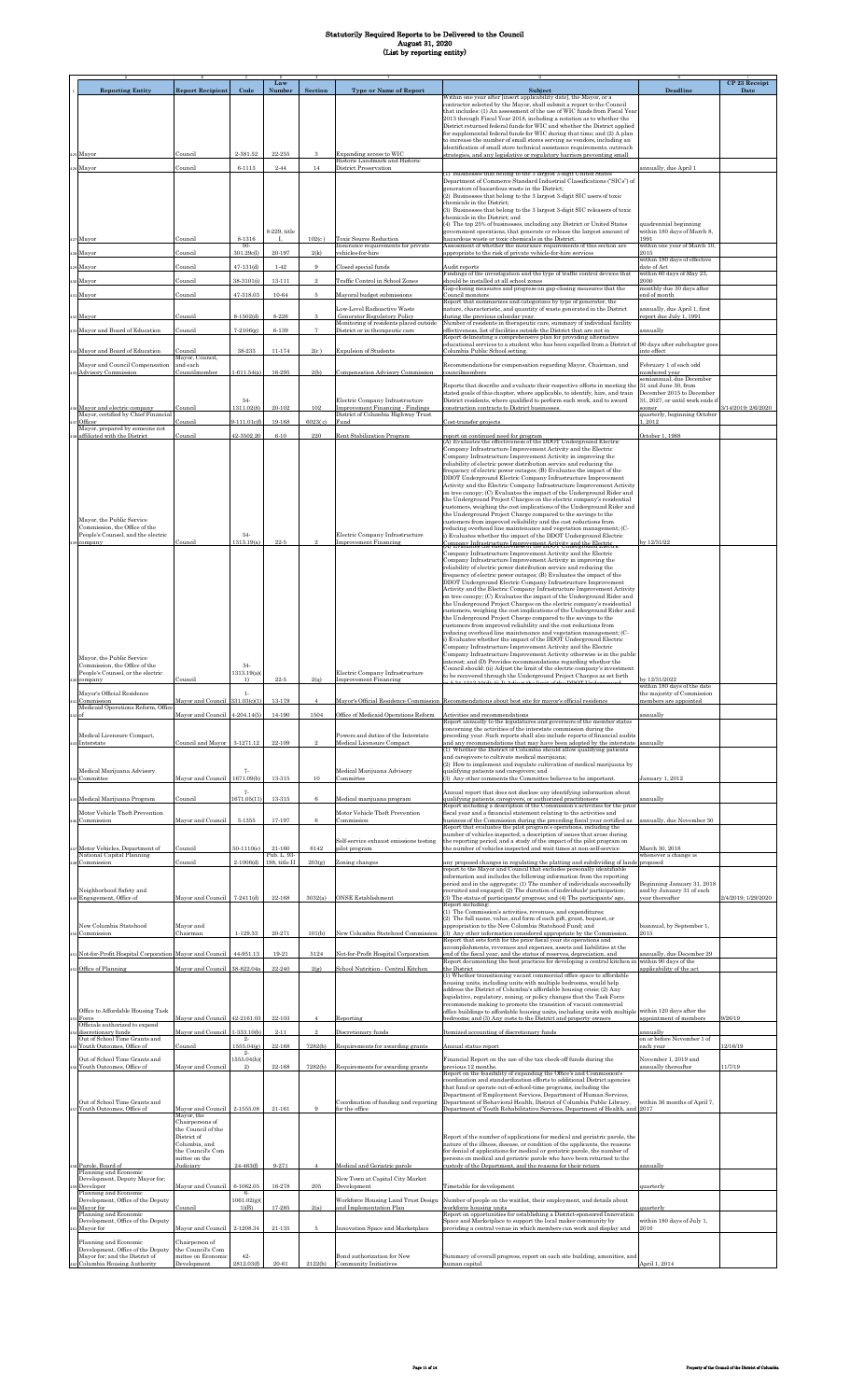|                                                                                   |                                                          |                                    | Law                          |                          |                                                                           |                                                                                                                                                                                                                                        |                                                                        | CP 23 Receipt       |
|-----------------------------------------------------------------------------------|----------------------------------------------------------|------------------------------------|------------------------------|--------------------------|---------------------------------------------------------------------------|----------------------------------------------------------------------------------------------------------------------------------------------------------------------------------------------------------------------------------------|------------------------------------------------------------------------|---------------------|
| <b>Reporting Entity</b>                                                           | <b>Report Recipient</b>                                  | Code                               | Numbe                        | Section                  | <b>Type or Name of Report</b>                                             | Subject<br>Within one year after [insert applicability date], the Mayor, or a<br>contractor selected by the Mayor, shall submit a report to the Council                                                                                | Deadline                                                               | Date                |
|                                                                                   |                                                          |                                    |                              |                          |                                                                           | that includes: (1) An assessment of the use of WIC funds from Fiscal Year<br>2013 through Fiscal Year 2018, including a notation as to whether the                                                                                     |                                                                        |                     |
|                                                                                   |                                                          |                                    |                              |                          |                                                                           | District returned federal funds for WIC and whether the District applied<br>for supplemental federal funds for WIC during that time; and (2) A plan<br>to increase the number of small stores serving as vendors, including an         |                                                                        |                     |
| s Mayor                                                                           | Council                                                  | $2 - 381.52$                       | 22-255                       |                          | Expanding access to WIC                                                   | identification of small store technical assistance requirements, outreach<br>trategies, and any legislative or regulatory barriers preventing small                                                                                    |                                                                        |                     |
| Mayor                                                                             | Council                                                  | $6 - 1113$                         | $2 - 44$                     | 14                       | Historic Landmark and Historic<br>District Preservation                   | (1) Businesses that belong to the 3 largest 3-digit United States                                                                                                                                                                      | annually, due April 1                                                  |                     |
|                                                                                   |                                                          |                                    |                              |                          |                                                                           | Department of Commerce Standard Industrial Classifications ("SICs") of<br>generators of hazardous waste in the District;                                                                                                               |                                                                        |                     |
|                                                                                   |                                                          |                                    |                              |                          |                                                                           | (2) Businesses that belong to the 3 largest 3-digit SIC users of toxic<br>chemicals in the District;<br>(3) Businesses that belong to the 3 largest 3-digit SIC releasers of toxic                                                     |                                                                        |                     |
|                                                                                   |                                                          |                                    |                              |                          |                                                                           | chemicals in the District; and<br>(4) The top 25% of businesses, including any District or United States                                                                                                                               | quadrennial beginning                                                  |                     |
| Mayor                                                                             | Council                                                  | 8-1316<br>-50-                     | 8-229, title                 | 102(c)                   | Toxic Source Reduction<br>Insurance requirements for private              | government operations, that generate or release the largest amount of<br>hazardous waste or toxic chemicals in the District.<br>Assessment of whether the insurance requirements of this section are                                   | within 180 days of March 8,<br>1991<br>within one year of March 10,    |                     |
| 8 Mayor                                                                           | Council                                                  | 301.29c(l)                         | 20-197                       | 2(k)                     | ehicles-for-hire                                                          | appropriate to the risk of private vehicle-for-hire services                                                                                                                                                                           | 2015<br>within 180 days of effective                                   |                     |
| Mayor<br>Mayor                                                                    | Council<br>Council                                       | $47-131(d)$<br>38-3101(i)          | $1 - 42$<br>$13 - 111$       | 9                        | Closed special funds<br><b>Traffic Control in School Zones</b>            | Audit reports<br>Findings of the investigation and the type of traffic control devices that<br>should be installed at all school zones                                                                                                 | date of Act<br>within 60 days of May 23,<br>2000                       |                     |
| Mayor                                                                             | Council                                                  | 47-318.03                          | 10-64                        | 5                        | Mayoral budget submissions                                                | Gap-closing measures and progress on gap-closing measures that the<br>Council monitors                                                                                                                                                 | monthly due 30 days after<br>end of month                              |                     |
| 2 Mayor                                                                           | Council                                                  | $8-1502(d)$                        | 8-226                        |                          | Low-Level Radioactive Waste<br><b>Generator Regulatory Policy</b>         | Report that summarizes and categorizes by type of generator, the<br>nature, characteristic, and quantity of waste generated in the District<br>during the previous calendar year.                                                      | annually, due April 1, first<br>eport due July 1, 1991                 |                     |
| Mayor and Board of Education                                                      | Council                                                  | $7 - 2106(g)$                      | 6-139                        |                          | Monitoring of residents placed outside<br>District or in therapeutic care | Number of residents in therapeutic care, summary of individual facility<br>effectiveness, list of facilities outside the District that are not in                                                                                      | nnually                                                                |                     |
| Mayor and Board of Education                                                      | Council                                                  | $38 - 233$                         | $11 - 174$                   | 2(c)                     | <b>Expulsion of Students</b>                                              | Report delineating a comprehensive plan for providing alternative<br>educational services to a student who has been expelled from a District of<br>Columbia Public School setting                                                      | 90 days after subchapter goes<br>into effect                           |                     |
| Mayor and Council Compensation<br><b>Advisory Commission</b>                      | Mayor, Council,<br>and each<br>Councilmember             | $1 - 611.54(a)$                    | 16-295                       | 2(b)                     | Compensation Advisory Commission                                          | Recommendations for compensation regarding Mayor, Chairman, and<br>councilmembers                                                                                                                                                      | February 1 of each odd<br>numbered year                                |                     |
|                                                                                   |                                                          |                                    |                              |                          |                                                                           | Reports that describe and evaluate their respective efforts in meeting the                                                                                                                                                             | semiannual due December<br>31 and June 30, from                        |                     |
| Mayor and electric company                                                        | Council                                                  | $34-$<br>1311.02(8)                | $20 - 102$                   | 102                      | Electric Company Infrastructure<br>Improvement Financing - Findings       | stated goals of this chapter, where applicable, to identify, hire, and train<br>District residents, where qualified to perform such work, and to award<br>construction contracts to District businesse                                 | December 2015 to December<br>31, 2027, or until work ends if<br>sooner | 3/14/2019; 2/6/2020 |
| Mayor, certified by Chief Financial<br>Officer                                    | Council                                                  | $-111.01c(f)$                      | 19-168                       | 6023(c)                  | District of Columbia Highway Trust<br>Fund                                | Cost-transfer projects                                                                                                                                                                                                                 | quarterly, beginning October<br>, 2012                                 |                     |
| Mayor, prepared by someone not<br>affiliated with the District                    | Council                                                  | 12-3502.20                         | $6 - 10$                     | 220                      | Rent Stabilization Program                                                | report on continued need for program<br>(A) Evaluates the effectiveness of the DDOT Underground Electric                                                                                                                               | October 1, 1988                                                        |                     |
|                                                                                   |                                                          |                                    |                              |                          |                                                                           | Company Infrastructure Improvement Activity and the Electric<br>Company Infrastructure Improvement Activity in improving the                                                                                                           |                                                                        |                     |
|                                                                                   |                                                          |                                    |                              |                          |                                                                           | reliability of electric power distribution service and reducing the<br>frequency of electric power outages; (B) Evaluates the impact of the<br>DDOT Underground Electric Company Infrastructure Improvement                            |                                                                        |                     |
|                                                                                   |                                                          |                                    |                              |                          |                                                                           | Activity and the Electric Company Infrastructure Improvement Activity<br>on tree canopy; (C) Evaluates the impact of the Underground Rider and                                                                                         |                                                                        |                     |
|                                                                                   |                                                          |                                    |                              |                          |                                                                           | the Underground Project Charges on the electric company's residential<br>customers, weighing the cost implications of the Underground Rider and                                                                                        |                                                                        |                     |
| Mayor, the Public Service<br>Commission, the Office of the                        |                                                          |                                    |                              |                          |                                                                           | the Underground Project Charge compared to the savings to the<br>customers from improved reliability and the cost reductions from<br>reducing overhead line maintenance and vegetation management; (C-                                 |                                                                        |                     |
| People's Counsel, and the electric<br>company                                     | Council                                                  | $34 -$<br>1313.19(a)               | $22 - 5$                     |                          | Electric Company Infrastructure<br><b>Improvement Financing</b>           | i) Evaluates whether the impact of the DDOT Underground Electric<br>Company Infrastructure Improvement Activity and the Electric                                                                                                       | by 12/31/22                                                            |                     |
|                                                                                   |                                                          |                                    |                              |                          |                                                                           | Company Infrastructure Improvement Activity and the Electric<br>Company Infrastructure Improvement Activity in improving the                                                                                                           |                                                                        |                     |
|                                                                                   |                                                          |                                    |                              |                          |                                                                           | reliability of electric power distribution service and reducing the<br>frequency of electric power outages; (B) Evaluates the impact of the<br>DDOT Underground Electric Company Infrastructure Improvement                            |                                                                        |                     |
|                                                                                   |                                                          |                                    |                              |                          |                                                                           | Activity and the Electric Company Infrastructure Improvement Activity<br>on tree canopy; (C) Evaluates the impact of the Underground Rider and                                                                                         |                                                                        |                     |
|                                                                                   |                                                          |                                    |                              |                          |                                                                           | the Underground Project Charges on the electric company's residential<br>customers, weighing the cost implications of the Underground Rider and<br>the Underground Project Charge compared to the savings to the                       |                                                                        |                     |
|                                                                                   |                                                          |                                    |                              |                          |                                                                           | customers from improved reliability and the cost reductions from<br>reducing overhead line maintenance and vegetation management; (C-                                                                                                  |                                                                        |                     |
|                                                                                   |                                                          |                                    |                              |                          |                                                                           | i) Evaluates whether the impact of the DDOT Underground Electric<br>Company Infrastructure Improvement Activity and the Electric                                                                                                       |                                                                        |                     |
| Mayor, the Public Service<br>Commission, the Office of the                        |                                                          | $34-$                              |                              |                          |                                                                           | Company Infrastructure Improvement Activity otherwise is in the public<br>interest; and (D) Provides recommendations regarding whether the<br>Council should: (ii) Adjust the limit of the electric company's investment               |                                                                        |                     |
| People's Counsel, or the electric<br>company                                      | Council                                                  | 1313.19(a)<br>1)                   | $22 - 5$                     | 2(q)                     | Electric Company Infrastructure<br><b>Improvement Financing</b>           | to be recovered through the Underground Project Charges as set forth                                                                                                                                                                   | by 12/31/2022<br>within 180 days of the date                           |                     |
| Mayor's Official Residence<br>Commission<br>Medicaid Operations Reform, Office    | Mayor and Council 331.03(c)(1)                           |                                    | $13 - 179$                   | $\overline{4}$           |                                                                           | Mayor's Official Residence Commission Recommendations about best site for mayor's official residence                                                                                                                                   | ie maiority of Commis<br>members are appointed                         |                     |
|                                                                                   | Mayor and Council                                        | $4 - 204.14(5)$                    |                              |                          |                                                                           |                                                                                                                                                                                                                                        |                                                                        |                     |
|                                                                                   |                                                          |                                    | 14-190                       | 1504                     | Office of Medicaid Operations Reform                                      | Activities and recommendations<br>Report annually to the legislatures and governors of the member states                                                                                                                               | nnually                                                                |                     |
| Medical Licensure Compact,                                                        |                                                          |                                    |                              |                          | Powers and duties of the Interstate                                       | concerning the activities of the interstate commission during the<br>preceding year. Such reports shall also include reports of financial audits                                                                                       |                                                                        |                     |
| Interstate                                                                        | Council and Mayor                                        | 3-1271.12                          | 22-109                       |                          | <b>Medical Licensure Compact</b>                                          | and any recommendations that may have been adopted by the interstate<br>(1) Whether the District of Columbia should allow qualifying patients<br>and caregivers to cultivate medical marijuana;                                        | annually                                                               |                     |
| Medical Marijuana Advisory                                                        |                                                          | $7-$                               |                              |                          | Medical Marijuana Advisory                                                | (2) How to implement and regulate cultivation of medical marijuana by<br>qualifying patients and caregivers; and                                                                                                                       |                                                                        |                     |
| Committee                                                                         | Mayor and Council                                        | 1671.09(b)<br>$7-$                 | 13-315                       | 10                       | Committee                                                                 | (3) Any other comments the Committee believes to be important.<br>Annual report that does not disclose any identifying information about                                                                                               | January 1, 2012                                                        |                     |
| Medical Marijuana Program                                                         | Council                                                  | 1671.05(11                         | 13-315                       | 6                        | Medical marijuana program                                                 | qualifying patients, caregivers, or authorized practitioners<br>Report including a description of the Commission's activities for the prior                                                                                            | annually                                                               |                     |
| Motor Vehicle Theft Prevention<br>Commission                                      | Mayor and Council                                        | 3-1355                             | 17-197                       | 6                        | Motor Vehicle Theft Prevention<br>Commission                              | fiscal year and a financial statement relating to the activities and<br>business of the Commission during the preceding fiscal year certified as<br>Report that evaluates the pilot program's operations, including the                | annually, due November 30                                              |                     |
| Motor Vehicles, Department of                                                     | Council                                                  | $50-1110(e)$                       | $21 - 160$                   | 6142                     | Self-service exhaust emissions testing<br>pilot program                   | number of vehicles inspected, a description of issues that arose during<br>the reporting period, and a study of the impact of the pilot program on<br>the number of vehicles inspected and wait times at non-self-service              | March 30, 2018                                                         |                     |
| National Capital Planning<br>Commission                                           | Council                                                  | $2-1006(d)$                        | Pub. L. 93-<br>198, title II | 203(g)                   | <b>Zoning changes</b>                                                     | iny proposed changes in regulating the platting and subdividing of lands                                                                                                                                                               | whenever a change is<br>proposed                                       |                     |
|                                                                                   |                                                          |                                    |                              |                          |                                                                           | report to the Mayor and Council that excludes personally identifiable<br>information and includes the following information from the reporting<br>period and in the aggregate: (1) The number of individuals successfully              | Beginning January 31, 2018                                             |                     |
| Neighborhood Safety and<br>Engagement, Office of                                  | Mayor and Council                                        | $7-2411(d)$                        | 22-168                       | 3032(a)                  | <b>ONSE Establishment</b>                                                 | recruited and engaged; (2) The duration of individuals' participation;<br>(3) The status of participants' progress; and (4) The participants' age,                                                                                     | and by January 31 of each<br>year thereafter                           | 2/4/2019; 1/29/2020 |
|                                                                                   |                                                          |                                    |                              |                          |                                                                           | Report including:<br>(1) The Commission's activities, revenues, and expenditures;<br>(2) The full name, value, and form of each gift, grant, bequest, or                                                                               |                                                                        |                     |
| New Columbia Statehood<br>Commission                                              | Mayor and<br>Chairman                                    | 1-129.33                           | 20-271                       | 101(b)                   | New Columbia Statehood Commission                                         | appropriation to the New Columbia Statehood Fund; and<br>(3) Any other information considered appropriate by the Commission                                                                                                            | biannual, by September 1,<br>2015                                      |                     |
| Not-for-Profit Hospital Corporation Mayor and Council                             |                                                          | $44 - 951.13$                      | 19-21                        | 5124                     | Not-for-Profit Hospital Corporation                                       | Report that sets forth for the prior fiscal year its operations and<br>accomplishments, revenues and expenses, assets and liabilities at the<br>end of the fiscal year, and the status of reserves, depreciation, and                  | nnually, due December 29                                               |                     |
| Office of Planning                                                                | Mayor and Council                                        | 38-822.04a                         | 22-240                       | $2(\alpha)$              | School Nutrition - Central Kitchen                                        | Report documenting the best practices for developing a central kitchen in<br>the District                                                                                                                                              | within 90 days of the<br>pplicability of the act                       |                     |
|                                                                                   |                                                          |                                    |                              |                          |                                                                           | (1) Whether transitioning vacant commercial office space to affordable<br>housing units, including units with multiple bedrooms, would help<br>address the District of Columbia's affordable housing crisis; (2) Any                   |                                                                        |                     |
| Office to Affordable Housing Task                                                 |                                                          |                                    |                              |                          |                                                                           | legislative, regulatory, zoning, or policy changes that the Task Force<br>recommends making to promote the transition of vacant commercial<br>office buildings to affordable housing units, including units with multiple              | within 120 days after the                                              |                     |
| Force<br>Officials authorized to expend                                           | Mayor and Council                                        | 42-2161.03                         | $22 - 103$                   |                          | Reporting                                                                 | bedrooms; and (3) Any costs to the District and property owners                                                                                                                                                                        | appointment of members                                                 | 9/26/19             |
| discretionary funds<br>Out of School Time Grants and<br>Youth Outcomes, Office of | Mayor and Council<br>Council                             | $-333.10(b)$<br>$2-$<br>1555.04(g) | $2 - 11$<br>22-168           | $\mathcal{Q}$<br>7282(b) | iscretionary funds<br>Requirements for awarding grants                    | Itemized accounting of discretionary funds<br>Annual status report                                                                                                                                                                     | nnually<br>on or before November 1 of<br>each year                     | 12/16/19            |
| Out of School Time Grants and                                                     |                                                          | 2.<br>1555.04(h)(                  |                              |                          |                                                                           | Financial Report on the use of the tax check-off funds during the                                                                                                                                                                      | November 1, 2019 and                                                   |                     |
| Youth Outcomes, Office of                                                         | Mayor and Council                                        | 2)                                 | $22 - 168$                   | 7282(b)                  | Requirements for awarding grants                                          | previous 12 months.<br>Report on the feasibility of expanding the Office's and Commission's<br>coordination and standardization efforts to additional District agencies                                                                | annually thereafter                                                    | 1/7/19              |
|                                                                                   |                                                          |                                    |                              |                          |                                                                           | that fund or operate out-of-school-time programs, including the<br>Department of Employment Services, Department of Human Services,                                                                                                    |                                                                        |                     |
| Out of School Time Grants and<br>Youth Outcomes, Office of                        | Mayor and Council<br>Mayor, the                          | 2-1555.08                          | $21 - 161$                   | 9                        | Coordination of funding and reporting<br>for the office                   | Department of Behavioral Health, District of Columbia Public Library,<br>Department of Youth Rehabilitative Services, Department of Health, and 2017                                                                                   | within 36 months of April 7,                                           |                     |
|                                                                                   | Chairpersons of<br>the Council of the                    |                                    |                              |                          |                                                                           |                                                                                                                                                                                                                                        |                                                                        |                     |
|                                                                                   | District of<br>Columbia, and<br>the Council's Com        |                                    |                              |                          |                                                                           | Report of the number of applications for medical and geriatric parole, the<br>nature of the illness, disease, or condition of the applicants, the reasons<br>for denial of applications for medical or geriatric parole, the number of |                                                                        |                     |
| Parole, Board of<br>Planning and Economic                                         | mittee on the<br>Judiciary                               | 24-463(f)                          | 9-271                        |                          | Medical and Geriatric parole                                              | persons on medical and geriatric parole who have been returned to the<br>custody of the Department, and the reasons for their return                                                                                                   | annually                                                               |                     |
| Development, Deputy Mayor for;<br>Developer                                       | Mayor and Council                                        | 6-1062.05                          | 16-278                       | $\boldsymbol{205}$       | New Town at Capital City Market<br><b>Jevelopment</b>                     | Timetable for development                                                                                                                                                                                                              | quarterly                                                              |                     |
| Planning and Economic<br>Development, Office of the Deputy<br>Mayor for           | Council                                                  | $6-$<br>1061.02(g)<br>1)(B)        | 17-285                       | 2(a)                     | <b>Norkforce Housing Land Trust Design</b><br>and Implementation Plan     | Number of people on the waitlist, their employment, and details about<br>workforce housing units                                                                                                                                       | quarterly                                                              |                     |
| Planning and Economic<br>Development, Office of the Deputy                        |                                                          |                                    |                              |                          |                                                                           | Report on opportunities for establishing a District sponsored Innovation<br>Space and Marketplace to support the local maker community by                                                                                              | within 180 days of July 1,                                             |                     |
| Mayor for<br>Planning and Economic<br>Development, Office of the Deputy           | Mayor and Council<br>Chairperson of<br>the Council's Com | 2-1208.34                          | $21 - 135$                   | 5                        | nnovation Space and Marketplace                                           | providing a central venue in which members can work and display and                                                                                                                                                                    | 2016                                                                   |                     |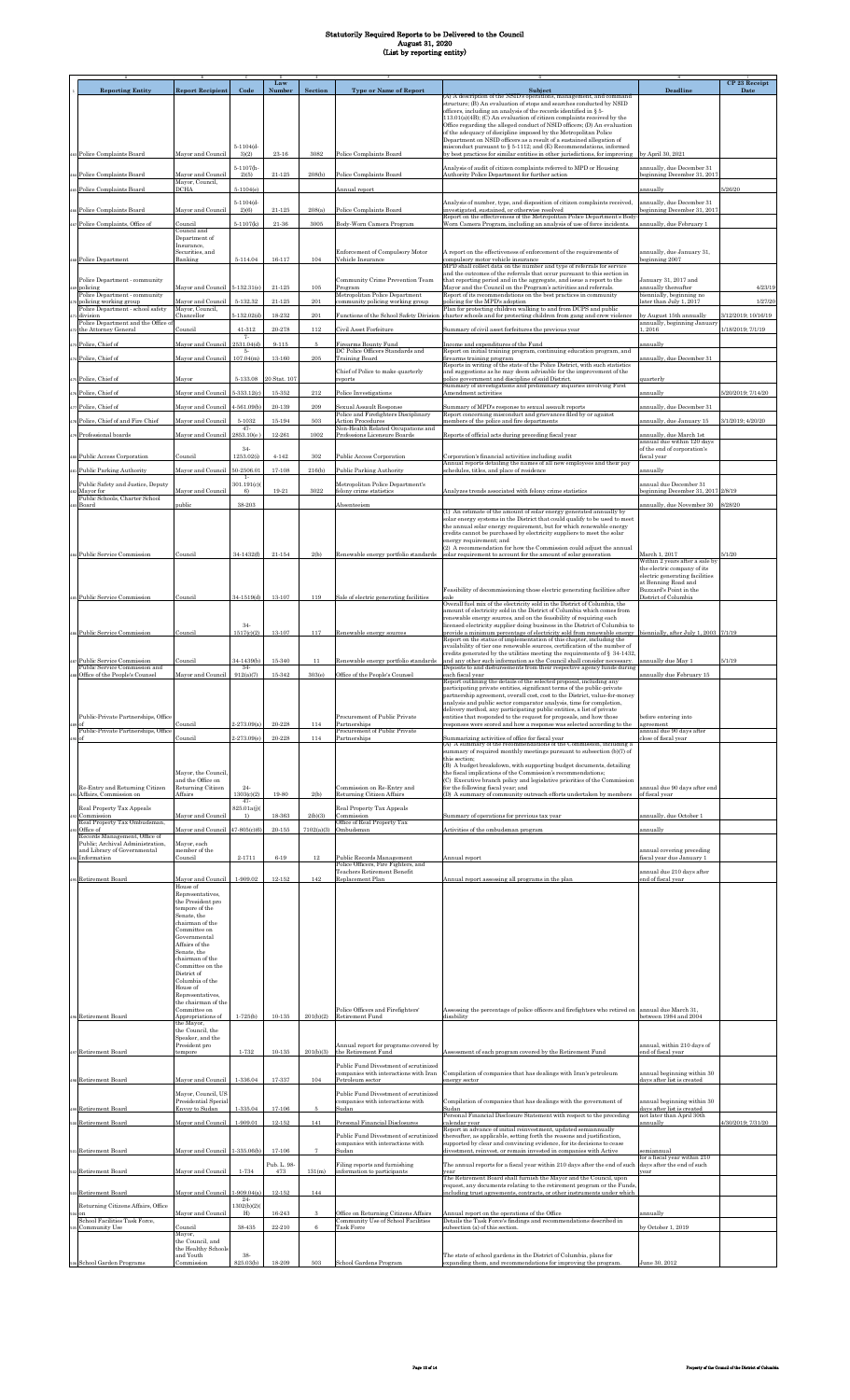|                                                                                  |                                                                                                                                                                               |                                          | Law                      |                    |                                                                                                    |                                                                                                                                                                                                                                                                                                                                                                                                                                                                                                         |                                                                                                                  | CP 23 Receipt       |
|----------------------------------------------------------------------------------|-------------------------------------------------------------------------------------------------------------------------------------------------------------------------------|------------------------------------------|--------------------------|--------------------|----------------------------------------------------------------------------------------------------|---------------------------------------------------------------------------------------------------------------------------------------------------------------------------------------------------------------------------------------------------------------------------------------------------------------------------------------------------------------------------------------------------------------------------------------------------------------------------------------------------------|------------------------------------------------------------------------------------------------------------------|---------------------|
| <b>Reporting Entity</b>                                                          | <b>Report Recipient</b>                                                                                                                                                       | Code                                     | <b>Number</b>            | <b>Section</b>     | <b>Type or Name of Report</b>                                                                      | Subject<br>(A) A description of the NSID's operations, management, and command<br>structure; (B) An evaluation of stops and searches conducted by NSID<br>officers, including an analysis of the records identified in § 5-                                                                                                                                                                                                                                                                             | <b>Deadline</b>                                                                                                  | Date                |
|                                                                                  |                                                                                                                                                                               |                                          |                          |                    |                                                                                                    | 113.01(a)(4B); (C) An evaluation of citizen complaints received by the<br>Office regarding the alleged conduct of NSID officers; (D) An evaluation<br>of the adequacy of discipline imposed by the Metropolitan Police<br>Department on NSID officers as a result of a sustained allegation of                                                                                                                                                                                                          |                                                                                                                  |                     |
| 63 Police Complaints Board                                                       | Mayor and Council                                                                                                                                                             | $5 - 1104(d -$<br>3)(2)                  | 23-16                    | 3082               | Police Complaints Board                                                                            | misconduct pursuant to § 5-1112; and (E) Recommendations, informed<br>by best practices for similar entities in other jurisdictions, for improving                                                                                                                                                                                                                                                                                                                                                      | by April 30, 2021                                                                                                |                     |
|                                                                                  |                                                                                                                                                                               | $5 - 1107(h -$                           |                          |                    |                                                                                                    | Analysis of audit of citizen complaints referred to MPD or Housing                                                                                                                                                                                                                                                                                                                                                                                                                                      | annually, due December 31                                                                                        |                     |
| Police Complaints Board                                                          | Mayor and Council<br>Mayor, Council,                                                                                                                                          | 2)(5)                                    | $21 - 125$               | 208(b)             | Police Complaints Board                                                                            | Authority Police Department for further action                                                                                                                                                                                                                                                                                                                                                                                                                                                          | beginning December 31, 2017                                                                                      |                     |
| Police Complaints Board                                                          | <b>DCHA</b>                                                                                                                                                                   | $5 - 1104(e)$                            |                          |                    | Annual report                                                                                      |                                                                                                                                                                                                                                                                                                                                                                                                                                                                                                         | annually                                                                                                         | 5/26/20             |
| Police Complaints Board                                                          | Mayor and Council                                                                                                                                                             | $5 - 1104(d -$<br>2)(6)                  | $21 - 125$               | 208(a)             | Police Complaints Board                                                                            | Analysis of number, type, and disposition of citizen complaints received,<br>investigated, sustained, or otherwise resolved                                                                                                                                                                                                                                                                                                                                                                             | annually, due December 31<br>eginning December 31, 2017                                                          |                     |
| Police Complaints, Office of                                                     | Council                                                                                                                                                                       | $5 - 1107(k)$                            | $21\hbox{-}36$           | 3005               | Body-Worn Camera Program                                                                           | Report on the effectiveness of the Metropolitan Police Department's Body<br>Worn Camera Program, including an analysis of use of force incidents.                                                                                                                                                                                                                                                                                                                                                       | annually, due February 1                                                                                         |                     |
|                                                                                  | Council and<br>Department of                                                                                                                                                  |                                          |                          |                    |                                                                                                    |                                                                                                                                                                                                                                                                                                                                                                                                                                                                                                         |                                                                                                                  |                     |
| <b>Police Department</b>                                                         | Insurance,<br>Securities, and<br>Banking                                                                                                                                      | $5 - 114.04$                             | 16-117                   | 104                | Enforcement of Compulsory Motor<br>Vehicle Insurance                                               | A report on the effectiveness of enforcement of the requirements of<br>compulsory motor vehicle insurance<br>MPD shall collect data on the number and type of referrals for service<br>and the outcomes of the referrals that occur pursuant to this section in                                                                                                                                                                                                                                         | annually, due January 31,<br>eginning 2007                                                                       |                     |
| Police Department - community<br>policing                                        | Mayor and Council 5-132.31(e)                                                                                                                                                 |                                          | $21 - 125$               | 105                | Community Crime Prevention Team<br>Program                                                         | that reporting period and in the aggregate, and issue a report to the<br>Mayor and the Council on the Program's activities and referrals.                                                                                                                                                                                                                                                                                                                                                               | January 31, 2017 and<br>annually thereafter                                                                      | 4/23/19             |
| Police Department - community<br>policing working group                          | Mayor and Council                                                                                                                                                             | 5-132.32                                 | $21 - 125$               | $\,201$            | Metropolitan Police Department<br>community policing working group                                 | Report of its recommendations on the best practices in community<br>policing for the MPD's adoption                                                                                                                                                                                                                                                                                                                                                                                                     | biennially, beginning no<br>ater than July 1, 2017                                                               | 1/27/20             |
| Police Department - school safety<br>division                                    | Mayor, Council,<br>Chancellor                                                                                                                                                 | $5 - 132.02(d)$                          | $18 - 232$               | 201                | Functions of the School Safety Division                                                            | Plan for protecting children walking to and from DCPS and public<br>charter schools and for protecting children from gang and crew violence                                                                                                                                                                                                                                                                                                                                                             | by August 15th annually                                                                                          | 3/12/2019; 10/16/19 |
| Police Department and the Office of<br>the Attorney General                      | Council                                                                                                                                                                       | 41-312                                   | 20-278                   | 112                | Civil Asset Forfeiture                                                                             | Summary of civil asset forfeitures the previous year                                                                                                                                                                                                                                                                                                                                                                                                                                                    | annually, beginning January<br>1,2016                                                                            | 1/18/2019; 7/1/19   |
| Police, Chief of                                                                 | Mayor and Council                                                                                                                                                             | 7-<br>2531.04(d)<br>5.                   | $9 - 115$                | 5                  | Firearms Bounty Fund<br>DC Police Officers Standards and                                           | Income and expenditures of the Fund                                                                                                                                                                                                                                                                                                                                                                                                                                                                     | annually                                                                                                         |                     |
| Police, Chief of                                                                 | Mayor and Council                                                                                                                                                             | 107.04(m)                                | $13 - 160$               | $\boldsymbol{205}$ | <b>Training Board</b>                                                                              | Report on initial training program, continuing education program, and<br>firearms training program<br>Reports in writing of the state of the Police District, with such statistics                                                                                                                                                                                                                                                                                                                      | innually, due December 31                                                                                        |                     |
| Police, Chief of                                                                 | Mayor                                                                                                                                                                         | 5-133.08                                 | 20 Stat. 107             |                    | Chief of Police to make quarterly<br>reports                                                       | and suggestions as he may deem advisable for the improvement of the<br>police government and discipline of said District.                                                                                                                                                                                                                                                                                                                                                                               | quarterly                                                                                                        |                     |
| Police, Chief of                                                                 | Mayor and Council                                                                                                                                                             | 5-333.12(c)                              | $15 - 352$               | 212                | Police Investigations                                                                              | Summary of investigations and preliminary inquiries involving First<br>Amendment activities                                                                                                                                                                                                                                                                                                                                                                                                             | annually                                                                                                         | 5/20/2019; 7/14/20  |
| Police, Chief of                                                                 | Mayor and Council                                                                                                                                                             | $4 - 561.09(b)$                          | $20 - 139$               | 209                | Sexual Assault Response                                                                            | Summary of MPD's response to sexual assault reports                                                                                                                                                                                                                                                                                                                                                                                                                                                     | annually, due December 31                                                                                        |                     |
| Police, Chief of and Fire Chief                                                  | Mayor and Council                                                                                                                                                             | 5-1032                                   | $15 - 194$               | 503                | Police and Firefighters Disciplinary<br><b>Action Procedures</b>                                   | Report concerning misconduct and grievances filed by or against<br>members of the police and fire departments                                                                                                                                                                                                                                                                                                                                                                                           | annually, due January 15                                                                                         | 3/1/2019; 4/20/20   |
| Professional boards                                                              | Mayor and Council                                                                                                                                                             | $47-$<br>2853.10(e                       | 12-261                   | $1002\,$           | Non-Health Related Occupations and<br>Professions Licensure Boards                                 | Reports of official acts during preceding fiscal year                                                                                                                                                                                                                                                                                                                                                                                                                                                   | innually, due March 1st                                                                                          |                     |
|                                                                                  |                                                                                                                                                                               | $34-$                                    |                          |                    |                                                                                                    |                                                                                                                                                                                                                                                                                                                                                                                                                                                                                                         | annual due within 120 days<br>of the end of corporation's                                                        |                     |
| Public Access Corporation                                                        | Council                                                                                                                                                                       | 1253.02(                                 | $4 - 142$                | 302                | Public Access Corporation                                                                          | Corporation's financial activities including audit<br>Annual reports detailing the names of all new employees and their pay                                                                                                                                                                                                                                                                                                                                                                             | iscal year                                                                                                       |                     |
| Public Parking Authority                                                         | Mayor and Council 50-2506.01                                                                                                                                                  |                                          | 17-108                   | 216(b)             | <b>Public Parking Authority</b>                                                                    | schedules, titles, and place of residence                                                                                                                                                                                                                                                                                                                                                                                                                                                               | annually                                                                                                         |                     |
| Public Safety and Justice, Deputy<br>Mayor for<br>Public Schools, Charter School | Mayor and Council                                                                                                                                                             | 301.191(c)(<br>6)                        | 19-21                    | 3022               | Metropolitan Police Department's<br>felony crime statistics                                        | Analyzes trends associated with felony crime statistics                                                                                                                                                                                                                                                                                                                                                                                                                                                 | annual due December 31<br>beginning December 31, 2017 2/8/19                                                     |                     |
| Board                                                                            | public                                                                                                                                                                        | 38-203                                   |                          |                    | Absenteeism                                                                                        | (1) An estimate of the amount of solar energy generated annually by                                                                                                                                                                                                                                                                                                                                                                                                                                     | annually, due November 30                                                                                        | 8/28/20             |
|                                                                                  |                                                                                                                                                                               |                                          |                          |                    |                                                                                                    | solar energy systems in the District that could qualify to be used to meet<br>the annual solar energy requirement, but for which renewable energy<br>credits cannot be purchased by electricity suppliers to meet the solar<br>energy requirement: and                                                                                                                                                                                                                                                  |                                                                                                                  |                     |
| 4 Public Service Commission                                                      | Council                                                                                                                                                                       | 34-1432(f)                               | 21-154                   | 2(b)               | Renewable energy portfolio standards                                                               | (2) A recommendation for how the Commission could adjust the annual<br>solar requirement to account for the amount of solar generation                                                                                                                                                                                                                                                                                                                                                                  | March 1, 2017<br>Within 2 years after a sale by<br>the electric company of its<br>electric generating facilities | 5/1/20              |
| s Public Service Commission                                                      | Council                                                                                                                                                                       | 34-1519(d)                               | 13-107                   | 119                | Sale of electric generating facilities                                                             | Feasibility of decommissioning those electric generating facilities after<br>sale<br>Overall fuel mix of the electricity sold in the District of Columbia, the<br>amount of electricity sold in the District of Columbia which comes from                                                                                                                                                                                                                                                               | at Benning Road and<br>Buzzard's Point in the<br>District of Columbia                                            |                     |
|                                                                                  |                                                                                                                                                                               | $34-$                                    |                          |                    |                                                                                                    | renewable energy sources, and on the feasibility of requiring each<br>licensed electricity supplier doing business in the District of Columbia to                                                                                                                                                                                                                                                                                                                                                       |                                                                                                                  |                     |
| <b>Public Service Commission</b>                                                 | Council                                                                                                                                                                       | 1517(c)(2)                               | $13 - 107$               | 117                | Renewable energy sources                                                                           | provide a minimum percentage of electricity sold from renewable energy<br>Report on the status of implementation of this chapter, including the                                                                                                                                                                                                                                                                                                                                                         | biennially, after July 1, 2003 7/1/19                                                                            |                     |
|                                                                                  |                                                                                                                                                                               |                                          |                          |                    |                                                                                                    | availability of tier one renewable sources, certification of the number of<br>credits generated by the utilities meeting the requirements of § 34-1432,                                                                                                                                                                                                                                                                                                                                                 |                                                                                                                  |                     |
| Public Service Commission<br>Public Service Commission and                       | Council                                                                                                                                                                       | 34-1439(b)<br>$34-$                      | $15 - 340$               | 11                 | Renewable energy portfolio standards                                                               | and any other such information as the Council shall consider necessary.<br>Deposits to and disbursements from their respective agency funds during                                                                                                                                                                                                                                                                                                                                                      | annually due May 1                                                                                               | 5/1/19              |
| Office of the People's Counsel                                                   | Mayor and Council                                                                                                                                                             | 912(a)(7)                                | $15-342$                 | 303(e)             | Office of the People's Counsel                                                                     | ach fiscal year<br>Report outlining the details of the selected proposal, including any<br>participating private entities, significant terms of the public-private                                                                                                                                                                                                                                                                                                                                      | annually due February 15                                                                                         |                     |
| Public-Private Partnerships, Office<br>Public-Private Partnerships, Office       | Council<br>Council                                                                                                                                                            | $2 - 273.09(a)$<br>2-273.09(e)           | $20 - 228$<br>20-228     | 114<br>114         | Procurement of Public Private<br>Partnerships<br>Procurement of Public Private<br>Partnerships     | partnership agreement, overall cost, cost to the District, value-for-money<br>analysis and public sector comparator analysis, time for completion,<br>delivery method, any participating public entities, a list of private<br>entities that responded to the request for proposals, and how those<br>responses were scored and how a response was selected according to the<br>Summarizing activities of office for fiscal year<br>(A) A summary of the recommendations of the Commission, including a | before entering into<br>agreement<br>annual due 90 days after<br>bose of fiscal year                             |                     |
| Re-Entry and Returning Citizen                                                   | Mayor, the Council,<br>and the Office on<br>Returning Citizen                                                                                                                 | $24 -$                                   |                          |                    | Commission on Re-Entry and                                                                         | summary of required monthly meetings pursuant to subsection (b)(7) of<br>this section:<br>(B) A budget breakdown, with supporting budget documents, detailing<br>the fiscal implications of the Commission's recommendations;<br>(C) Executive branch policy and legislative priorities of the Commission<br>for the following fiscal year; and                                                                                                                                                         | annual due 90 days after end                                                                                     |                     |
| Affairs, Commission on<br>Real Property Tax Appeals<br>Commission                | Affairs<br>Mayor and Council                                                                                                                                                  | 1303(c)(2)<br>$47-$<br>825.01a(j)(<br>1) | 19-80<br>18-363          | 2(b)<br>2(b)(3)    | <b>Returning Citizen Affairs</b><br>Real Property Tax Appeals<br>Commission                        | (D) A summary of community outreach efforts undertaken by members<br>Summary of operations for previous tax year                                                                                                                                                                                                                                                                                                                                                                                        | of fiscal year<br>annually, due October 1                                                                        |                     |
| Real Property Tax Ombudsman,<br>Office of<br>Records Management, Office of       | Mayor and Council 47-805(c)(6)                                                                                                                                                |                                          | $20 - 155$               |                    | Office of Real Property Tax<br>$7102(a)(3)$ Ombudsman                                              | Activities of the ombudsman program                                                                                                                                                                                                                                                                                                                                                                                                                                                                     | annually                                                                                                         |                     |
| Public; Archival Administration,<br>and Library of Governmental                  | Mayor, each<br>member of the                                                                                                                                                  |                                          |                          |                    |                                                                                                    |                                                                                                                                                                                                                                                                                                                                                                                                                                                                                                         | annual covering preceding                                                                                        |                     |
| Information                                                                      | Council                                                                                                                                                                       | 2-1711                                   | $6 - 19$                 |                    | Public Records Management<br>Police Officers, Fire Fighters, and                                   | Annual report                                                                                                                                                                                                                                                                                                                                                                                                                                                                                           | fiscal year due January 1                                                                                        |                     |
| Retirement Board                                                                 | Mayor and Council<br>House of<br>Representatives,<br>the President pro<br>tempore of the<br>Senate, the<br>chairman of the<br>Committee on                                    | 1-909.02                                 | $12 - 152$               | 142                | Teachers Retirement Benefit<br>Replacement Plan                                                    | Annual report assessing all programs in the plan                                                                                                                                                                                                                                                                                                                                                                                                                                                        | annual due 210 days after<br>end of fiscal year                                                                  |                     |
|                                                                                  | Governmental<br>Affairs of the<br>Senate, the<br>chairman of the<br>Committee on the<br>District of<br>Columbia of the<br>House of<br>Representatives.<br>the chairman of the |                                          |                          |                    |                                                                                                    |                                                                                                                                                                                                                                                                                                                                                                                                                                                                                                         |                                                                                                                  |                     |
| Retirement Board                                                                 | Committee on<br>Appropriations of<br>the Mayor,<br>the Council, the                                                                                                           | $1 - 725(b)$                             | $10 - 135$               | 201(b)(2)          | Police Officers and Firefighters'<br>Retirement Fund                                               | Assessing the percentage of police officers and firefighters who retired on<br>disability                                                                                                                                                                                                                                                                                                                                                                                                               | annual due March 31.<br>between 1984 and 2004                                                                    |                     |
| <b>Retirement Board</b>                                                          | Speaker, and the<br>President pro<br>tempore                                                                                                                                  | $1 - 732$                                | $10 - 135$               | 201(b)(3)          | Annual report for programs covered by<br>the Retirement Fund                                       | Assessment of each program covered by the Retirement Fund                                                                                                                                                                                                                                                                                                                                                                                                                                               | annual, within 210 days of<br>nd of fiscal year                                                                  |                     |
| Retirement Board                                                                 | Mayor and Council                                                                                                                                                             | 1-336.04                                 | 17-337                   | 104                | Public Fund Divestment of scrutinized<br>companies with interactions with Iran<br>Petroleum sector | Compilation of companies that has dealings with Iran's petroleum<br>energy sector                                                                                                                                                                                                                                                                                                                                                                                                                       | annual beginning within 30<br>days after list is created                                                         |                     |
|                                                                                  | Mayor, Council, US<br>Presidential Special                                                                                                                                    |                                          |                          |                    | Public Fund Divestment of scrutinized<br>companies with interactions with                          | Compilation of companies that has dealings with the government of                                                                                                                                                                                                                                                                                                                                                                                                                                       | annual beginning within 30                                                                                       |                     |
| Retirement Board<br>Retirement Board                                             | Envoy to Sudan<br>Mayor and Council                                                                                                                                           | $1 - 335.04$<br>1-909.01                 | $17 - 106$<br>$12 - 152$ | 5<br>141           | Sudan<br>Personal Financial Disclosures                                                            | Sudan<br>Personal Financial Disclosure Statement with respect to the preceding<br>calendar year                                                                                                                                                                                                                                                                                                                                                                                                         | days after list is created<br>not later than April 30th<br>annually                                              | 4/30/2019; 7/31/20  |
| Retirement Board                                                                 | Mayor and Council                                                                                                                                                             | 1-335.06(b)                              | $17 - 106$               | $\overline{7}$     | Public Fund Divestment of scrutinized<br>companies with interactions with<br>Sudan                 | Report in advance of initial reinvestment, updated semiannually<br>thereafter, as applicable, setting forth the reasons and justification,<br>supported by clear and convincing evidence, for its decisions to cease<br>divestment, reinvest, or remain invested in companies with Active                                                                                                                                                                                                               | emiannual                                                                                                        |                     |
|                                                                                  |                                                                                                                                                                               |                                          | Pub. L. 98-              |                    | Filing reports and furnishing                                                                      | The annual reports for a fiscal year within 210 days after the end of such                                                                                                                                                                                                                                                                                                                                                                                                                              | for a fiscal year within 210<br>days after the end of such                                                       |                     |
| Retirement Board<br>Retirement Board                                             | Mayor and Council<br>Mayor and Council                                                                                                                                        | 1-734<br>$-909.04(a)$                    | 473<br>$12 - 152$        | 131(m)<br>144      | information to participants                                                                        | vear<br>The Retirement Board shall furnish the Mayor and the Council, upon<br>request, any documents relating to the retirement program or the Funds,<br>including trust agreements, contracts, or other instruments under which                                                                                                                                                                                                                                                                        | ear                                                                                                              |                     |
| Returning Citizens Affairs, Office                                               |                                                                                                                                                                               | $24-$<br>(302(b)(2))                     |                          |                    |                                                                                                    |                                                                                                                                                                                                                                                                                                                                                                                                                                                                                                         |                                                                                                                  |                     |
| School Facilities Task Force,<br>Community Use                                   | Mayor and Council<br>Council<br>Mayor,<br>the Council, and                                                                                                                    | H <sub>0</sub><br>38-435                 | 16-243<br>22-210         | 3<br>6             | Office on Returning Citizens Affairs<br>Community Use of School Facilities<br><b>Task Force</b>    | Annual report on the operations of the Office<br>Details the Task Force's findings and recommendations described in<br>subsection (a) of this section.                                                                                                                                                                                                                                                                                                                                                  | annually<br>by October 1, 2019                                                                                   |                     |
| 506 School Garden Programs                                                       | the Healthy Schools<br>and Youth<br>Commission                                                                                                                                | 38-<br>825.03(b)                         | 18-209                   | 503                | School Gardens Program                                                                             | The state of school gardens in the District of Columbia, plans for                                                                                                                                                                                                                                                                                                                                                                                                                                      | June 30, 2012                                                                                                    |                     |
|                                                                                  |                                                                                                                                                                               |                                          |                          |                    |                                                                                                    | xpanding them, and recommendations for improving the program                                                                                                                                                                                                                                                                                                                                                                                                                                            |                                                                                                                  |                     |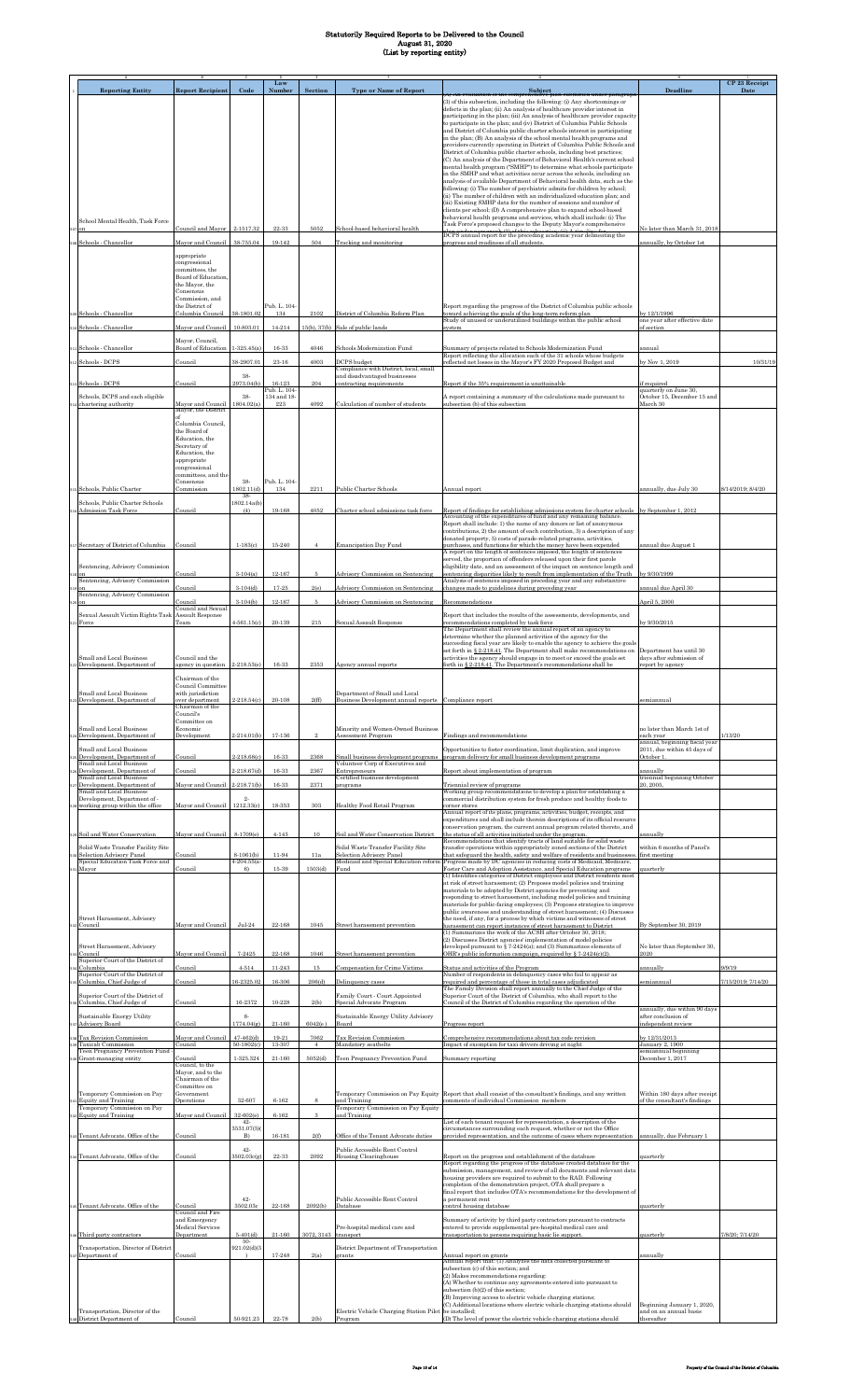|                                                                                                    |                                                              |                                 | Law                         |                      |                                                                                                         |                                                                                                                                                                                                                               |                                                                     | CP 23 Receipt      |
|----------------------------------------------------------------------------------------------------|--------------------------------------------------------------|---------------------------------|-----------------------------|----------------------|---------------------------------------------------------------------------------------------------------|-------------------------------------------------------------------------------------------------------------------------------------------------------------------------------------------------------------------------------|---------------------------------------------------------------------|--------------------|
| <b>Reporting Entity</b>                                                                            | <b>Report Recipient</b>                                      | Code                            | Number                      | Section              | <b>Type or Name of Report</b>                                                                           | Subject<br>nensive pian submitted under paragrapi<br><b>U. An evaluation of the comp</b><br>(3) of this subsection, including the following: (i) Any shortcomings or                                                          | Deadline                                                            | Date               |
|                                                                                                    |                                                              |                                 |                             |                      |                                                                                                         | defects in the plan; (ii) An analysis of healthcare provider interest in<br>participating in the plan; (iii) An analysis of healthcare provider capacity                                                                      |                                                                     |                    |
|                                                                                                    |                                                              |                                 |                             |                      |                                                                                                         | to participate in the plan; and (iv) District of Columbia Public Schools<br>and District of Columbia public charter schools interest in participating                                                                         |                                                                     |                    |
|                                                                                                    |                                                              |                                 |                             |                      |                                                                                                         | in the plan; (B) An analysis of the school mental health programs and<br>providers currently operating in District of Columbia Public Schools and                                                                             |                                                                     |                    |
|                                                                                                    |                                                              |                                 |                             |                      |                                                                                                         | District of Columbia public charter schools, including best practices;<br>(C) An analysis of the Department of Behavioral Health's current school                                                                             |                                                                     |                    |
|                                                                                                    |                                                              |                                 |                             |                      |                                                                                                         | mental health program ("SMHP") to determine what schools participate<br>in the SMHP and what activities occur across the schools, including an                                                                                |                                                                     |                    |
|                                                                                                    |                                                              |                                 |                             |                      |                                                                                                         | analysis of available Department of Behavioral health data, such as the<br>following: (i) The number of psychiatric admits for children by school;                                                                            |                                                                     |                    |
|                                                                                                    |                                                              |                                 |                             |                      |                                                                                                         | (ii) The number of children with an individualized education plan; and<br>(iii) Existing SMHP data for the number of sessions and number of                                                                                   |                                                                     |                    |
|                                                                                                    |                                                              |                                 |                             |                      |                                                                                                         | clients per school; (D) A comprehensive plan to expand school-based<br>behavioral health programs and services, which shall include: (i) The                                                                                  |                                                                     |                    |
| School Mental Health, Task Force                                                                   | Council and Mayor 2-1517.32                                  |                                 | 22-33                       | 5052                 | School-based behavioral health                                                                          | Task Force's proposed changes to the Deputy Mayor's comprehensive                                                                                                                                                             | Volater than March 31, 2018                                         |                    |
| os Schools - Chancellor                                                                            | Mayor and Council                                            | 38-755.04                       | 19-142                      | 504                  | Tracking and monitoring                                                                                 | DCPS annual report for the preceding academic year delineating the<br>progress and readiness of all students.                                                                                                                 | annually, by October 1st                                            |                    |
|                                                                                                    | appropriate<br>congressional                                 |                                 |                             |                      |                                                                                                         |                                                                                                                                                                                                                               |                                                                     |                    |
|                                                                                                    | committees, the<br>Board of Education,                       |                                 |                             |                      |                                                                                                         |                                                                                                                                                                                                                               |                                                                     |                    |
|                                                                                                    | the Mayor, the<br>Consensus                                  |                                 |                             |                      |                                                                                                         |                                                                                                                                                                                                                               |                                                                     |                    |
|                                                                                                    | Commission, and<br>the District of                           |                                 | Pub. L. 104-                |                      |                                                                                                         | Report regarding the progress of the District of Columbia public schools                                                                                                                                                      |                                                                     |                    |
| 69 Schools - Chancellor                                                                            | Columbia Council                                             | 38-1801.02                      | 134                         | 2102                 | District of Columbia Reform Plan                                                                        | toward achieving the goals of the long-term reform plan<br>Study of unused or underutilized buildings within the public school                                                                                                | v 12/1/1996<br>one year after effective date                        |                    |
| 510 Schools - Chancellor                                                                           | Mayor and Council                                            | 10-803.01                       | 14-214                      |                      | 15(b), 37(b) Sale of public lands                                                                       | system                                                                                                                                                                                                                        | of section                                                          |                    |
| 11 Schools - Chancellor                                                                            | Mayor, Council,<br>Board of Education                        | $1-325.45(a)$                   | 16-33                       | 4046                 | Schools Modernization Fund                                                                              | Summary of projects related to Schools Modernization Fund                                                                                                                                                                     | annual                                                              |                    |
| 12 Schools - DCPS                                                                                  | Council                                                      | 38-2907.01                      | $23 - 16$                   | 4003                 | DCPS budget<br>Compliance with District, local, small                                                   | Report reflecting the allocation each of the 31 schools whose budgets<br>reflected net losses in the Mayor's FY 2020 Proposed Budget and                                                                                      | y Nov 1, 2019                                                       | 10/31/19           |
| 13 Schools - DCPS                                                                                  | Council                                                      | 38-<br>2973.04(b)               | 16-123                      | 204                  | and disadvantaged businesses<br>contracting requirements                                                | Report if the 35% requirement is unattainable                                                                                                                                                                                 | f required                                                          |                    |
| Schools, DCPS and each eligible                                                                    |                                                              | 38-                             | Pub. L. 104-<br>134 and 18- |                      |                                                                                                         | A report containing a summary of the calculations made pursuant to                                                                                                                                                            | quarterly on June 30,<br>October 15, December 15 and                |                    |
| 14 chartering authority                                                                            | Mayor and Council<br>Mayor, the District                     | 1804.02(a)                      | $223\,$                     | 4092                 | Calculation of number of students                                                                       | ubsection (b) of this subsection                                                                                                                                                                                              | March 30                                                            |                    |
|                                                                                                    | Columbia Council,                                            |                                 |                             |                      |                                                                                                         |                                                                                                                                                                                                                               |                                                                     |                    |
|                                                                                                    | the Board of<br>Education, the                               |                                 |                             |                      |                                                                                                         |                                                                                                                                                                                                                               |                                                                     |                    |
|                                                                                                    | Secretary of<br>Education, the                               |                                 |                             |                      |                                                                                                         |                                                                                                                                                                                                                               |                                                                     |                    |
|                                                                                                    | appropriate<br>congressional                                 |                                 |                             |                      |                                                                                                         |                                                                                                                                                                                                                               |                                                                     |                    |
| 15 Schools, Public Charter                                                                         | committees, and the<br>Consensus                             | 38-<br>1802.11(d)               | Pub. L. 104<br>134          | 2211                 | Public Charter Schools                                                                                  | Annual report                                                                                                                                                                                                                 | annually, due July 30                                               | 8/14/2019; 8/4/20  |
| Schools, Public Charter Schools                                                                    | Commission                                                   | 38.<br>1802.14a(b)              |                             |                      |                                                                                                         |                                                                                                                                                                                                                               |                                                                     |                    |
| <b>Admission Task Force</b>                                                                        | Council                                                      | (4)                             | 19-168                      | 4052                 | Charter school admissions task force                                                                    | Report of findings for establishing admissions system for charter schools<br>Accounting of the expenditures of fund and any remaining balance.                                                                                | by September 1, 2012                                                |                    |
|                                                                                                    |                                                              |                                 |                             |                      |                                                                                                         | Report shall include: 1) the name of any donors or list of anonymous<br>contributions, 2) the amount of each contribution, 3) a description of any                                                                            |                                                                     |                    |
| 517 Secretary of District of Columbia                                                              | Council                                                      | $1-183(c)$                      | 15-240                      |                      | <b>Emancipation Day Fund</b>                                                                            | donated property, 5) costs of parade-related programs, activities,<br>purchases, and functions for which the money have been expended                                                                                         | annual due August 1                                                 |                    |
|                                                                                                    |                                                              |                                 |                             |                      |                                                                                                         | A report on the length of sentences imposed, the length of sentences<br>served, the proportion of offenders released upon their first parole                                                                                  |                                                                     |                    |
| Sentencing, Advisory Commission                                                                    | Council                                                      | $3-104(a)$                      | $12 - 167$                  | 5                    | Advisory Commission on Sentencing                                                                       | eligibility date, and an assessment of the impact on sentence length and<br>sentencing disparities likely to result from implementation of the Truth                                                                          | by 9/30/1999                                                        |                    |
| Sentencing, Advisory Commission                                                                    | <b>Council</b>                                               | $3-104(d)$                      | $17 - 25$                   | 2(e)                 | <b>Advisory Commission on Sentencing</b>                                                                | Analysis of sentences imposed in preceding year and any substantive<br>changes made to guidelines during preceding year                                                                                                       | unnual due April 30                                                 |                    |
| Sentencing, Advisory Commission<br>$\mathsf{on}$                                                   | Council                                                      | $3-104(b)$                      | $12 - 167$                  | -5.                  | Advisory Commission on Sentencing                                                                       | Recommendations                                                                                                                                                                                                               | April 5, 2000                                                       |                    |
| Sexual Assault Victim Rights Task                                                                  | Council and Sexual<br>Assault Response                       |                                 |                             |                      |                                                                                                         | Report that includes the results of the assessments, developments, and                                                                                                                                                        |                                                                     |                    |
| Force                                                                                              | Team                                                         | $4-561.15(c)$                   | 20-139                      | 215                  | Sexual Assault Response                                                                                 | recommendations completed by task force<br>The Department shall review the annual report of an agency to<br>determine whether the planned activities of the agency for the                                                    | y 9/30/2015                                                         |                    |
|                                                                                                    |                                                              |                                 |                             |                      |                                                                                                         | succeeding fiscal year are likely to enable the agency to achieve the goals<br>set forth in § 2-218.41. The Department shall make recommendations on                                                                          | Department has until 30                                             |                    |
| Small and Local Business<br>22 Development, Department of                                          | Council and the<br>agency in question 2-218.53(e)            |                                 | 16-33                       | 2353                 | Agency annual reports                                                                                   | activities the agency should engage in to meet or exceed the goals set<br>forth in § 2-218.41. The Department's recommendations shall be                                                                                      | days after submission of<br>eport by agency                         |                    |
|                                                                                                    | Chairman of the                                              |                                 |                             |                      |                                                                                                         |                                                                                                                                                                                                                               |                                                                     |                    |
| Small and Local Business                                                                           | Council Committee<br>with jurisdiction                       |                                 |                             |                      | Department of Small and Local                                                                           |                                                                                                                                                                                                                               |                                                                     |                    |
| 23 Development, Department of                                                                      | over department<br>Chairman of the                           | $2 - 218.54(c)$                 | $20 - 108$                  | 2(f)                 | Business Development annual reports Compliance report                                                   |                                                                                                                                                                                                                               | semiannual                                                          |                    |
|                                                                                                    | Council's<br>Committee on                                    |                                 |                             |                      |                                                                                                         |                                                                                                                                                                                                                               |                                                                     |                    |
| Small and Local Business<br>Development, Department of                                             | Economic<br>Development                                      | $2 - 214.01(b)$                 | 17-136                      | $\mathcal{P}$        | Minority and Women-Owned Business<br>Assessment Program                                                 | Findings and recommendations                                                                                                                                                                                                  | no later than March 1st of<br>ach year                              | 1/13/20            |
| Small and Local Business                                                                           |                                                              |                                 |                             |                      |                                                                                                         | Opportunities to foster coordination, limit duplication, and improve                                                                                                                                                          | annual, beginning fiscal year<br>2011, due within 45 days of        |                    |
| Development, Department of<br>Small and Local Business                                             | Council<br>Council                                           | 2-218.68(c)<br>$2 - 218.67(d)$  | 16-33<br>16-33              | 2368<br>2367         | Small business development programs<br>Volunteer Corp of Executives and<br>Entrepreneurs                | program delivery for small business development programs<br>Report about implementation of program                                                                                                                            | October 1.<br>annually                                              |                    |
| Development, Department of<br>Small and Local Business<br>Development, Department of               | Mayor and Council                                            | 2-218.71(b)                     | 16-33                       | 2371                 | Certified business development<br>programs                                                              | Triennial review of programs                                                                                                                                                                                                  | triennial beginning October<br>20.2005                              |                    |
| Small and Local Business<br>Development, Department of -                                           |                                                              | $2 -$                           |                             |                      |                                                                                                         | Working group recommendations to develop a plan for establishing a<br>commercial distribution system for fresh produce and healthy foods to                                                                                   |                                                                     |                    |
| as working group within the office                                                                 | Mayor and Council 1212.33(c)                                 |                                 | 18-353                      | 303                  | Healthy Food Retail Program                                                                             | corner stores<br>Annual report of its plans, programs, activities, budget, receipts, and                                                                                                                                      |                                                                     |                    |
|                                                                                                    |                                                              |                                 |                             |                      |                                                                                                         | expenditures and shall include therein descriptions of its official resource<br>conservation program, the current annual program related thereto, and                                                                         |                                                                     |                    |
| 29 Soil and Water Conservation                                                                     | Mayor and Council                                            | 8-1709(e)                       | $4 - 143$                   | 10                   | Soil and Water Conservation District                                                                    | the status of all activities initiated under the program.<br>Recommendations that identify tracts of land suitable for solid waste                                                                                            | annually<br>within 6 months of Panel's                              |                    |
| Solid Waste Transfer Facility Site<br>Selection Advisory Panel<br>Special Education Task Force and | Council                                                      | 8-1061(b)<br>$4-204.55(a)$      | 11-94                       | 11a                  | Solid Waste Transfer Facility Site<br>Selection Advisory Panel<br>Medicaid and Special Education reform | transfer operations within appropriately zoned sections of the District<br>that safeguard the health, safety and welfare of residents and businesses<br>Progress made by DC agencies in reducing costs of Medicaid, Medicare, | first meeting                                                       |                    |
| Mayor                                                                                              | Council                                                      | 6)                              | 15-39                       | 1503(d)              | Fund                                                                                                    | Foster Care and Adoption Assistance, and Special Education programs<br>(1) Identifies categories of District employees and District residents most                                                                            | quarterly                                                           |                    |
|                                                                                                    |                                                              |                                 |                             |                      |                                                                                                         | at risk of street harassment; (2) Proposes model policies and training<br>materials to be adopted by District agencies for preventing and                                                                                     |                                                                     |                    |
|                                                                                                    |                                                              |                                 |                             |                      |                                                                                                         | responding to street harassment, including model policies and training<br>materials for public-facing employees; (3) Proposes strategies to improve                                                                           |                                                                     |                    |
| Street Harassment, Advisory                                                                        |                                                              |                                 |                             |                      |                                                                                                         | public awareness and understanding of street harassment; (4) Discusses<br>the need, if any, for a process by which victims and witnesses of street                                                                            |                                                                     |                    |
| 32 Council                                                                                         | Mayor and Council                                            | $Jul-24$                        | 22-168                      | 1045                 | Street harassment prevention                                                                            | harassment can report instances of street harassment to District (1) Summarizes the work of the ACSH after October 30, 2018;                                                                                                  | By September 30, 2019                                               |                    |
| Street Harassment, Advisory<br>Council                                                             | Mavor and Council                                            | 7-2425                          | 22-168                      | 1046                 |                                                                                                         | (2) Discusses District agencies' implementation of model policies<br>developed pursuant to § 7-2424(a); and (3) Summarizes elements of                                                                                        | No later than September 30,<br>2020                                 |                    |
| Superior Court of the District of<br>Columbia                                                      | Council                                                      | $4 - 514$                       | $11 - 243$                  | 15                   | Street harassment prevention<br>Compensation for Crime Victims                                          | OHR's public information campaign, required by § 7-2424(c)(2)<br>Status and activities of the Program                                                                                                                         | annually                                                            | 9/9/19             |
| Superior Court of the District of<br>Columbia, Chief Judge of                                      | Council                                                      | 16-2325.02                      | $16 - 306$                  | 206(d)               | Delinquency cases                                                                                       | Number of respondents in delinquency cases who fail to appear as<br>required and percentage of these in total cases adjudicated                                                                                               | emiannual                                                           | 7/15/2019; 7/14/20 |
| Superior Court of the District of                                                                  |                                                              |                                 |                             |                      | Family Court - Court Appointed                                                                          | The Family Division shall report annually to the Chief Judge of the<br>Superior Court of the District of Columbia, who shall report to the                                                                                    |                                                                     |                    |
| Columbia, Chief Judge of                                                                           | Council                                                      | 16-2372                         | 10-228                      | 2(b)                 | Special Advocate Program                                                                                | Council of the District of Columbia regarding the operation of the                                                                                                                                                            | annually, due within 90 days                                        |                    |
| Sustainable Energy Utility<br>Advisory Board                                                       | Council                                                      | 8.<br>1774.04(g)                | $21 - 160$                  | 6042(e)              | Sustainable Energy Utility Advisory<br>Board                                                            | Progress report                                                                                                                                                                                                               | after conclusion of<br>independent review                           |                    |
| 38 Tax Revision Commission<br>Taxicab Commission                                                   | Mayor and Council<br>Council                                 | $47 - 462(d)$<br>$50 - 1802(c)$ | 19-21<br>13-307             | 7062                 | Tax Revision Commission<br>Mandatory seatbelts                                                          | Comprehensive recommendations about tax code revision<br>Impact of exemption for taxi drivers driving at night                                                                                                                | y 12/31/2013<br>January 2, 1900                                     |                    |
| Teen Pregnancy Prevention Fund<br><sup>40</sup> Grant-managing entity                              | Council                                                      | 1-325.324                       | $21 - 160$                  | 5052(d)              | Teen Pregnancy Prevention Fund                                                                          | Summary reporting                                                                                                                                                                                                             | semiannual beginning<br>December 1, 2017                            |                    |
|                                                                                                    | Council, to the<br>Mayor, and to the                         |                                 |                             |                      |                                                                                                         |                                                                                                                                                                                                                               |                                                                     |                    |
|                                                                                                    | Chairman of the<br>Committee on                              |                                 |                             |                      |                                                                                                         |                                                                                                                                                                                                                               |                                                                     |                    |
| Temporary Commission on Pay<br><b>Equity and Training</b>                                          | Government<br>Operations                                     | 32-607                          | $6 - 162$                   |                      | and Training                                                                                            | Temporary Commission on Pay Equity Report that shall consist of the consultant's findings, and any written<br>comments of individual Commission members                                                                       | Within 180 days after receipt<br>of the consultant's findings       |                    |
| Temporary Commission on Pay<br><b>Equity and Training</b>                                          | Mayor and Council                                            | 32-602(e)                       | $6 - 162$                   | 3                    | Temporary Commission on Pay Equity<br>and Training                                                      |                                                                                                                                                                                                                               |                                                                     |                    |
| 543 Tenant Advocate, Office of the                                                                 | Council                                                      | $42-$<br>3531.07(5)<br>B)       | 16-181                      | 2(f)                 | Office of the Tenant Advocate duties                                                                    | List of each tenant request for representation, a description of the<br>circumstances surrounding each request, whether or not the Office<br>provided representation, and the outcome of cases where representation           | annually, due February 1                                            |                    |
|                                                                                                    |                                                              | 42-                             |                             |                      | Public Accessible Rent Control                                                                          |                                                                                                                                                                                                                               |                                                                     |                    |
| 44 Tenant Advocate, Office of the                                                                  | Council                                                      | 3502.03c(g)                     | 22-33                       | 2092                 | <b>Housing Clearinghouse</b>                                                                            | Report on the progress and establishment of the database<br>Report regarding the progress of the database created database for the                                                                                            | juarterly                                                           |                    |
|                                                                                                    |                                                              |                                 |                             |                      |                                                                                                         | submission, management, and review of all documents and relevant data<br>housing providers are required to submit to the RAD. Following                                                                                       |                                                                     |                    |
|                                                                                                    |                                                              |                                 |                             |                      |                                                                                                         | completion of the demonstration project, OTA shall prepare a<br>final report that includes OTA's recommendations for the development of                                                                                       |                                                                     |                    |
| 545 Tenant Advocate, Office of the                                                                 | Council                                                      | $42-$<br>3502.03c               | 22-168                      | 2092(b)              | Public Accessible Rent Control<br>Database                                                              | a permanent rent<br>control housing database                                                                                                                                                                                  | quarterly                                                           |                    |
|                                                                                                    | Council and Fire<br>and Emergency<br><b>Medical Services</b> |                                 |                             |                      | Pre-hospital medical care and                                                                           | Summary of activity by third party contractors pursuant to contracts<br>entered to provide supplemental pre-hospital medical care and                                                                                         |                                                                     |                    |
| 46 Third party contractors                                                                         | Department                                                   | $5-401(d)$<br>50-               | 21-160                      | 3072, 3143 transport |                                                                                                         | transportation to persons requiring basic lie support.                                                                                                                                                                        | quarterly                                                           | 7/8/20; 7/14/20    |
| Transportation, Director of District<br>Department of                                              | Council                                                      | 921.02(d)(3                     | 17-248                      | 2(a)                 | District Department of Transportation<br>grants                                                         | Annual report on grants<br>Annual report that: (1) Analyzes the data collected pursuant to                                                                                                                                    | annually                                                            |                    |
|                                                                                                    |                                                              |                                 |                             |                      |                                                                                                         | subsection (c) of this section; and                                                                                                                                                                                           |                                                                     |                    |
|                                                                                                    |                                                              |                                 |                             |                      |                                                                                                         | (2) Makes recommendations regarding:<br>(A) Whether to continue any agreements entered into pursuant to                                                                                                                       |                                                                     |                    |
|                                                                                                    |                                                              |                                 |                             |                      |                                                                                                         | subsection (b)(2) of this section;<br>(B) Improving access to electric vehicle charging stations;                                                                                                                             |                                                                     |                    |
| Transportation, Director of the<br>District Department of                                          | Council                                                      | 50-921.23                       | 22-78                       | 2(b)                 | Electric Vehicle Charging Station Pilot be installed;<br>Program                                        | (C) Additional locations where electric vehicle charging stations should<br>(D) The level of power the electric vehicle charging stations should                                                                              | Beginning January 1, 2020,<br>and on an annual basis.<br>thereafter |                    |